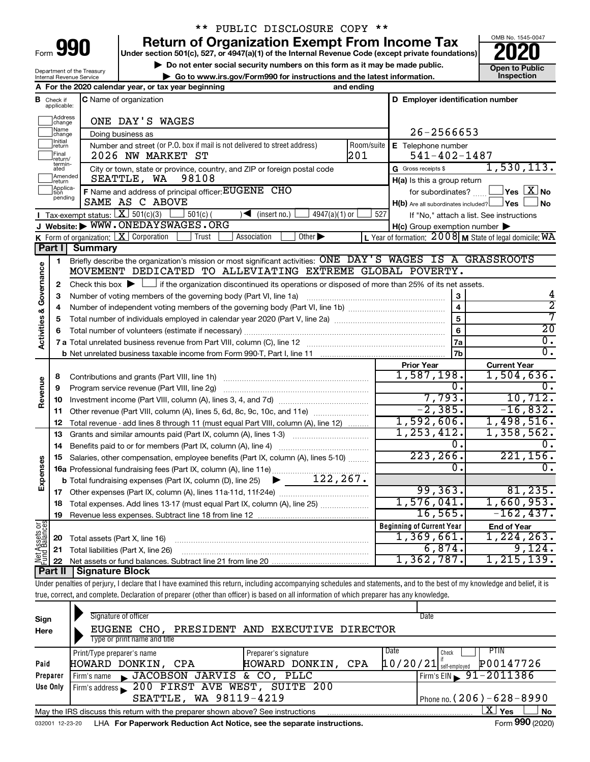| Form | $\mathbf{H}$ |  |
|------|--------------|--|
|      |              |  |

## \*\* PUBLIC DISCLOSURE COPY \*\*

**990** Return of Organization Exempt From Income Tax <br>
Under section 501(c), 527, or 4947(a)(1) of the Internal Revenue Code (except private foundations)<br> **PO20** 

▶ Do not enter social security numbers on this form as it may be made public.<br>
▶ Go to www.irs.gov/Form990 for instructions and the latest information. **Department in the latest** information. **| Go to www.irs.gov/Form990 for instructions and the latest information. Inspection**



Department of the Treasury Internal Revenue Service

|                                |                               | A For the 2020 calendar year, or tax year beginning                                                                                                                        | and ending |                                                     |                                                           |
|--------------------------------|-------------------------------|----------------------------------------------------------------------------------------------------------------------------------------------------------------------------|------------|-----------------------------------------------------|-----------------------------------------------------------|
|                                | <b>B</b> Check if applicable: | C Name of organization                                                                                                                                                     |            | D Employer identification number                    |                                                           |
|                                | Address<br> change            | ONE DAY'S WAGES                                                                                                                                                            |            |                                                     |                                                           |
|                                | ]Name<br>]change              | Doing business as                                                                                                                                                          |            | $26 - 2566653$                                      |                                                           |
|                                | Initial<br> return            | Number and street (or P.O. box if mail is not delivered to street address)                                                                                                 | Room/suite | E Telephone number                                  |                                                           |
|                                | Final<br> return/             | 2026 NW MARKET ST                                                                                                                                                          | 201        | $541 - 402 - 1487$                                  |                                                           |
|                                | termin-<br>ated               | City or town, state or province, country, and ZIP or foreign postal code                                                                                                   |            | G Gross receipts \$                                 | 1,530,113.                                                |
|                                | Amended<br>Ireturn            | SEATTLE, WA<br>98108                                                                                                                                                       |            | H(a) Is this a group return                         |                                                           |
|                                | Applica-<br>tion              | F Name and address of principal officer: EUGENE CHO                                                                                                                        |            | for subordinates?                                   | $\Box$ Yes $[X]$ No                                       |
|                                | pending                       | SAME AS C ABOVE                                                                                                                                                            |            | $H(b)$ Are all subordinates included? $\Box$ Yes    | l No                                                      |
|                                |                               | Tax-exempt status: $X \over 301(c)(3)$<br>$501(c)$ (<br>$\sqrt{\bullet}$ (insert no.)<br>$4947(a)(1)$ or                                                                   | 527        |                                                     | If "No," attach a list. See instructions                  |
|                                |                               | J Website: WWW.ONEDAYSWAGES.ORG                                                                                                                                            |            | $H(c)$ Group exemption number $\blacktriangleright$ |                                                           |
|                                |                               | K Form of organization: $X$ Corporation<br>Association<br>Other $\blacktriangleright$<br>Trust                                                                             |            |                                                     | L Year of formation: $2008$ M State of legal domicile: WA |
|                                | Part I                        | <b>Summary</b>                                                                                                                                                             |            |                                                     |                                                           |
|                                | 1                             | Briefly describe the organization's mission or most significant activities: ONE DAY'S WAGES IS A GRASSROOTS                                                                |            |                                                     |                                                           |
| Governance                     |                               | MOVEMENT DEDICATED TO ALLEVIATING EXTREME GLOBAL POVERTY.                                                                                                                  |            |                                                     |                                                           |
|                                | 2                             | Check this box $\blacktriangleright \Box$ if the organization discontinued its operations or disposed of more than 25% of its net assets.                                  |            |                                                     |                                                           |
|                                | 3                             |                                                                                                                                                                            |            | 3                                                   | 4                                                         |
|                                | 4                             |                                                                                                                                                                            |            | $\overline{\mathbf{4}}$                             | $\overline{2}$                                            |
|                                | 5                             |                                                                                                                                                                            |            | 5                                                   | 7                                                         |
| <b>Activities &amp;</b>        | 6                             |                                                                                                                                                                            |            | 6                                                   | $\overline{20}$                                           |
|                                |                               |                                                                                                                                                                            |            | 7a                                                  | $\overline{0}$ .                                          |
|                                |                               |                                                                                                                                                                            |            | 7 <sub>b</sub>                                      | $\overline{0}$ .                                          |
|                                |                               |                                                                                                                                                                            |            | <b>Prior Year</b>                                   | <b>Current Year</b>                                       |
|                                | 8                             |                                                                                                                                                                            |            | 1,587,198.                                          | 1,504,636.                                                |
| Revenue                        | 9                             | Program service revenue (Part VIII, line 2g)                                                                                                                               |            | 0.                                                  | υ.                                                        |
|                                | 10                            |                                                                                                                                                                            |            | 7,793.                                              | 10, 712.                                                  |
|                                | 11                            | Other revenue (Part VIII, column (A), lines 5, 6d, 8c, 9c, 10c, and 11e)                                                                                                   |            | $-2, 385.$                                          | $-16,832.$                                                |
|                                | 12                            | Total revenue - add lines 8 through 11 (must equal Part VIII, column (A), line 12)                                                                                         |            | 1,592,606.                                          | 1,498,516.                                                |
|                                | 13                            | Grants and similar amounts paid (Part IX, column (A), lines 1-3)                                                                                                           |            | 1, 253, 412.                                        | 1,358,562.                                                |
|                                | 14                            | Benefits paid to or for members (Part IX, column (A), line 4)                                                                                                              |            | 0.                                                  | 0,                                                        |
|                                | 15                            | Salaries, other compensation, employee benefits (Part IX, column (A), lines 5-10)                                                                                          |            | 223, 266.                                           | 221, 156.                                                 |
| Expenses                       |                               | 16a Professional fundraising fees (Part IX, column (A), line 11e)                                                                                                          |            | 0.                                                  | 0.                                                        |
|                                |                               | 122, 267.<br><b>b</b> Total fundraising expenses (Part IX, column (D), line 25) $\blacktriangleright$                                                                      |            |                                                     |                                                           |
|                                | 17                            |                                                                                                                                                                            |            | 99, 363.                                            | 81, 235.                                                  |
|                                |                               | 18 Total expenses. Add lines 13-17 (must equal Part IX, column (A), line 25)                                                                                               |            | 1,576,041.                                          | 1,660,953.                                                |
|                                | 19                            | Revenue less expenses. Subtract line 18 from line 12                                                                                                                       |            | 16, 565.                                            | $-162,437.$                                               |
|                                |                               |                                                                                                                                                                            |            | <b>Beginning of Current Year</b>                    | <b>End of Year</b>                                        |
|                                | 20                            | Total assets (Part X, line 16)                                                                                                                                             |            | 1,369,661.                                          | 1,224,263.                                                |
| Net Assets or<br>Fund Balances | 21                            | Total liabilities (Part X, line 26)                                                                                                                                        |            | 6,874.                                              | 9,124.                                                    |
|                                | 22                            |                                                                                                                                                                            |            | 1,362,787.                                          | 1, 215, 139.                                              |
|                                | <b>Part II</b>                | <b>Signature Block</b>                                                                                                                                                     |            |                                                     |                                                           |
|                                |                               | Under penalties of perjury, I declare that I have examined this return, including accompanying schedules and statements, and to the best of my knowledge and belief, it is |            |                                                     |                                                           |
|                                |                               | true, correct, and complete. Declaration of preparer (other than officer) is based on all information of which preparer has any knowledge.                                 |            |                                                     |                                                           |
|                                |                               | Signature of officer                                                                                                                                                       |            | Date                                                |                                                           |
| Sign                           |                               | $\pi$ itarin aila<br>andrathe suranting distribution of an annual                                                                                                          |            |                                                     |                                                           |

| ---<br>Here |                                                                                                              |  | EUGENE CHO.<br>Type or print name and title |                                              |  | PRESIDENT AND EXECUTIVE DIRECTOR |     |      |                                |             |  |
|-------------|--------------------------------------------------------------------------------------------------------------|--|---------------------------------------------|----------------------------------------------|--|----------------------------------|-----|------|--------------------------------|-------------|--|
|             |                                                                                                              |  |                                             |                                              |  |                                  |     |      |                                |             |  |
|             |                                                                                                              |  | Print/Type preparer's name                  |                                              |  | Preparer's signature             |     | Date | Check                          | <b>PTIN</b> |  |
| Paid        |                                                                                                              |  | HOWARD DONKIN, CPA                          |                                              |  | HOWARD DONKIN,                   | CPA |      | $10/20/21$ self-employed       | P00147726   |  |
| Preparer    |                                                                                                              |  |                                             | Firm's name JACOBSON JARVIS & CO, PLLC       |  |                                  |     |      | Firm's EIN $\sqrt{91-2011386}$ |             |  |
| Use Only    |                                                                                                              |  |                                             | Firm's address 200 FIRST AVE WEST, SUITE 200 |  |                                  |     |      |                                |             |  |
|             |                                                                                                              |  |                                             | SEATTLE, WA 98119-4219                       |  |                                  |     |      | Phone no. $(206) - 628 - 8990$ |             |  |
|             | X.<br><b>No</b><br>l Yes<br>May the IRS discuss this return with the preparer shown above? See instructions  |  |                                             |                                              |  |                                  |     |      |                                |             |  |
|             | Form 990 (2020)<br>LHA For Paperwork Reduction Act Notice, see the separate instructions.<br>032001 12-23-20 |  |                                             |                                              |  |                                  |     |      |                                |             |  |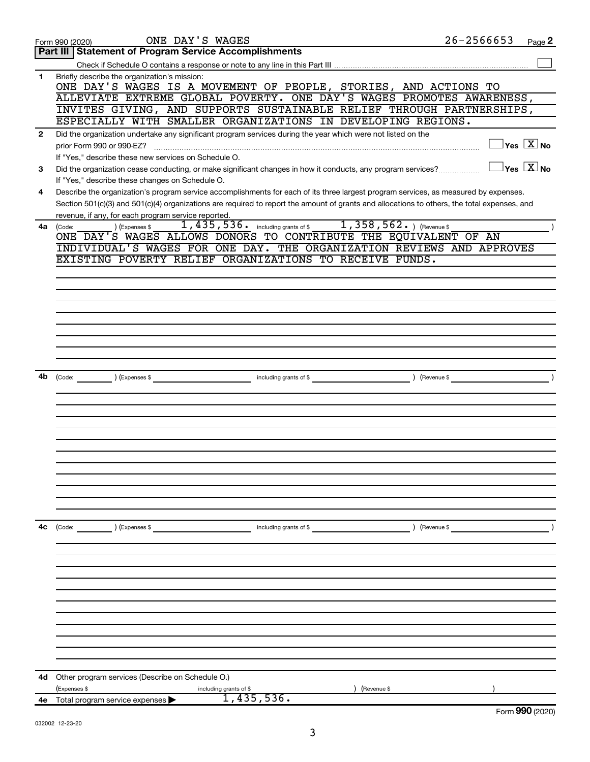|              | ONE DAY'S WAGES<br>Form 990 (2020)                                                                                                                                                      | $26 - 2566653$ | Page 2                                  |
|--------------|-----------------------------------------------------------------------------------------------------------------------------------------------------------------------------------------|----------------|-----------------------------------------|
|              | <b>Part III   Statement of Program Service Accomplishments</b>                                                                                                                          |                |                                         |
|              |                                                                                                                                                                                         |                |                                         |
| 1            | Briefly describe the organization's mission:<br>ONE DAY'S WAGES IS A MOVEMENT OF PEOPLE, STORIES, AND ACTIONS TO                                                                        |                |                                         |
|              | ALLEVIATE EXTREME GLOBAL POVERTY. ONE DAY'S WAGES PROMOTES AWARENESS,                                                                                                                   |                |                                         |
|              | INVITES GIVING, AND SUPPORTS SUSTAINABLE RELIEF THROUGH PARTNERSHIPS,                                                                                                                   |                |                                         |
|              | ESPECIALLY WITH SMALLER ORGANIZATIONS IN DEVELOPING REGIONS.                                                                                                                            |                |                                         |
| $\mathbf{2}$ | Did the organization undertake any significant program services during the year which were not listed on the                                                                            |                |                                         |
|              | prior Form 990 or 990-EZ?                                                                                                                                                               |                | $\Box$ Yes $[\overline{\mathrm{X}}]$ No |
|              | If "Yes," describe these new services on Schedule O.                                                                                                                                    |                | $\Box$ Yes $[\overline{\mathrm{X}}]$ No |
| 3            | Did the organization cease conducting, or make significant changes in how it conducts, any program services?                                                                            |                |                                         |
| 4            | If "Yes," describe these changes on Schedule O.<br>Describe the organization's program service accomplishments for each of its three largest program services, as measured by expenses. |                |                                         |
|              | Section 501(c)(3) and 501(c)(4) organizations are required to report the amount of grants and allocations to others, the total expenses, and                                            |                |                                         |
|              | revenue, if any, for each program service reported.                                                                                                                                     |                |                                         |
| 4a           | 1,435,536. including grants of \$1,358,562. ) (Revenue \$<br>(Expenses \$<br>(Code:                                                                                                     |                |                                         |
|              | ONE DAY'S WAGES ALLOWS DONORS TO CONTRIBUTE THE EQUIVALENT OF AN                                                                                                                        |                |                                         |
|              | INDIVIDUAL'S WAGES FOR ONE DAY. THE ORGANIZATION REVIEWS AND APPROVES                                                                                                                   |                |                                         |
|              | EXISTING POVERTY RELIEF ORGANIZATIONS TO RECEIVE FUNDS.                                                                                                                                 |                |                                         |
|              |                                                                                                                                                                                         |                |                                         |
|              |                                                                                                                                                                                         |                |                                         |
|              |                                                                                                                                                                                         |                |                                         |
|              |                                                                                                                                                                                         |                |                                         |
|              |                                                                                                                                                                                         |                |                                         |
|              |                                                                                                                                                                                         |                |                                         |
|              |                                                                                                                                                                                         |                |                                         |
|              |                                                                                                                                                                                         |                |                                         |
|              |                                                                                                                                                                                         |                |                                         |
| 4b           | (Code: ) (Expenses \$                                                                                                                                                                   |                | $\overline{\phantom{a}}$                |
|              |                                                                                                                                                                                         |                |                                         |
|              |                                                                                                                                                                                         |                |                                         |
|              |                                                                                                                                                                                         |                |                                         |
|              |                                                                                                                                                                                         |                |                                         |
|              |                                                                                                                                                                                         |                |                                         |
|              |                                                                                                                                                                                         |                |                                         |
|              |                                                                                                                                                                                         |                |                                         |
|              |                                                                                                                                                                                         |                |                                         |
|              |                                                                                                                                                                                         |                |                                         |
|              |                                                                                                                                                                                         |                |                                         |
|              |                                                                                                                                                                                         |                |                                         |
| 4c           | (Code: ) (Expenses \$<br>including grants of \$                                                                                                                                         | ) (Revenue \$  |                                         |
|              |                                                                                                                                                                                         |                |                                         |
|              |                                                                                                                                                                                         |                |                                         |
|              |                                                                                                                                                                                         |                |                                         |
|              |                                                                                                                                                                                         |                |                                         |
|              |                                                                                                                                                                                         |                |                                         |
|              |                                                                                                                                                                                         |                |                                         |
|              |                                                                                                                                                                                         |                |                                         |
|              |                                                                                                                                                                                         |                |                                         |
|              |                                                                                                                                                                                         |                |                                         |
|              |                                                                                                                                                                                         |                |                                         |
|              |                                                                                                                                                                                         |                |                                         |
| 4d           | Other program services (Describe on Schedule O.)                                                                                                                                        |                |                                         |
|              | (Expenses \$<br>(Revenue \$<br>including grants of \$                                                                                                                                   |                |                                         |
|              | 1,435,536.<br>4e Total program service expenses >                                                                                                                                       |                |                                         |
|              |                                                                                                                                                                                         |                | Form 990 (2020)                         |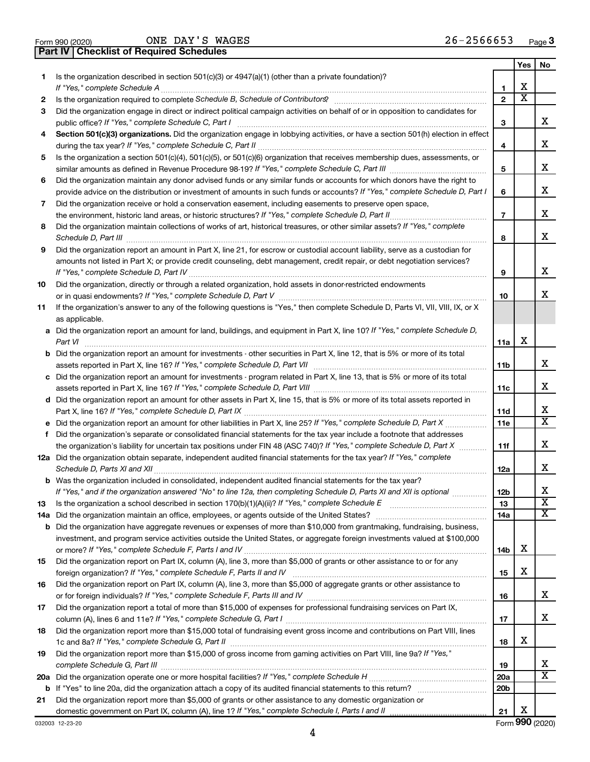|  | Form 990 (2020) |
|--|-----------------|

ONE DAY'S WAGES 26-2566653

**Part IV Checklist of Required Schedules**

|    |                                                                                                                                       |                          | Yes | No                      |
|----|---------------------------------------------------------------------------------------------------------------------------------------|--------------------------|-----|-------------------------|
| 1. | Is the organization described in section 501(c)(3) or 4947(a)(1) (other than a private foundation)?<br>If "Yes," complete Schedule A  | 1                        | х   |                         |
| 2  |                                                                                                                                       | $\mathbf{2}$             | X   |                         |
| 3  | Did the organization engage in direct or indirect political campaign activities on behalf of or in opposition to candidates for       |                          |     |                         |
|    | public office? If "Yes," complete Schedule C, Part I                                                                                  | 3                        |     | x                       |
| 4  | Section 501(c)(3) organizations. Did the organization engage in lobbying activities, or have a section 501(h) election in effect      |                          |     |                         |
|    |                                                                                                                                       | 4                        |     | х                       |
| 5  | Is the organization a section 501(c)(4), 501(c)(5), or 501(c)(6) organization that receives membership dues, assessments, or          |                          |     |                         |
|    |                                                                                                                                       | 5                        |     | х                       |
| 6  | Did the organization maintain any donor advised funds or any similar funds or accounts for which donors have the right to             |                          |     |                         |
|    | provide advice on the distribution or investment of amounts in such funds or accounts? If "Yes," complete Schedule D, Part I          | 6                        |     | x                       |
| 7  | Did the organization receive or hold a conservation easement, including easements to preserve open space,                             |                          |     |                         |
|    |                                                                                                                                       | $\overline{\phantom{a}}$ |     | х                       |
| 8  | Did the organization maintain collections of works of art, historical treasures, or other similar assets? If "Yes," complete          |                          |     |                         |
|    | Schedule D, Part III                                                                                                                  | 8                        |     | х                       |
| 9  | Did the organization report an amount in Part X, line 21, for escrow or custodial account liability, serve as a custodian for         |                          |     |                         |
|    | amounts not listed in Part X; or provide credit counseling, debt management, credit repair, or debt negotiation services?             |                          |     |                         |
|    |                                                                                                                                       | 9                        |     | х                       |
| 10 | Did the organization, directly or through a related organization, hold assets in donor-restricted endowments                          |                          |     |                         |
|    |                                                                                                                                       | 10                       |     | x                       |
| 11 | If the organization's answer to any of the following questions is "Yes," then complete Schedule D, Parts VI, VII, VIII, IX, or X      |                          |     |                         |
|    | as applicable.                                                                                                                        |                          |     |                         |
|    | a Did the organization report an amount for land, buildings, and equipment in Part X, line 10? If "Yes," complete Schedule D,         |                          |     |                         |
|    | Part VI                                                                                                                               | 11a                      | х   |                         |
|    | <b>b</b> Did the organization report an amount for investments - other securities in Part X, line 12, that is 5% or more of its total |                          |     |                         |
|    |                                                                                                                                       | 11b                      |     | x                       |
|    | c Did the organization report an amount for investments - program related in Part X, line 13, that is 5% or more of its total         |                          |     |                         |
|    |                                                                                                                                       | 11c                      |     | х                       |
|    | d Did the organization report an amount for other assets in Part X, line 15, that is 5% or more of its total assets reported in       |                          |     |                         |
|    |                                                                                                                                       | 11d                      |     | х<br>X                  |
|    |                                                                                                                                       | 11e                      |     |                         |
| f  | Did the organization's separate or consolidated financial statements for the tax year include a footnote that addresses               |                          |     | х                       |
|    | the organization's liability for uncertain tax positions under FIN 48 (ASC 740)? If "Yes," complete Schedule D, Part X                | 11f                      |     |                         |
|    | 12a Did the organization obtain separate, independent audited financial statements for the tax year? If "Yes," complete               |                          |     | x                       |
|    | <b>b</b> Was the organization included in consolidated, independent audited financial statements for the tax year?                    | 12a                      |     |                         |
|    | If "Yes." and if the organization answered "No" to line 12a. then completing Schedule D. Parts XI and XII is optional                 | 12 <sub>b</sub>          |     | х                       |
| 13 |                                                                                                                                       | 13                       |     | $\overline{\mathbf{X}}$ |
|    | 14a Did the organization maintain an office, employees, or agents outside of the United States?                                       | 14a                      |     | х                       |
|    | <b>b</b> Did the organization have aggregate revenues or expenses of more than \$10,000 from grantmaking, fundraising, business,      |                          |     |                         |
|    | investment, and program service activities outside the United States, or aggregate foreign investments valued at \$100,000            |                          |     |                         |
|    |                                                                                                                                       | 14b                      | х   |                         |
| 15 | Did the organization report on Part IX, column (A), line 3, more than \$5,000 of grants or other assistance to or for any             |                          |     |                         |
|    |                                                                                                                                       | 15                       | х   |                         |
| 16 | Did the organization report on Part IX, column (A), line 3, more than \$5,000 of aggregate grants or other assistance to              |                          |     |                         |
|    |                                                                                                                                       | 16                       |     | х                       |
| 17 | Did the organization report a total of more than \$15,000 of expenses for professional fundraising services on Part IX,               |                          |     |                         |
|    |                                                                                                                                       | 17                       |     | х                       |
| 18 | Did the organization report more than \$15,000 total of fundraising event gross income and contributions on Part VIII, lines          |                          |     |                         |
|    |                                                                                                                                       | 18                       | х   |                         |
| 19 | Did the organization report more than \$15,000 of gross income from gaming activities on Part VIII, line 9a? If "Yes,"                |                          |     |                         |
|    |                                                                                                                                       | 19                       |     | х                       |
|    |                                                                                                                                       | 20a                      |     | $\overline{\text{X}}$   |
|    |                                                                                                                                       | 20 <sub>b</sub>          |     |                         |
| 21 | Did the organization report more than \$5,000 of grants or other assistance to any domestic organization or                           |                          |     |                         |
|    |                                                                                                                                       | 21                       | х   |                         |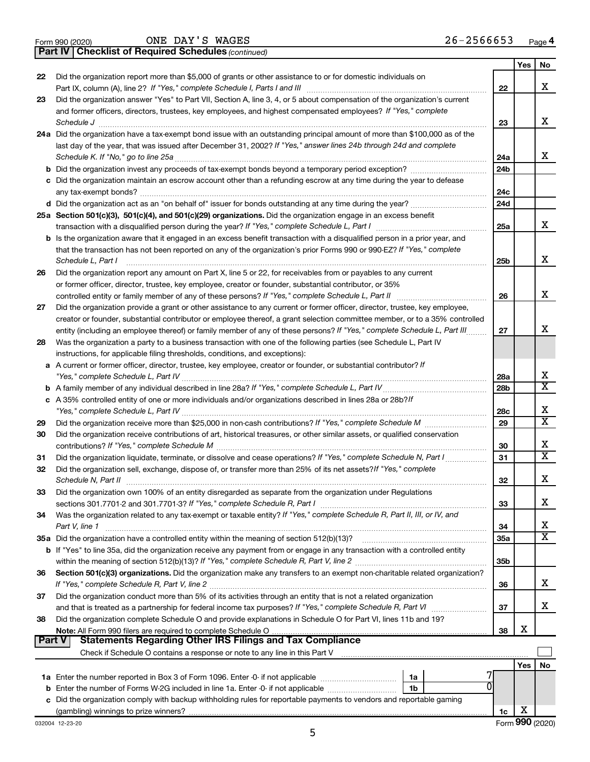|  | Form 990 (2020) |  |
|--|-----------------|--|
|  |                 |  |

ONE DAY'S WAGES 26-2566653

**Part IV Checklist of Required Schedules**

*(continued)*

|               |                                                                                                                                                                                                                                                   |                 | Yes                 | No                      |
|---------------|---------------------------------------------------------------------------------------------------------------------------------------------------------------------------------------------------------------------------------------------------|-----------------|---------------------|-------------------------|
| 22            | Did the organization report more than \$5,000 of grants or other assistance to or for domestic individuals on                                                                                                                                     | 22              |                     | x                       |
| 23            | Did the organization answer "Yes" to Part VII, Section A, line 3, 4, or 5 about compensation of the organization's current                                                                                                                        |                 |                     |                         |
|               | and former officers, directors, trustees, key employees, and highest compensated employees? If "Yes," complete                                                                                                                                    |                 |                     | x                       |
|               | Schedule J                                                                                                                                                                                                                                        | 23              |                     |                         |
|               | 24a Did the organization have a tax-exempt bond issue with an outstanding principal amount of more than \$100,000 as of the<br>last day of the year, that was issued after December 31, 2002? If "Yes," answer lines 24b through 24d and complete |                 |                     |                         |
|               | Schedule K. If "No," go to line 25a                                                                                                                                                                                                               | 24a             |                     | x                       |
|               |                                                                                                                                                                                                                                                   | 24 <sub>b</sub> |                     |                         |
|               | c Did the organization maintain an escrow account other than a refunding escrow at any time during the year to defease                                                                                                                            |                 |                     |                         |
|               | any tax-exempt bonds?                                                                                                                                                                                                                             | 24c             |                     |                         |
|               |                                                                                                                                                                                                                                                   | 24d             |                     |                         |
|               | 25a Section 501(c)(3), 501(c)(4), and 501(c)(29) organizations. Did the organization engage in an excess benefit                                                                                                                                  |                 |                     |                         |
|               |                                                                                                                                                                                                                                                   | 25a             |                     | x                       |
|               | <b>b</b> Is the organization aware that it engaged in an excess benefit transaction with a disqualified person in a prior year, and                                                                                                               |                 |                     |                         |
|               | that the transaction has not been reported on any of the organization's prior Forms 990 or 990-EZ? If "Yes," complete                                                                                                                             |                 |                     |                         |
|               | Schedule L, Part I                                                                                                                                                                                                                                | 25b             |                     | х                       |
| 26            | Did the organization report any amount on Part X, line 5 or 22, for receivables from or payables to any current                                                                                                                                   |                 |                     |                         |
|               | or former officer, director, trustee, key employee, creator or founder, substantial contributor, or 35%                                                                                                                                           |                 |                     |                         |
|               | controlled entity or family member of any of these persons? If "Yes," complete Schedule L, Part II                                                                                                                                                | 26              |                     | x                       |
| 27            | Did the organization provide a grant or other assistance to any current or former officer, director, trustee, key employee,                                                                                                                       |                 |                     |                         |
|               | creator or founder, substantial contributor or employee thereof, a grant selection committee member, or to a 35% controlled                                                                                                                       |                 |                     | x                       |
|               | entity (including an employee thereof) or family member of any of these persons? If "Yes," complete Schedule L, Part III                                                                                                                          | 27              |                     |                         |
| 28            | Was the organization a party to a business transaction with one of the following parties (see Schedule L, Part IV<br>instructions, for applicable filing thresholds, conditions, and exceptions):                                                 |                 |                     |                         |
|               | a A current or former officer, director, trustee, key employee, creator or founder, or substantial contributor? If                                                                                                                                |                 |                     |                         |
|               |                                                                                                                                                                                                                                                   | 28a             |                     | х                       |
|               |                                                                                                                                                                                                                                                   | 28 <sub>b</sub> |                     | X                       |
|               | c A 35% controlled entity of one or more individuals and/or organizations described in lines 28a or 28b?If                                                                                                                                        |                 |                     |                         |
|               |                                                                                                                                                                                                                                                   | 28c             |                     | х                       |
| 29            |                                                                                                                                                                                                                                                   | 29              |                     | $\overline{\text{x}}$   |
| 30            | Did the organization receive contributions of art, historical treasures, or other similar assets, or qualified conservation                                                                                                                       |                 |                     |                         |
|               |                                                                                                                                                                                                                                                   | 30              |                     | х                       |
| 31            | Did the organization liquidate, terminate, or dissolve and cease operations? If "Yes," complete Schedule N, Part I                                                                                                                                | 31              |                     | $\overline{\textbf{X}}$ |
| 32            | Did the organization sell, exchange, dispose of, or transfer more than 25% of its net assets? If "Yes," complete<br>Schedule N, Part II                                                                                                           | 32              |                     | х                       |
| 33            | Did the organization own 100% of an entity disregarded as separate from the organization under Regulations                                                                                                                                        |                 |                     |                         |
|               |                                                                                                                                                                                                                                                   | 33              |                     | х                       |
| 34            | Was the organization related to any tax-exempt or taxable entity? If "Yes," complete Schedule R, Part II, III, or IV, and                                                                                                                         |                 |                     |                         |
|               | Part V, line 1                                                                                                                                                                                                                                    | 34              |                     | х                       |
|               |                                                                                                                                                                                                                                                   | 35a             |                     | $\overline{\text{X}}$   |
|               | b If "Yes" to line 35a, did the organization receive any payment from or engage in any transaction with a controlled entity                                                                                                                       |                 |                     |                         |
|               |                                                                                                                                                                                                                                                   | 35 <sub>b</sub> |                     |                         |
| 36            | Section 501(c)(3) organizations. Did the organization make any transfers to an exempt non-charitable related organization?                                                                                                                        | 36              |                     | х                       |
| 37            | Did the organization conduct more than 5% of its activities through an entity that is not a related organization                                                                                                                                  |                 |                     |                         |
|               | and that is treated as a partnership for federal income tax purposes? If "Yes," complete Schedule R, Part VI                                                                                                                                      | 37              |                     | x                       |
| 38            | Did the organization complete Schedule O and provide explanations in Schedule O for Part VI, lines 11b and 19?                                                                                                                                    |                 |                     |                         |
|               |                                                                                                                                                                                                                                                   | 38              | X                   |                         |
| <b>Part V</b> | <b>Statements Regarding Other IRS Filings and Tax Compliance</b>                                                                                                                                                                                  |                 |                     |                         |
|               |                                                                                                                                                                                                                                                   |                 |                     |                         |
|               |                                                                                                                                                                                                                                                   |                 | Yes                 | No                      |
|               | 1a                                                                                                                                                                                                                                                |                 |                     |                         |
|               | b Enter the number of Forms W-2G included in line 1a. Enter -0- if not applicable<br>1b                                                                                                                                                           |                 |                     |                         |
|               | c Did the organization comply with backup withholding rules for reportable payments to vendors and reportable gaming                                                                                                                              |                 | X                   |                         |
|               |                                                                                                                                                                                                                                                   | 1c              | $000 \text{ hours}$ |                         |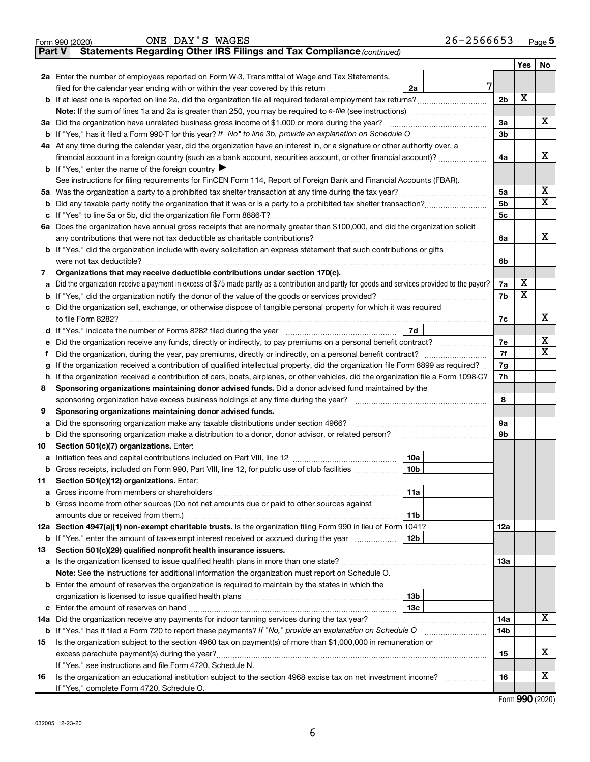| د.<br>n<br>-- |  |
|---------------|--|
|               |  |

**14a 14b**

**15**

**16**

~~~~~~

**13b**

 $~\cdots$ 

**Yes No**

X

|               | ONE DAY'S WAGES<br>Form 990 (2020)                                                                                                              | $26 - 2566653$  |                |     | Page      |
|---------------|-------------------------------------------------------------------------------------------------------------------------------------------------|-----------------|----------------|-----|-----------|
| <b>Part V</b> | Statements Regarding Other IRS Filings and Tax Compliance (continued)                                                                           |                 |                |     |           |
|               |                                                                                                                                                 |                 |                | Yes | <b>No</b> |
|               | 2a Enter the number of employees reported on Form W-3, Transmittal of Wage and Tax Statements,                                                  |                 |                |     |           |
|               | filed for the calendar year ending with or within the year covered by this return                                                               | 7<br>2a         |                |     |           |
| b             | If at least one is reported on line 2a, did the organization file all required federal employment tax returns?                                  |                 | 2 <sub>b</sub> | х   |           |
|               | Note: If the sum of lines 1a and 2a is greater than 250, you may be required to e-file (see instructions) <i>marroummann</i>                    |                 |                |     |           |
| За            | Did the organization have unrelated business gross income of \$1,000 or more during the year?                                                   |                 | За             |     | х         |
|               |                                                                                                                                                 |                 | 3b             |     |           |
|               | 4a At any time during the calendar year, did the organization have an interest in, or a signature or other authority over, a                    |                 |                |     |           |
|               |                                                                                                                                                 |                 | 4a             |     | X         |
|               | <b>b</b> If "Yes," enter the name of the foreign country $\blacktriangleright$                                                                  |                 |                |     |           |
|               | See instructions for filing requirements for FinCEN Form 114, Report of Foreign Bank and Financial Accounts (FBAR).                             |                 |                |     |           |
| 5a            |                                                                                                                                                 |                 | 5a             |     | X         |
| b             |                                                                                                                                                 |                 | 5b             |     | х         |
| с             |                                                                                                                                                 |                 | 5с             |     |           |
|               | 6a Does the organization have annual gross receipts that are normally greater than \$100,000, and did the organization solicit                  |                 |                |     |           |
|               |                                                                                                                                                 |                 | 6a             |     | X         |
| b             | If "Yes," did the organization include with every solicitation an express statement that such contributions or gifts                            |                 |                |     |           |
|               |                                                                                                                                                 |                 | 6b             |     |           |
| 7             | Organizations that may receive deductible contributions under section 170(c).                                                                   |                 |                |     |           |
| а             | Did the organization receive a payment in excess of \$75 made partly as a contribution and partly for goods and services provided to the payor? |                 | 7a             | х   |           |
| b             |                                                                                                                                                 |                 | 7b             | х   |           |
|               | Did the organization sell, exchange, or otherwise dispose of tangible personal property for which it was required                               |                 |                |     |           |
|               |                                                                                                                                                 |                 | 7c             |     | х         |
| d             |                                                                                                                                                 | 7d              |                |     |           |
|               | Did the organization receive any funds, directly or indirectly, to pay premiums on a personal benefit contract?                                 |                 | 7e             |     | X         |
| Ť             | Did the organization, during the year, pay premiums, directly or indirectly, on a personal benefit contract?                                    |                 | 7f             |     | х         |
| g             | If the organization received a contribution of qualified intellectual property, did the organization file Form 8899 as required?                |                 | 7g             |     |           |
| h             | If the organization received a contribution of cars, boats, airplanes, or other vehicles, did the organization file a Form 1098-C?              |                 | 7h             |     |           |
| 8             | Sponsoring organizations maintaining donor advised funds. Did a donor advised fund maintained by the                                            |                 |                |     |           |
|               |                                                                                                                                                 |                 | 8              |     |           |
| 9             | Sponsoring organizations maintaining donor advised funds.                                                                                       |                 |                |     |           |
| а             | Did the sponsoring organization make any taxable distributions under section 4966?                                                              |                 | 9а             |     |           |
| b             |                                                                                                                                                 |                 | 9b             |     |           |
| 10            | Section 501(c)(7) organizations. Enter:                                                                                                         |                 |                |     |           |
| а             |                                                                                                                                                 | 10a             |                |     |           |
| b             | Gross receipts, included on Form 990, Part VIII, line 12, for public use of club facilities                                                     | 10 <sub>b</sub> |                |     |           |
| 11            | Section 501(c)(12) organizations. Enter:                                                                                                        |                 |                |     |           |
| а             |                                                                                                                                                 | 11a             |                |     |           |
| b             | Gross income from other sources (Do not net amounts due or paid to other sources against                                                        |                 |                |     |           |
|               | amounts due or received from them.)                                                                                                             | 11b             |                |     |           |
|               | 12a Section 4947(a)(1) non-exempt charitable trusts. Is the organization filing Form 990 in lieu of Form 1041?                                  |                 | 12a            |     |           |
|               | <b>b</b> If "Yes," enter the amount of tax-exempt interest received or accrued during the year                                                  | 12b             |                |     |           |
| 13            | Section 501(c)(29) qualified nonprofit health insurance issuers.                                                                                |                 |                |     |           |
| a             |                                                                                                                                                 |                 | 13a            |     |           |
|               | Note: See the instructions for additional information the organization must report on Schedule O.                                               |                 |                |     |           |

**14 a** Did the organization receive any payments for indoor tanning services during the tax year? ~~~~~~~~~~~~~~~~

excess parachute payment(s) during the year? ~~~~~~~~~~~~~~~~~~~~~~~~~~~~~~~~~~~~~~~

**15** Is the organization subject to the section 4960 tax on payment(s) of more than \$1,000,000 in remuneration or

Is the organization an educational institution subject to the section 4968 excise tax on net investment income?

**b** If "Yes," has it filed a Form 720 to report these payments? If "No," provide an explanation on Schedule O

**c 13c** Enter the amount of reserves on hand ~~~~~~~~~~~~~~~~~~~~~~~~~~~~~~

organization is licensed to issue qualified health plans ~~~~~~~~~~~~~~~~~~~~~~

**b** Enter the amount of reserves the organization is required to maintain by the states in which the

If "Yes," see instructions and file Form 4720, Schedule N.

If "Yes," complete Form 4720, Schedule O.

Form (2020) **990**

X

X

X

**16**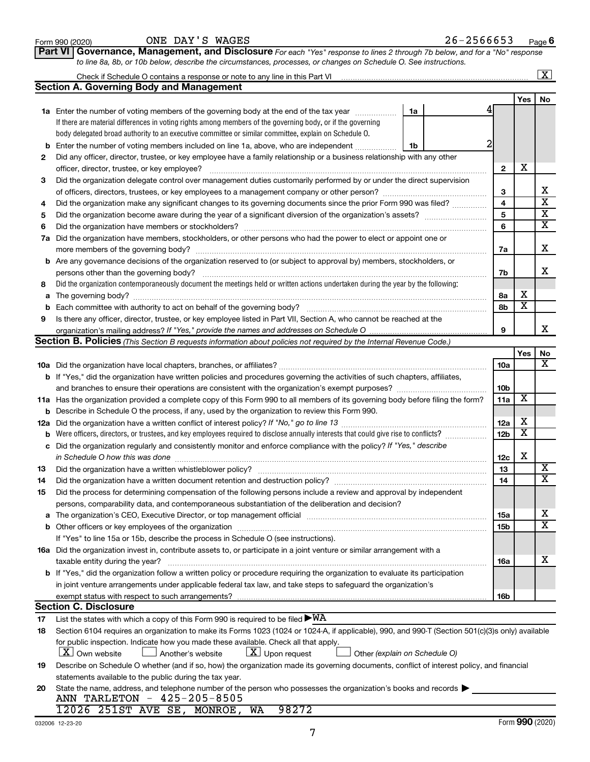|     | Check if Schedule O contains a response or note to any line in this Part VI [11] [12] Check if Schedule O contains a response or note to any line in this Part VI                                                              |                 |                         | $\overline{\mathbf{x}}$ |  |  |  |
|-----|--------------------------------------------------------------------------------------------------------------------------------------------------------------------------------------------------------------------------------|-----------------|-------------------------|-------------------------|--|--|--|
|     | <b>Section A. Governing Body and Management</b>                                                                                                                                                                                |                 |                         |                         |  |  |  |
|     |                                                                                                                                                                                                                                |                 | Yes                     | No                      |  |  |  |
|     | 1a Enter the number of voting members of the governing body at the end of the tax year<br>1a                                                                                                                                   |                 |                         |                         |  |  |  |
|     | If there are material differences in voting rights among members of the governing body, or if the governing                                                                                                                    |                 |                         |                         |  |  |  |
|     | body delegated broad authority to an executive committee or similar committee, explain on Schedule O.                                                                                                                          |                 |                         |                         |  |  |  |
| b   | Enter the number of voting members included on line 1a, above, who are independent<br>1b                                                                                                                                       |                 |                         |                         |  |  |  |
| 2   | Did any officer, director, trustee, or key employee have a family relationship or a business relationship with any other                                                                                                       |                 |                         |                         |  |  |  |
|     | officer, director, trustee, or key employee?                                                                                                                                                                                   | $\mathbf{2}$    | X                       |                         |  |  |  |
| З   | Did the organization delegate control over management duties customarily performed by or under the direct supervision                                                                                                          |                 |                         |                         |  |  |  |
|     |                                                                                                                                                                                                                                | 3               |                         | х                       |  |  |  |
| 4   | Did the organization make any significant changes to its governing documents since the prior Form 990 was filed?                                                                                                               | $\overline{4}$  |                         | $\overline{\mathbf{x}}$ |  |  |  |
| 5   |                                                                                                                                                                                                                                |                 |                         |                         |  |  |  |
| 6   |                                                                                                                                                                                                                                | 6               |                         | $\overline{\mathbf{X}}$ |  |  |  |
| 7a  | Did the organization have members, stockholders, or other persons who had the power to elect or appoint one or                                                                                                                 |                 |                         |                         |  |  |  |
|     |                                                                                                                                                                                                                                | 7a              |                         | х                       |  |  |  |
|     | <b>b</b> Are any governance decisions of the organization reserved to (or subject to approval by) members, stockholders, or                                                                                                    |                 |                         |                         |  |  |  |
|     |                                                                                                                                                                                                                                | 7b              |                         | х                       |  |  |  |
| 8   | Did the organization contemporaneously document the meetings held or written actions undertaken during the year by the following:                                                                                              |                 |                         |                         |  |  |  |
| а   |                                                                                                                                                                                                                                | 8a              | х                       |                         |  |  |  |
| b   |                                                                                                                                                                                                                                | 8b              | $\overline{\textbf{x}}$ |                         |  |  |  |
| 9   | Is there any officer, director, trustee, or key employee listed in Part VII, Section A, who cannot be reached at the                                                                                                           |                 |                         |                         |  |  |  |
|     |                                                                                                                                                                                                                                | 9               |                         | х                       |  |  |  |
|     | Section B. Policies (This Section B requests information about policies not required by the Internal Revenue Code.)                                                                                                            |                 |                         |                         |  |  |  |
|     |                                                                                                                                                                                                                                |                 | Yes                     | No                      |  |  |  |
|     |                                                                                                                                                                                                                                | <b>10a</b>      |                         | х                       |  |  |  |
|     | b If "Yes," did the organization have written policies and procedures governing the activities of such chapters, affiliates,                                                                                                   |                 |                         |                         |  |  |  |
|     |                                                                                                                                                                                                                                | 10 <sub>b</sub> |                         |                         |  |  |  |
|     | 11a Has the organization provided a complete copy of this Form 990 to all members of its governing body before filing the form?                                                                                                | 11a             | $\overline{\mathbf{X}}$ |                         |  |  |  |
|     | <b>b</b> Describe in Schedule O the process, if any, used by the organization to review this Form 990.                                                                                                                         |                 |                         |                         |  |  |  |
| 12a |                                                                                                                                                                                                                                | 12a             | х                       |                         |  |  |  |
| b   | Were officers, directors, or trustees, and key employees required to disclose annually interests that could give rise to conflicts?                                                                                            | 12 <sub>b</sub> | $\overline{\textbf{x}}$ |                         |  |  |  |
| с   | Did the organization regularly and consistently monitor and enforce compliance with the policy? If "Yes," describe                                                                                                             |                 |                         |                         |  |  |  |
|     | in Schedule O how this was done                                                                                                                                                                                                | 12c             | х                       |                         |  |  |  |
| 13  | Did the organization have a written whistleblower policy?                                                                                                                                                                      | 13              |                         | х                       |  |  |  |
| 14  |                                                                                                                                                                                                                                | 14              |                         | $\overline{\mathbf{X}}$ |  |  |  |
| 15  | Did the process for determining compensation of the following persons include a review and approval by independent                                                                                                             |                 |                         |                         |  |  |  |
|     | persons, comparability data, and contemporaneous substantiation of the deliberation and decision?                                                                                                                              |                 |                         |                         |  |  |  |
| а   | The organization's CEO, Executive Director, or top management official manufactured content of the organization's CEO, Executive Director, or top management official manufactured content of the organization's CEO, Executiv | 15a             |                         | х                       |  |  |  |
|     |                                                                                                                                                                                                                                | 15b             |                         | $\overline{\mathbf{X}}$ |  |  |  |
|     | If "Yes" to line 15a or 15b, describe the process in Schedule O (see instructions).                                                                                                                                            |                 |                         |                         |  |  |  |
|     | 16a Did the organization invest in, contribute assets to, or participate in a joint venture or similar arrangement with a                                                                                                      |                 |                         |                         |  |  |  |
|     | taxable entity during the year?                                                                                                                                                                                                | 16a             |                         | х                       |  |  |  |
|     | b If "Yes," did the organization follow a written policy or procedure requiring the organization to evaluate its participation                                                                                                 |                 |                         |                         |  |  |  |
|     | in joint venture arrangements under applicable federal tax law, and take steps to safeguard the organization's                                                                                                                 |                 |                         |                         |  |  |  |
|     | exempt status with respect to such arrangements?                                                                                                                                                                               | 16b             |                         |                         |  |  |  |
|     | <b>Section C. Disclosure</b>                                                                                                                                                                                                   |                 |                         |                         |  |  |  |
| 17  | List the states with which a copy of this Form 990 is required to be filed $\blacktriangleright\texttt{WA}$                                                                                                                    |                 |                         |                         |  |  |  |
| 18  | Section 6104 requires an organization to make its Forms 1023 (1024 or 1024-A, if applicable), 990, and 990-T (Section 501(c)(3)s only) available                                                                               |                 |                         |                         |  |  |  |
|     | for public inspection. Indicate how you made these available. Check all that apply.                                                                                                                                            |                 |                         |                         |  |  |  |
|     | $\lfloor x \rfloor$ Upon request<br>$ \mathbf{X} $ Own website<br>Another's website<br>Other (explain on Schedule O)                                                                                                           |                 |                         |                         |  |  |  |
| 19  | Describe on Schedule O whether (and if so, how) the organization made its governing documents, conflict of interest policy, and financial                                                                                      |                 |                         |                         |  |  |  |
|     | statements available to the public during the tax year.                                                                                                                                                                        |                 |                         |                         |  |  |  |
| 20  | State the name, address, and telephone number of the person who possesses the organization's books and records                                                                                                                 |                 |                         |                         |  |  |  |
|     | ANN TARLETON - 425-205-8505                                                                                                                                                                                                    |                 |                         |                         |  |  |  |
|     | 12026 251ST AVE SE, MONROE, WA<br>98272                                                                                                                                                                                        |                 |                         |                         |  |  |  |

**Part VI** Governance, Management, and Disclosure For each "Yes" response to lines 2 through 7b below, and for a "No" response

Form 990 (2020)  $\qquad \qquad \text{ONE } \text{DAY } \text{'S } \text{ WAGES}$ 

*to line 8a, 8b, or 10b below, describe the circumstances, processes, or changes on Schedule O. See instructions.*

**6**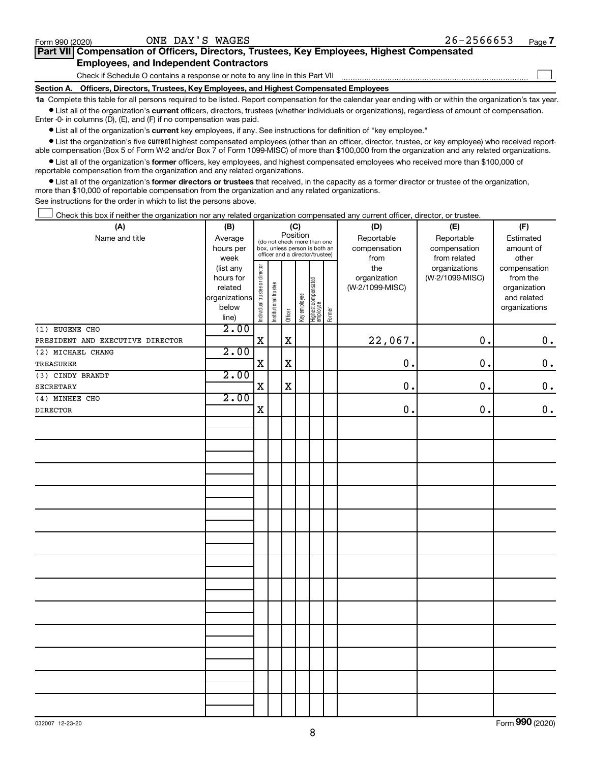$\Box$ 

| Part VII Compensation of Officers, Directors, Trustees, Key Employees, Highest Compensated |  |  |  |
|--------------------------------------------------------------------------------------------|--|--|--|
| <b>Employees, and Independent Contractors</b>                                              |  |  |  |

Check if Schedule O contains a response or note to any line in this Part VII

**Section A. Officers, Directors, Trustees, Key Employees, and Highest Compensated Employees**

**1a**  Complete this table for all persons required to be listed. Report compensation for the calendar year ending with or within the organization's tax year.  $\bullet$  List all of the organization's current officers, directors, trustees (whether individuals or organizations), regardless of amount of compensation.

Enter -0- in columns (D), (E), and (F) if no compensation was paid.

**•** List all of the organization's current key employees, if any. See instructions for definition of "key employee."

• List the organization's five *current* highest compensated employees (other than an officer, director, trustee, or key employee) who received reportable compensation (Box 5 of Form W-2 and/or Box 7 of Form 1099-MISC) of more than \$100,000 from the organization and any related organizations.

 $\bullet$  List all of the organization's former officers, key employees, and highest compensated employees who received more than \$100,000 of reportable compensation from the organization and any related organizations.

**•** List all of the organization's former directors or trustees that received, in the capacity as a former director or trustee of the organization, more than \$10,000 of reportable compensation from the organization and any related organizations.

See instructions for the order in which to list the persons above.

Check this box if neither the organization nor any related organization compensated any current officer, director, or trustee.  $\Box$ 

| (A)                              | (B)            |                                |                       |             | (C)          |                                 |        | (D)             | (E)             | (F)                |
|----------------------------------|----------------|--------------------------------|-----------------------|-------------|--------------|---------------------------------|--------|-----------------|-----------------|--------------------|
| Name and title                   | Average        |                                |                       | Position    |              | (do not check more than one     |        | Reportable      | Reportable      | Estimated          |
|                                  | hours per      |                                |                       |             |              | box, unless person is both an   |        | compensation    | compensation    | amount of          |
|                                  | week           |                                |                       |             |              | officer and a director/trustee) |        | from            | from related    | other              |
|                                  | (list any      |                                |                       |             |              |                                 |        | the             | organizations   | compensation       |
|                                  | hours for      |                                |                       |             |              |                                 |        | organization    | (W-2/1099-MISC) | from the           |
|                                  | related        |                                |                       |             |              |                                 |        | (W-2/1099-MISC) |                 | organization       |
|                                  | organizations  |                                |                       |             |              |                                 |        |                 |                 | and related        |
|                                  | below<br>line) | Individual trustee or director | Institutional trustee | Officer     | Key employee | Highest compensated<br>employee | Former |                 |                 | organizations      |
| (1) EUGENE CHO                   | 2.00           |                                |                       |             |              |                                 |        |                 |                 |                    |
| PRESIDENT AND EXECUTIVE DIRECTOR |                | $\mathbf X$                    |                       | $\mathbf x$ |              |                                 |        | 22,067.         | 0.              | $\boldsymbol{0}$ . |
| (2) MICHAEL CHANG                | 2.00           |                                |                       |             |              |                                 |        |                 |                 |                    |
| TREASURER                        |                | $\mathbf X$                    |                       | $\mathbf X$ |              |                                 |        | 0.              | 0.              | $\mathbf 0$ .      |
| (3) CINDY BRANDT                 | 2.00           |                                |                       |             |              |                                 |        |                 |                 |                    |
| SECRETARY                        |                | $\mathbf X$                    |                       | $\mathbf x$ |              |                                 |        | 0.              | 0.              | $\mathbf 0$ .      |
| (4) MINHEE CHO                   | 2.00           |                                |                       |             |              |                                 |        |                 |                 |                    |
| DIRECTOR                         |                | $\mathbf X$                    |                       |             |              |                                 |        | $\mathbf 0$ .   | 0.              | $\mathbf 0$ .      |
|                                  |                |                                |                       |             |              |                                 |        |                 |                 |                    |
|                                  |                |                                |                       |             |              |                                 |        |                 |                 |                    |
|                                  |                |                                |                       |             |              |                                 |        |                 |                 |                    |
|                                  |                |                                |                       |             |              |                                 |        |                 |                 |                    |
|                                  |                |                                |                       |             |              |                                 |        |                 |                 |                    |
|                                  |                |                                |                       |             |              |                                 |        |                 |                 |                    |
|                                  |                |                                |                       |             |              |                                 |        |                 |                 |                    |
|                                  |                |                                |                       |             |              |                                 |        |                 |                 |                    |
|                                  |                |                                |                       |             |              |                                 |        |                 |                 |                    |
|                                  |                |                                |                       |             |              |                                 |        |                 |                 |                    |
|                                  |                |                                |                       |             |              |                                 |        |                 |                 |                    |
|                                  |                |                                |                       |             |              |                                 |        |                 |                 |                    |
|                                  |                |                                |                       |             |              |                                 |        |                 |                 |                    |
|                                  |                |                                |                       |             |              |                                 |        |                 |                 |                    |
|                                  |                |                                |                       |             |              |                                 |        |                 |                 |                    |
|                                  |                |                                |                       |             |              |                                 |        |                 |                 |                    |
|                                  |                |                                |                       |             |              |                                 |        |                 |                 |                    |
|                                  |                |                                |                       |             |              |                                 |        |                 |                 |                    |
|                                  |                |                                |                       |             |              |                                 |        |                 |                 |                    |
|                                  |                |                                |                       |             |              |                                 |        |                 |                 |                    |
|                                  |                |                                |                       |             |              |                                 |        |                 |                 |                    |
|                                  |                |                                |                       |             |              |                                 |        |                 |                 |                    |
|                                  |                |                                |                       |             |              |                                 |        |                 |                 |                    |
|                                  |                |                                |                       |             |              |                                 |        |                 |                 |                    |

Form (2020) **990**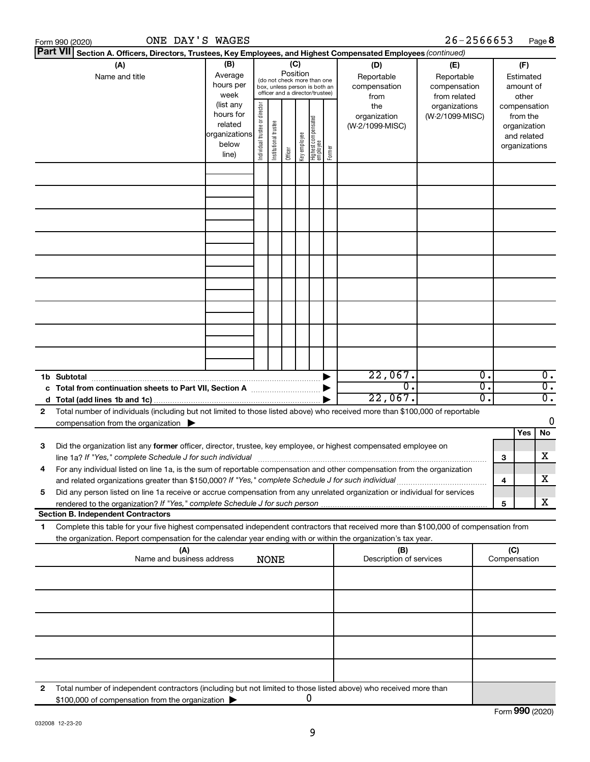|    | ONE DAY'S WAGES<br>Form 990 (2020)                                                                                                                                                                                                                     |                                                                      |                                |                       |                 |              |                                                                                                 |        |                                           | 26-2566653                                        |              |                                                                          | Page 8                               |
|----|--------------------------------------------------------------------------------------------------------------------------------------------------------------------------------------------------------------------------------------------------------|----------------------------------------------------------------------|--------------------------------|-----------------------|-----------------|--------------|-------------------------------------------------------------------------------------------------|--------|-------------------------------------------|---------------------------------------------------|--------------|--------------------------------------------------------------------------|--------------------------------------|
|    | Part VII Section A. Officers, Directors, Trustees, Key Employees, and Highest Compensated Employees (continued)                                                                                                                                        |                                                                      |                                |                       |                 |              |                                                                                                 |        |                                           |                                                   |              |                                                                          |                                      |
|    | (A)<br>Name and title                                                                                                                                                                                                                                  | (B)<br>Average<br>hours per<br>week                                  |                                |                       | (C)<br>Position |              | (do not check more than one<br>box, unless person is both an<br>officer and a director/trustee) |        | (D)<br>Reportable<br>compensation<br>from | (E)<br>Reportable<br>compensation<br>from related |              | (F)<br>Estimated<br>amount of<br>other                                   |                                      |
|    |                                                                                                                                                                                                                                                        | (list any<br>hours for<br>related<br>organizations<br>below<br>line) | Individual trustee or director | Institutional trustee | Officer         | Key employee | Highest compensated<br>  employee                                                               | Former | the<br>organization<br>(W-2/1099-MISC)    | organizations<br>(W-2/1099-MISC)                  |              | compensation<br>from the<br>organization<br>and related<br>organizations |                                      |
|    |                                                                                                                                                                                                                                                        |                                                                      |                                |                       |                 |              |                                                                                                 |        |                                           |                                                   |              |                                                                          |                                      |
|    |                                                                                                                                                                                                                                                        |                                                                      |                                |                       |                 |              |                                                                                                 |        |                                           |                                                   |              |                                                                          |                                      |
|    |                                                                                                                                                                                                                                                        |                                                                      |                                |                       |                 |              |                                                                                                 |        |                                           |                                                   |              |                                                                          |                                      |
|    |                                                                                                                                                                                                                                                        |                                                                      |                                |                       |                 |              |                                                                                                 |        |                                           |                                                   |              |                                                                          |                                      |
|    |                                                                                                                                                                                                                                                        |                                                                      |                                |                       |                 |              |                                                                                                 |        |                                           |                                                   |              |                                                                          |                                      |
|    |                                                                                                                                                                                                                                                        |                                                                      |                                |                       |                 |              |                                                                                                 |        |                                           |                                                   |              |                                                                          |                                      |
|    |                                                                                                                                                                                                                                                        |                                                                      |                                |                       |                 |              |                                                                                                 |        |                                           |                                                   |              |                                                                          |                                      |
|    |                                                                                                                                                                                                                                                        |                                                                      |                                |                       |                 |              |                                                                                                 |        |                                           |                                                   |              |                                                                          |                                      |
|    | 1b Subtotal                                                                                                                                                                                                                                            |                                                                      |                                |                       |                 |              |                                                                                                 |        | 22,067.                                   | $\overline{0}$ .                                  |              |                                                                          | $\overline{0}$ .                     |
|    | c Total from continuation sheets to Part VII, Section A manufactured by                                                                                                                                                                                |                                                                      |                                |                       |                 |              |                                                                                                 |        | $\overline{0}$ .<br>22,067.               | 0.<br>0.                                          |              |                                                                          | $\overline{0}$ .<br>$\overline{0}$ . |
| 2  | Total number of individuals (including but not limited to those listed above) who received more than \$100,000 of reportable                                                                                                                           |                                                                      |                                |                       |                 |              |                                                                                                 |        |                                           |                                                   |              |                                                                          |                                      |
|    | compensation from the organization $\blacktriangleright$                                                                                                                                                                                               |                                                                      |                                |                       |                 |              |                                                                                                 |        |                                           |                                                   |              |                                                                          | 0                                    |
|    |                                                                                                                                                                                                                                                        |                                                                      |                                |                       |                 |              |                                                                                                 |        |                                           |                                                   |              | Yes                                                                      | No                                   |
| 3  | Did the organization list any former officer, director, trustee, key employee, or highest compensated employee on<br>line 1a? If "Yes," complete Schedule J for such individual [11] manufacture manufacture in the set of the set o                   |                                                                      |                                |                       |                 |              |                                                                                                 |        |                                           |                                                   | з            |                                                                          | х                                    |
|    | For any individual listed on line 1a, is the sum of reportable compensation and other compensation from the organization<br>and related organizations greater than \$150,000? If "Yes," complete Schedule J for such individual                        |                                                                      |                                |                       |                 |              |                                                                                                 |        |                                           |                                                   | 4            |                                                                          | x                                    |
| 5  | Did any person listed on line 1a receive or accrue compensation from any unrelated organization or individual for services                                                                                                                             |                                                                      |                                |                       |                 |              |                                                                                                 |        |                                           |                                                   | 5            |                                                                          | x                                    |
|    | <b>Section B. Independent Contractors</b>                                                                                                                                                                                                              |                                                                      |                                |                       |                 |              |                                                                                                 |        |                                           |                                                   |              |                                                                          |                                      |
| 1. | Complete this table for your five highest compensated independent contractors that received more than \$100,000 of compensation from<br>the organization. Report compensation for the calendar year ending with or within the organization's tax year. |                                                                      |                                |                       |                 |              |                                                                                                 |        |                                           |                                                   |              |                                                                          |                                      |
|    | (A)<br>Name and business address                                                                                                                                                                                                                       |                                                                      |                                | <b>NONE</b>           |                 |              |                                                                                                 |        | (B)<br>Description of services            |                                                   | Compensation | (C)                                                                      |                                      |
|    |                                                                                                                                                                                                                                                        |                                                                      |                                |                       |                 |              |                                                                                                 |        |                                           |                                                   |              |                                                                          |                                      |
|    |                                                                                                                                                                                                                                                        |                                                                      |                                |                       |                 |              |                                                                                                 |        |                                           |                                                   |              |                                                                          |                                      |
|    |                                                                                                                                                                                                                                                        |                                                                      |                                |                       |                 |              |                                                                                                 |        |                                           |                                                   |              |                                                                          |                                      |
|    |                                                                                                                                                                                                                                                        |                                                                      |                                |                       |                 |              |                                                                                                 |        |                                           |                                                   |              |                                                                          |                                      |
| 2  | Total number of independent contractors (including but not limited to those listed above) who received more than<br>\$100,000 of compensation from the organization                                                                                    |                                                                      |                                |                       |                 |              | O                                                                                               |        |                                           |                                                   |              |                                                                          |                                      |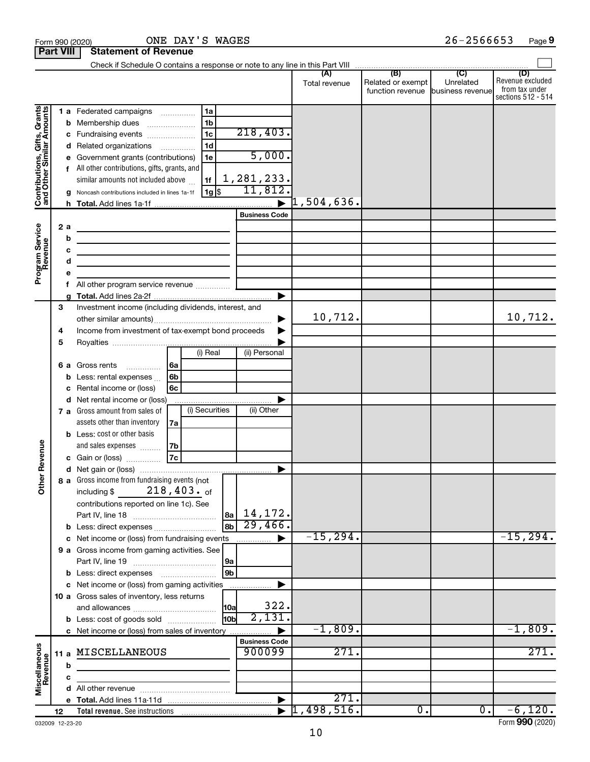|                                                           | <b>Part VIII</b>                 | <b>Statement of Revenue</b>                                                                                                                                                                                                                                                                                                                                  |                                             |                      |                                                                                       |                             |                                                                 |
|-----------------------------------------------------------|----------------------------------|--------------------------------------------------------------------------------------------------------------------------------------------------------------------------------------------------------------------------------------------------------------------------------------------------------------------------------------------------------------|---------------------------------------------|----------------------|---------------------------------------------------------------------------------------|-----------------------------|-----------------------------------------------------------------|
|                                                           |                                  |                                                                                                                                                                                                                                                                                                                                                              |                                             |                      |                                                                                       |                             |                                                                 |
|                                                           |                                  |                                                                                                                                                                                                                                                                                                                                                              |                                             | (A)<br>Total revenue | $\overline{(\overline{B})}$<br>Related or exempt<br>function revenue business revenue | $\overline{C}$<br>Unrelated | (D)<br>Revenue excluded<br>from tax under<br>sections 512 - 514 |
| Contributions, Gifts, Grants<br>and Other Similar Amounts | b<br>с<br>d<br>f<br>a            | 1a<br>1 a Federated campaigns<br>1 <sub>b</sub><br>Membership dues<br>1 <sub>c</sub><br>Fundraising events<br>1 <sub>d</sub><br>Related organizations<br>.<br>Government grants (contributions)<br>1e<br>All other contributions, gifts, grants, and<br>similar amounts not included above<br>1f<br>$1g$ \$<br>Noncash contributions included in lines 1a-1f | 218,403.<br>5,000.<br>1,281,233.<br>11,812. | $\rceil$ 1,504,636.  |                                                                                       |                             |                                                                 |
|                                                           |                                  |                                                                                                                                                                                                                                                                                                                                                              | <b>Business Code</b>                        |                      |                                                                                       |                             |                                                                 |
| Program Service<br>Revenue                                | 2a<br>b<br>c<br>d<br>е<br>f<br>a | <u> 1989 - Johann Barn, fransk politik (d. 1989)</u><br>the contract of the contract of the contract of the contract of<br><u> 1989 - Johann Barbara, martin amerikan basar da</u>                                                                                                                                                                           | ▶                                           |                      |                                                                                       |                             |                                                                 |
|                                                           | 3                                | Investment income (including dividends, interest, and                                                                                                                                                                                                                                                                                                        |                                             |                      |                                                                                       |                             |                                                                 |
|                                                           | 4<br>5                           | Income from investment of tax-exempt bond proceeds                                                                                                                                                                                                                                                                                                           |                                             | 10,712.              |                                                                                       |                             | 10,712.                                                         |
|                                                           | 6а<br>b<br>с<br>d                | (i) Real<br>Gross rents<br>  6a<br>6b<br>Less: rental expenses<br>Rental income or (loss)<br>6с<br>Net rental income or (loss)                                                                                                                                                                                                                               | (ii) Personal                               |                      |                                                                                       |                             |                                                                 |
|                                                           |                                  | (i) Securities<br>7 a Gross amount from sales of<br>assets other than inventory<br>7а<br><b>b</b> Less: cost or other basis<br>and sales expenses<br>7b                                                                                                                                                                                                      | (ii) Other                                  |                      |                                                                                       |                             |                                                                 |
| Revenue                                                   |                                  |                                                                                                                                                                                                                                                                                                                                                              |                                             |                      |                                                                                       |                             |                                                                 |
|                                                           |                                  |                                                                                                                                                                                                                                                                                                                                                              | $\blacktriangleright$                       |                      |                                                                                       |                             |                                                                 |
| ਨੋ<br>$\tilde{\vec{a}}$                                   |                                  | 8 a Gross income from fundraising events (not $\begin{bmatrix} \end{bmatrix}$<br>$218,403.$ of<br>including \$<br>contributions reported on line 1c). See<br>l 8a l<br>8b                                                                                                                                                                                    | 14,172.<br>29,466.                          |                      |                                                                                       |                             |                                                                 |
|                                                           |                                  | c Net income or (loss) from fundraising events                                                                                                                                                                                                                                                                                                               |                                             | $-15, 294.$          |                                                                                       |                             | $-15,294.$                                                      |
|                                                           |                                  | 9 a Gross income from gaming activities. See<br> 9a<br>9 <sub>b</sub><br><b>b</b> Less: direct expenses <b>manually</b>                                                                                                                                                                                                                                      |                                             |                      |                                                                                       |                             |                                                                 |
|                                                           |                                  | c Net income or (loss) from gaming activities                                                                                                                                                                                                                                                                                                                |                                             |                      |                                                                                       |                             |                                                                 |
|                                                           |                                  | 10 a Gross sales of inventory, less returns<br> 10a <br>10bl<br><b>b</b> Less: cost of goods sold                                                                                                                                                                                                                                                            | 322.<br>2,131.                              |                      |                                                                                       |                             |                                                                 |
|                                                           |                                  | c Net income or (loss) from sales of inventory                                                                                                                                                                                                                                                                                                               |                                             | $-1,809$ .           |                                                                                       |                             | $-1,809.$                                                       |
| Miscellaneous<br>Revenue                                  | 11a<br>b                         | MISCELLANEOUS                                                                                                                                                                                                                                                                                                                                                | <b>Business Code</b><br>900099              | 271.                 |                                                                                       |                             | 271.                                                            |
|                                                           | c                                |                                                                                                                                                                                                                                                                                                                                                              |                                             |                      |                                                                                       |                             |                                                                 |
|                                                           |                                  |                                                                                                                                                                                                                                                                                                                                                              |                                             |                      |                                                                                       |                             |                                                                 |
|                                                           |                                  |                                                                                                                                                                                                                                                                                                                                                              | ▶                                           | 271.                 |                                                                                       |                             |                                                                 |
|                                                           | 12                               |                                                                                                                                                                                                                                                                                                                                                              |                                             | 1,498,516.           | $\overline{0}$ .                                                                      | $0$ .                       | $-6,120.$                                                       |

Form 990 (2020) **ONE** DAY'S WAGES 26-2566653 Page

032009 12-23-20

26-2566653 Page 9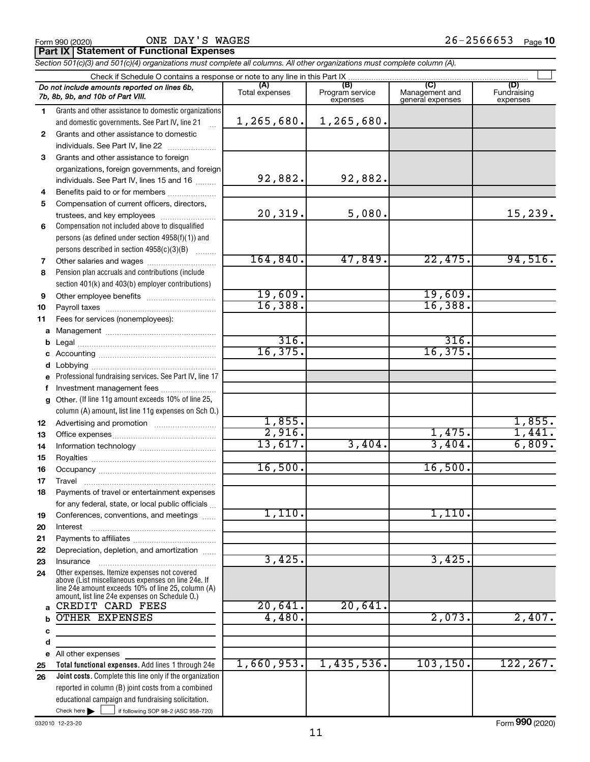**Part IX Statement of Functional Expenses**

*Section 501(c)(3) and 501(c)(4) organizations must complete all columns. All other organizations must complete column (A).*

|              | Check if Schedule O contains a response or note to any line in this Part IX                          |                       |                                    |                                           |                                |
|--------------|------------------------------------------------------------------------------------------------------|-----------------------|------------------------------------|-------------------------------------------|--------------------------------|
|              | Do not include amounts reported on lines 6b,<br>7b, 8b, 9b, and 10b of Part VIII.                    | (A)<br>Total expenses | (B)<br>Program service<br>expenses | (C)<br>Management and<br>general expenses | (D)<br>Fundraising<br>expenses |
| 1.           | Grants and other assistance to domestic organizations                                                |                       |                                    |                                           |                                |
|              | and domestic governments. See Part IV, line 21                                                       | 1,265,680.            | 1,265,680.                         |                                           |                                |
| $\mathbf{2}$ | Grants and other assistance to domestic                                                              |                       |                                    |                                           |                                |
|              | individuals. See Part IV, line 22                                                                    |                       |                                    |                                           |                                |
| 3            | Grants and other assistance to foreign                                                               |                       |                                    |                                           |                                |
|              | organizations, foreign governments, and foreign                                                      |                       |                                    |                                           |                                |
|              | individuals. See Part IV, lines 15 and 16                                                            | 92,882.               | 92,882.                            |                                           |                                |
| 4            | Benefits paid to or for members                                                                      |                       |                                    |                                           |                                |
| 5            | Compensation of current officers, directors,                                                         |                       |                                    |                                           |                                |
|              | trustees, and key employees                                                                          | 20, 319.              | 5,080.                             |                                           | 15,239.                        |
| 6            | Compensation not included above to disqualified                                                      |                       |                                    |                                           |                                |
|              | persons (as defined under section 4958(f)(1)) and                                                    |                       |                                    |                                           |                                |
|              | persons described in section 4958(c)(3)(B)                                                           |                       |                                    |                                           |                                |
| 7            |                                                                                                      | 164,840.              | 47,849.                            | 22,475.                                   | 94,516.                        |
| 8            | Pension plan accruals and contributions (include                                                     |                       |                                    |                                           |                                |
|              | section 401(k) and 403(b) employer contributions)                                                    |                       |                                    |                                           |                                |
| 9            | Other employee benefits                                                                              | 19,609.<br>16,388.    |                                    | 19,609.<br>16,388.                        |                                |
| 10           |                                                                                                      |                       |                                    |                                           |                                |
| 11           | Fees for services (nonemployees):                                                                    |                       |                                    |                                           |                                |
| a            |                                                                                                      | 316.                  |                                    | 316.                                      |                                |
| b            |                                                                                                      | 16, 375.              |                                    | 16, 375.                                  |                                |
| c            |                                                                                                      |                       |                                    |                                           |                                |
| d            | Professional fundraising services. See Part IV, line 17                                              |                       |                                    |                                           |                                |
| f            | Investment management fees                                                                           |                       |                                    |                                           |                                |
| a            | Other. (If line 11g amount exceeds 10% of line 25,                                                   |                       |                                    |                                           |                                |
|              | column (A) amount, list line 11g expenses on Sch O.)                                                 |                       |                                    |                                           |                                |
| 12           |                                                                                                      | 1,855.                |                                    |                                           | 1,855.                         |
| 13           |                                                                                                      | 2,916.                |                                    | 1,475.                                    | 1,441.                         |
| 14           |                                                                                                      | 13,617.               | 3,404.                             | 3,404.                                    | 6,809.                         |
| 15           |                                                                                                      |                       |                                    |                                           |                                |
| 16           |                                                                                                      | 16,500.               |                                    | 16,500.                                   |                                |
| 17           | Travel                                                                                               |                       |                                    |                                           |                                |
| 18           | Payments of travel or entertainment expenses                                                         |                       |                                    |                                           |                                |
|              | for any federal, state, or local public officials                                                    |                       |                                    |                                           |                                |
| 19           | Conferences, conventions, and meetings                                                               | $1,110$ .             |                                    | 1,110.                                    |                                |
| 20           | Interest                                                                                             |                       |                                    |                                           |                                |
| 21           |                                                                                                      |                       |                                    |                                           |                                |
| 22           | Depreciation, depletion, and amortization                                                            | 3,425.                |                                    |                                           |                                |
| 23           | Insurance                                                                                            |                       |                                    | 3,425.                                    |                                |
| 24           | Other expenses. Itemize expenses not covered<br>above (List miscellaneous expenses on line 24e. If   |                       |                                    |                                           |                                |
|              | line 24e amount exceeds 10% of line 25, column (A)<br>amount, list line 24e expenses on Schedule O.) |                       |                                    |                                           |                                |
| a            | CREDIT CARD FEES                                                                                     | 20,641.               | 20,641.                            |                                           |                                |
|              | OTHER EXPENSES                                                                                       | 4,480.                |                                    | 2,073.                                    | 2,407.                         |
| с            |                                                                                                      |                       |                                    |                                           |                                |
| d            |                                                                                                      |                       |                                    |                                           |                                |
| е            | All other expenses                                                                                   |                       |                                    |                                           |                                |
| 25           | Total functional expenses. Add lines 1 through 24e                                                   | 1,660,953.            | 1,435,536.                         | 103, 150.                                 | 122, 267.                      |
| 26           | Joint costs. Complete this line only if the organization                                             |                       |                                    |                                           |                                |
|              | reported in column (B) joint costs from a combined                                                   |                       |                                    |                                           |                                |
|              | educational campaign and fundraising solicitation.                                                   |                       |                                    |                                           |                                |
|              | Check here $\blacktriangleright$<br>if following SOP 98-2 (ASC 958-720)                              |                       |                                    |                                           |                                |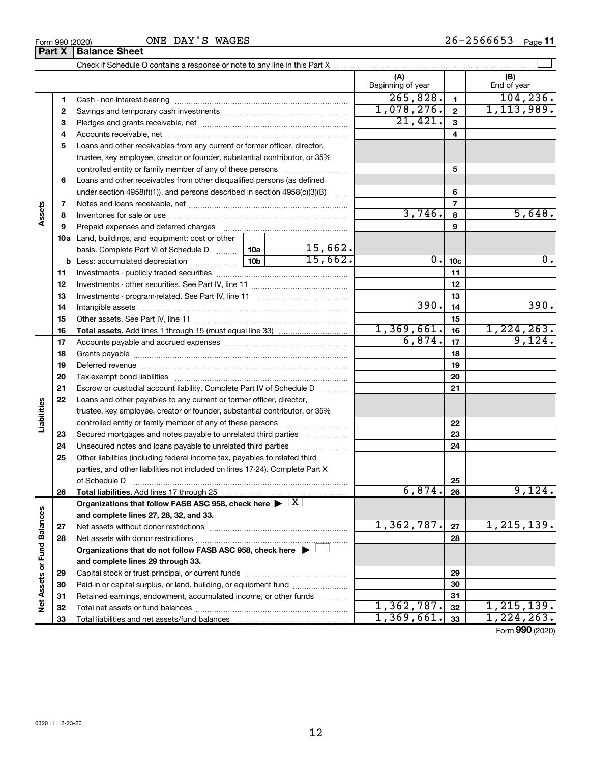|                             |    |                                                                                                                                                                                                                                |                         | (A)               |                 | (B)          |
|-----------------------------|----|--------------------------------------------------------------------------------------------------------------------------------------------------------------------------------------------------------------------------------|-------------------------|-------------------|-----------------|--------------|
|                             |    |                                                                                                                                                                                                                                |                         | Beginning of year |                 | End of year  |
|                             | 1. |                                                                                                                                                                                                                                |                         | 265,828.          | 1               | 104, 236.    |
|                             | 2  |                                                                                                                                                                                                                                |                         | 1,078,276.        | $\overline{2}$  | 1, 113, 989. |
|                             | З  |                                                                                                                                                                                                                                |                         | 21,421.           | 3               |              |
|                             | 4  |                                                                                                                                                                                                                                |                         |                   | 4               |              |
|                             | 5  | Loans and other receivables from any current or former officer, director,                                                                                                                                                      |                         |                   |                 |              |
|                             |    | trustee, key employee, creator or founder, substantial contributor, or 35%                                                                                                                                                     |                         |                   |                 |              |
|                             |    | controlled entity or family member of any of these persons                                                                                                                                                                     |                         |                   | 5               |              |
|                             | 6  | Loans and other receivables from other disqualified persons (as defined                                                                                                                                                        |                         |                   |                 |              |
|                             |    | under section $4958(f)(1)$ , and persons described in section $4958(c)(3)(B)$                                                                                                                                                  | $\sim$                  |                   | 6               |              |
|                             | 7  |                                                                                                                                                                                                                                |                         |                   | 7               |              |
| Assets                      | 8  |                                                                                                                                                                                                                                |                         | 3,746.            | 8               | 5,648.       |
|                             | 9  | Prepaid expenses and deferred charges [11] [11] prepaid expenses and deferred charges [11] [11] minimum and the Prepaid expenses and deferred charges [11] minimum and the Prepaid experiment of Prepaid experiment and the Pr |                         |                   | 9               |              |
|                             |    | 10a Land, buildings, and equipment: cost or other                                                                                                                                                                              |                         |                   |                 |              |
|                             |    | basis. Complete Part VI of Schedule D  10a                                                                                                                                                                                     |                         |                   |                 |              |
|                             |    |                                                                                                                                                                                                                                | $\frac{15,662}{15,662}$ | 0.                | 10 <sub>c</sub> | 0.           |
|                             | 11 |                                                                                                                                                                                                                                |                         |                   | 11              |              |
|                             | 12 |                                                                                                                                                                                                                                |                         |                   | 12              |              |
|                             | 13 |                                                                                                                                                                                                                                |                         |                   | 13              |              |
|                             | 14 |                                                                                                                                                                                                                                |                         | 390.              | 14              | 390.         |
|                             | 15 |                                                                                                                                                                                                                                |                         |                   | 15              |              |
|                             | 16 |                                                                                                                                                                                                                                |                         | 1,369,661.        | 16              | 1, 224, 263. |
|                             | 17 |                                                                                                                                                                                                                                |                         | 6,874.            | 17              | 9,124.       |
|                             | 18 |                                                                                                                                                                                                                                |                         |                   | 18              |              |
|                             | 19 |                                                                                                                                                                                                                                |                         |                   | 19              |              |
|                             | 20 |                                                                                                                                                                                                                                |                         |                   | 20              |              |
|                             | 21 | Escrow or custodial account liability. Complete Part IV of Schedule D                                                                                                                                                          |                         |                   | 21              |              |
|                             | 22 | Loans and other payables to any current or former officer, director,                                                                                                                                                           |                         |                   |                 |              |
| Liabilities                 |    | trustee, key employee, creator or founder, substantial contributor, or 35%                                                                                                                                                     |                         |                   |                 |              |
|                             |    | controlled entity or family member of any of these persons                                                                                                                                                                     |                         |                   | 22              |              |
|                             | 23 | Secured mortgages and notes payable to unrelated third parties                                                                                                                                                                 |                         |                   | 23              |              |
|                             | 24 | Unsecured notes and loans payable to unrelated third parties                                                                                                                                                                   |                         |                   | 24              |              |
|                             | 25 | Other liabilities (including federal income tax, payables to related third                                                                                                                                                     |                         |                   |                 |              |
|                             |    | parties, and other liabilities not included on lines 17-24). Complete Part X                                                                                                                                                   |                         |                   |                 |              |
|                             |    | of Schedule D                                                                                                                                                                                                                  |                         |                   | 25              |              |
|                             | 26 | Total liabilities. Add lines 17 through 25                                                                                                                                                                                     |                         | 6,874.            | 26              | 9,124.       |
|                             |    | Organizations that follow FASB ASC 958, check here $\blacktriangleright \lfloor \underline{X} \rfloor$                                                                                                                         |                         |                   |                 |              |
|                             |    | and complete lines 27, 28, 32, and 33.                                                                                                                                                                                         |                         |                   |                 |              |
|                             | 27 |                                                                                                                                                                                                                                |                         | 1,362,787.        | 27              | 1,215,139.   |
|                             | 28 |                                                                                                                                                                                                                                |                         |                   | 28              |              |
|                             |    | Organizations that do not follow FASB ASC 958, check here $\blacktriangleright$                                                                                                                                                |                         |                   |                 |              |
|                             |    | and complete lines 29 through 33.                                                                                                                                                                                              |                         |                   |                 |              |
|                             | 29 |                                                                                                                                                                                                                                |                         |                   | 29              |              |
| Net Assets or Fund Balances | 30 | Paid-in or capital surplus, or land, building, or equipment fund                                                                                                                                                               |                         |                   | 30              |              |
|                             | 31 | Retained earnings, endowment, accumulated income, or other funds                                                                                                                                                               |                         |                   | 31              |              |
|                             | 32 |                                                                                                                                                                                                                                |                         | 1,362,787.        | 32              | 1, 215, 139. |
|                             | 33 |                                                                                                                                                                                                                                |                         | 1,369,661.        | 33              | 1, 224, 263. |

Form (2020) **990**

**Part X Balance Sheet**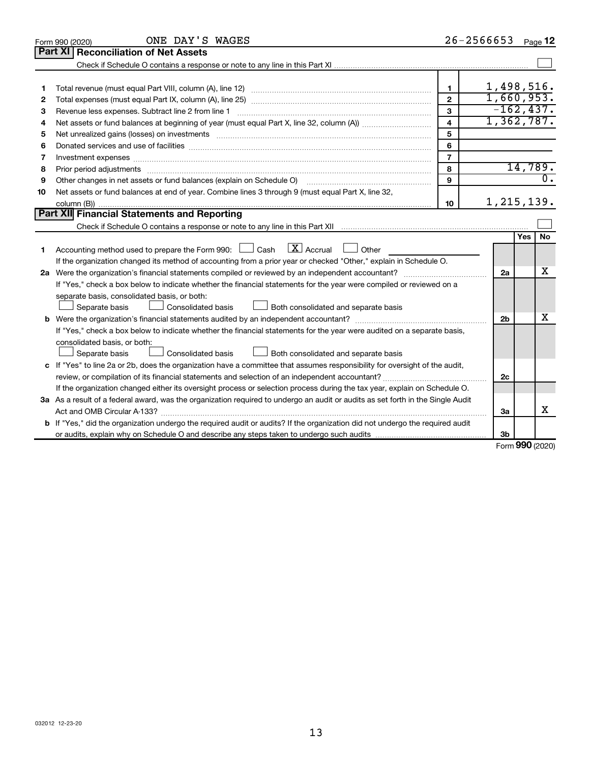|    | ONE DAY'S WAGES<br>Form 990 (2020)                                                                                                   |                         | 26-2566653     |              | Page 12          |
|----|--------------------------------------------------------------------------------------------------------------------------------------|-------------------------|----------------|--------------|------------------|
|    | Part XI<br><b>Reconciliation of Net Assets</b>                                                                                       |                         |                |              |                  |
|    |                                                                                                                                      |                         |                |              |                  |
|    |                                                                                                                                      |                         |                |              |                  |
| 1  |                                                                                                                                      | $\mathbf 1$             | 1,498,516.     |              |                  |
| 2  |                                                                                                                                      | $\mathbf{2}$            | 1,660,953.     |              |                  |
| 3  | Revenue less expenses. Subtract line 2 from line 1                                                                                   | 3                       | $-162, 437.$   |              |                  |
| 4  |                                                                                                                                      | $\overline{\mathbf{4}}$ | 1,362,787.     |              |                  |
| 5  |                                                                                                                                      | 5                       |                |              |                  |
| 6  |                                                                                                                                      | 6                       |                |              |                  |
| 7  | Investment expenses www.communication.com/www.communication.com/www.communication.com/www.com                                        | $\overline{7}$          |                |              |                  |
| 8  |                                                                                                                                      | 8                       |                |              | 14,789.          |
| 9  | Other changes in net assets or fund balances (explain on Schedule O)                                                                 | 9                       |                |              | $\overline{0}$ . |
| 10 | Net assets or fund balances at end of year. Combine lines 3 through 9 (must equal Part X, line 32,                                   |                         |                |              |                  |
|    |                                                                                                                                      | 10                      | 1,215,139.     |              |                  |
|    | Part XII Financial Statements and Reporting                                                                                          |                         |                |              |                  |
|    |                                                                                                                                      |                         |                |              |                  |
|    |                                                                                                                                      |                         |                | Yes          | No               |
| 1  | $\lfloor x \rfloor$ Accrual<br>Accounting method used to prepare the Form 990: $\Box$ Cash<br>Other                                  |                         |                |              |                  |
|    | If the organization changed its method of accounting from a prior year or checked "Other," explain in Schedule O.                    |                         |                |              |                  |
|    |                                                                                                                                      |                         | 2a             |              | x                |
|    | If "Yes," check a box below to indicate whether the financial statements for the year were compiled or reviewed on a                 |                         |                |              |                  |
|    | separate basis, consolidated basis, or both:                                                                                         |                         |                |              |                  |
|    | Separate basis<br>Both consolidated and separate basis<br>Consolidated basis                                                         |                         |                |              |                  |
|    |                                                                                                                                      |                         | 2 <sub>b</sub> |              | x                |
|    | If "Yes," check a box below to indicate whether the financial statements for the year were audited on a separate basis,              |                         |                |              |                  |
|    | consolidated basis, or both:                                                                                                         |                         |                |              |                  |
|    | Separate basis<br>Consolidated basis<br>Both consolidated and separate basis                                                         |                         |                |              |                  |
|    | c If "Yes" to line 2a or 2b, does the organization have a committee that assumes responsibility for oversight of the audit,          |                         |                |              |                  |
|    | review, or compilation of its financial statements and selection of an independent accountant?                                       |                         | 2c             |              |                  |
|    | If the organization changed either its oversight process or selection process during the tax year, explain on Schedule O.            |                         |                |              |                  |
|    | 3a As a result of a federal award, was the organization required to undergo an audit or audits as set forth in the Single Audit      |                         |                |              |                  |
|    |                                                                                                                                      |                         | 3a             |              | x                |
|    | <b>b</b> If "Yes," did the organization undergo the required audit or audits? If the organization did not undergo the required audit |                         |                |              |                  |
|    |                                                                                                                                      |                         | Зb             | $000 \text{$ |                  |

Form (2020) **990**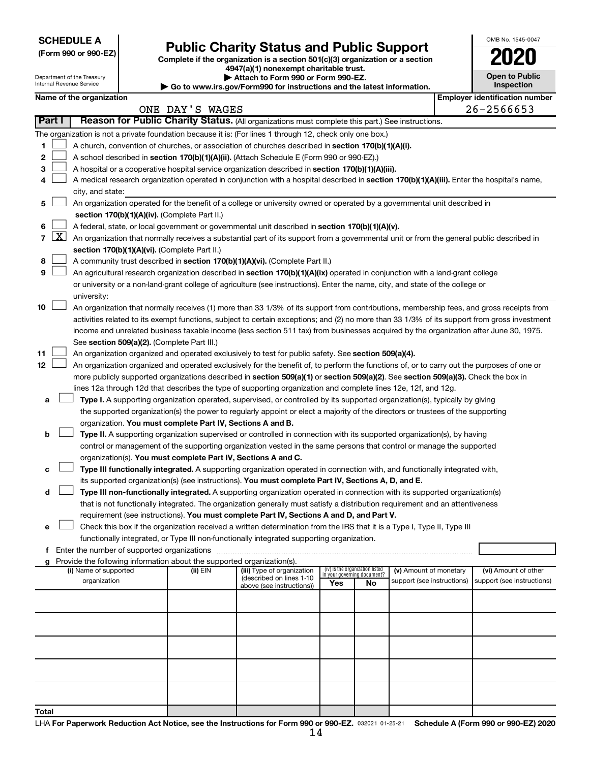| <b>SCHEDULE A</b> |  |
|-------------------|--|
|-------------------|--|

Department of the Treasury Internal Revenue Service

|  |  | (Form 990 or 990-EZ) |
|--|--|----------------------|
|  |  |                      |

## Form 990 or 990-EZ) **Public Charity Status and Public Support**<br>
Complete if the organization is a section 501(c)(3) organization or a section<br> **2020**

**4947(a)(1) nonexempt charitable trust. | Attach to Form 990 or Form 990-EZ.** 

| <b>P</b> Allach to Form 330 or Form 330-LL.                              |
|--------------------------------------------------------------------------|
| ▶ Go to www.irs.gov/Form990 for instructions and the latest information. |

| <b>Open to Public</b><br>Inspection |
|-------------------------------------|

OMB No. 1545-0047

|        | Name of the organization                                                                                                                                                                                            | ONE DAY'S WAGES |                                                       |                                                                |    |                            |  | <b>Employer identification number</b><br>26-2566653 |
|--------|---------------------------------------------------------------------------------------------------------------------------------------------------------------------------------------------------------------------|-----------------|-------------------------------------------------------|----------------------------------------------------------------|----|----------------------------|--|-----------------------------------------------------|
| Part I | Reason for Public Charity Status. (All organizations must complete this part.) See instructions.                                                                                                                    |                 |                                                       |                                                                |    |                            |  |                                                     |
|        |                                                                                                                                                                                                                     |                 |                                                       |                                                                |    |                            |  |                                                     |
|        | The organization is not a private foundation because it is: (For lines 1 through 12, check only one box.)                                                                                                           |                 |                                                       |                                                                |    |                            |  |                                                     |
| 1.     | A church, convention of churches, or association of churches described in section 170(b)(1)(A)(i).                                                                                                                  |                 |                                                       |                                                                |    |                            |  |                                                     |
| 2      | A school described in section 170(b)(1)(A)(ii). (Attach Schedule E (Form 990 or 990-EZ).)                                                                                                                           |                 |                                                       |                                                                |    |                            |  |                                                     |
| з      | A hospital or a cooperative hospital service organization described in section 170(b)(1)(A)(iii).                                                                                                                   |                 |                                                       |                                                                |    |                            |  |                                                     |
| 4      | A medical research organization operated in conjunction with a hospital described in section 170(b)(1)(A)(iii). Enter the hospital's name,<br>city, and state:                                                      |                 |                                                       |                                                                |    |                            |  |                                                     |
| 5.     | An organization operated for the benefit of a college or university owned or operated by a governmental unit described in                                                                                           |                 |                                                       |                                                                |    |                            |  |                                                     |
|        | section 170(b)(1)(A)(iv). (Complete Part II.)                                                                                                                                                                       |                 |                                                       |                                                                |    |                            |  |                                                     |
| 6.     | A federal, state, or local government or governmental unit described in section 170(b)(1)(A)(v).                                                                                                                    |                 |                                                       |                                                                |    |                            |  |                                                     |
|        | 7 $ X $ An organization that normally receives a substantial part of its support from a governmental unit or from the general public described in                                                                   |                 |                                                       |                                                                |    |                            |  |                                                     |
|        | section 170(b)(1)(A)(vi). (Complete Part II.)                                                                                                                                                                       |                 |                                                       |                                                                |    |                            |  |                                                     |
| 8      | A community trust described in section 170(b)(1)(A)(vi). (Complete Part II.)                                                                                                                                        |                 |                                                       |                                                                |    |                            |  |                                                     |
| 9      | An agricultural research organization described in section 170(b)(1)(A)(ix) operated in conjunction with a land-grant college                                                                                       |                 |                                                       |                                                                |    |                            |  |                                                     |
|        | or university or a non-land-grant college of agriculture (see instructions). Enter the name, city, and state of the college or                                                                                      |                 |                                                       |                                                                |    |                            |  |                                                     |
|        | university:                                                                                                                                                                                                         |                 |                                                       |                                                                |    |                            |  |                                                     |
| 10     | An organization that normally receives (1) more than 33 1/3% of its support from contributions, membership fees, and gross receipts from                                                                            |                 |                                                       |                                                                |    |                            |  |                                                     |
|        | activities related to its exempt functions, subject to certain exceptions; and (2) no more than 33 1/3% of its support from gross investment                                                                        |                 |                                                       |                                                                |    |                            |  |                                                     |
|        | income and unrelated business taxable income (less section 511 tax) from businesses acquired by the organization after June 30, 1975.                                                                               |                 |                                                       |                                                                |    |                            |  |                                                     |
|        | See section 509(a)(2). (Complete Part III.)                                                                                                                                                                         |                 |                                                       |                                                                |    |                            |  |                                                     |
| 11     | An organization organized and operated exclusively to test for public safety. See section 509(a)(4).                                                                                                                |                 |                                                       |                                                                |    |                            |  |                                                     |
| 12     | An organization organized and operated exclusively for the benefit of, to perform the functions of, or to carry out the purposes of one or                                                                          |                 |                                                       |                                                                |    |                            |  |                                                     |
|        | more publicly supported organizations described in section 509(a)(1) or section 509(a)(2). See section 509(a)(3). Check the box in                                                                                  |                 |                                                       |                                                                |    |                            |  |                                                     |
|        | lines 12a through 12d that describes the type of supporting organization and complete lines 12e, 12f, and 12g.                                                                                                      |                 |                                                       |                                                                |    |                            |  |                                                     |
| а      | Type I. A supporting organization operated, supervised, or controlled by its supported organization(s), typically by giving                                                                                         |                 |                                                       |                                                                |    |                            |  |                                                     |
|        | the supported organization(s) the power to regularly appoint or elect a majority of the directors or trustees of the supporting                                                                                     |                 |                                                       |                                                                |    |                            |  |                                                     |
|        | organization. You must complete Part IV, Sections A and B.                                                                                                                                                          |                 |                                                       |                                                                |    |                            |  |                                                     |
| b      | Type II. A supporting organization supervised or controlled in connection with its supported organization(s), by having                                                                                             |                 |                                                       |                                                                |    |                            |  |                                                     |
|        | control or management of the supporting organization vested in the same persons that control or manage the supported                                                                                                |                 |                                                       |                                                                |    |                            |  |                                                     |
|        | organization(s). You must complete Part IV, Sections A and C.                                                                                                                                                       |                 |                                                       |                                                                |    |                            |  |                                                     |
| с      | Type III functionally integrated. A supporting organization operated in connection with, and functionally integrated with,                                                                                          |                 |                                                       |                                                                |    |                            |  |                                                     |
|        | its supported organization(s) (see instructions). You must complete Part IV, Sections A, D, and E.                                                                                                                  |                 |                                                       |                                                                |    |                            |  |                                                     |
| d      | Type III non-functionally integrated. A supporting organization operated in connection with its supported organization(s)                                                                                           |                 |                                                       |                                                                |    |                            |  |                                                     |
|        | that is not functionally integrated. The organization generally must satisfy a distribution requirement and an attentiveness                                                                                        |                 |                                                       |                                                                |    |                            |  |                                                     |
|        | requirement (see instructions). You must complete Part IV, Sections A and D, and Part V.<br>Check this box if the organization received a written determination from the IRS that it is a Type I, Type II, Type III |                 |                                                       |                                                                |    |                            |  |                                                     |
|        | functionally integrated, or Type III non-functionally integrated supporting organization.                                                                                                                           |                 |                                                       |                                                                |    |                            |  |                                                     |
|        | f Enter the number of supported organizations                                                                                                                                                                       |                 |                                                       |                                                                |    |                            |  |                                                     |
|        | g Provide the following information about the supported organization(s).                                                                                                                                            |                 |                                                       |                                                                |    |                            |  |                                                     |
|        | (i) Name of supported                                                                                                                                                                                               | (ii) EIN        | (iii) Type of organization                            | (iv) Is the organization listed<br>in your governing document? |    | (v) Amount of monetary     |  | (vi) Amount of other                                |
|        | organization                                                                                                                                                                                                        |                 | (described on lines 1-10<br>above (see instructions)) | Yes                                                            | No | support (see instructions) |  | support (see instructions)                          |
|        |                                                                                                                                                                                                                     |                 |                                                       |                                                                |    |                            |  |                                                     |
|        |                                                                                                                                                                                                                     |                 |                                                       |                                                                |    |                            |  |                                                     |
|        |                                                                                                                                                                                                                     |                 |                                                       |                                                                |    |                            |  |                                                     |
|        |                                                                                                                                                                                                                     |                 |                                                       |                                                                |    |                            |  |                                                     |
|        |                                                                                                                                                                                                                     |                 |                                                       |                                                                |    |                            |  |                                                     |
|        |                                                                                                                                                                                                                     |                 |                                                       |                                                                |    |                            |  |                                                     |
|        |                                                                                                                                                                                                                     |                 |                                                       |                                                                |    |                            |  |                                                     |
|        |                                                                                                                                                                                                                     |                 |                                                       |                                                                |    |                            |  |                                                     |
|        |                                                                                                                                                                                                                     |                 |                                                       |                                                                |    |                            |  |                                                     |
| Total  |                                                                                                                                                                                                                     |                 |                                                       |                                                                |    |                            |  |                                                     |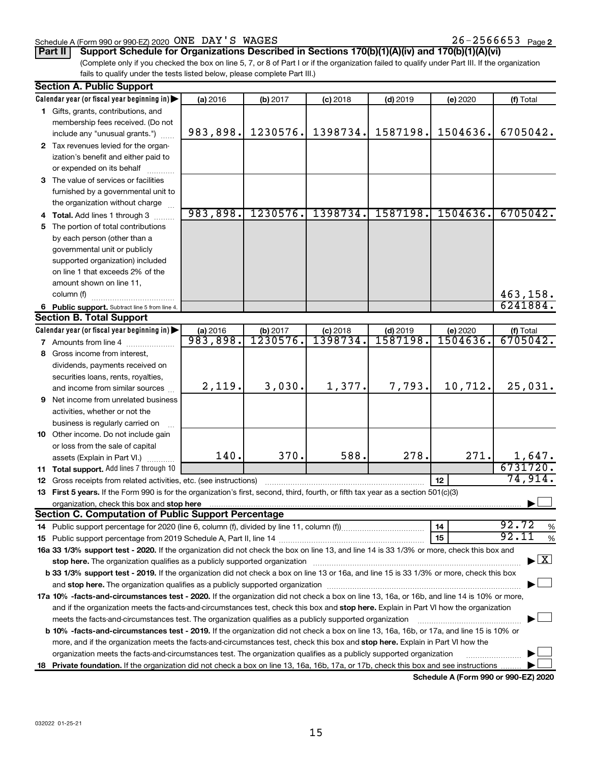#### Schedule A (Form 990 or 990-EZ) 2020 Page ONE DAY'S WAGES 26-2566653

**Part II Support Schedule for Organizations Described in Sections 170(b)(1)(A)(iv) and 170(b)(1)(A)(vi)**

(Complete only if you checked the box on line 5, 7, or 8 of Part I or if the organization failed to qualify under Part III. If the organization fails to qualify under the tests listed below, please complete Part III.)

| <b>Section A. Public Support</b>                                                                                                                                                                                                                                                                                                                                           |          |          |            |            |          |                                          |
|----------------------------------------------------------------------------------------------------------------------------------------------------------------------------------------------------------------------------------------------------------------------------------------------------------------------------------------------------------------------------|----------|----------|------------|------------|----------|------------------------------------------|
| Calendar year (or fiscal year beginning in)                                                                                                                                                                                                                                                                                                                                | (a) 2016 | (b) 2017 | $(c)$ 2018 | $(d)$ 2019 | (e) 2020 | (f) Total                                |
| 1 Gifts, grants, contributions, and                                                                                                                                                                                                                                                                                                                                        |          |          |            |            |          |                                          |
| membership fees received. (Do not                                                                                                                                                                                                                                                                                                                                          |          |          |            |            |          |                                          |
| include any "unusual grants.")                                                                                                                                                                                                                                                                                                                                             | 983,898. | 1230576. | 1398734.   | 1587198.   | 1504636. | 6705042.                                 |
| 2 Tax revenues levied for the organ-                                                                                                                                                                                                                                                                                                                                       |          |          |            |            |          |                                          |
| ization's benefit and either paid to                                                                                                                                                                                                                                                                                                                                       |          |          |            |            |          |                                          |
| or expended on its behalf                                                                                                                                                                                                                                                                                                                                                  |          |          |            |            |          |                                          |
| 3 The value of services or facilities                                                                                                                                                                                                                                                                                                                                      |          |          |            |            |          |                                          |
| furnished by a governmental unit to                                                                                                                                                                                                                                                                                                                                        |          |          |            |            |          |                                          |
| the organization without charge                                                                                                                                                                                                                                                                                                                                            |          |          |            |            |          |                                          |
| 4 Total. Add lines 1 through 3                                                                                                                                                                                                                                                                                                                                             | 983,898. | 1230576. | 1398734.   | 1587198.   | 1504636. | 6705042.                                 |
| 5 The portion of total contributions                                                                                                                                                                                                                                                                                                                                       |          |          |            |            |          |                                          |
| by each person (other than a                                                                                                                                                                                                                                                                                                                                               |          |          |            |            |          |                                          |
| governmental unit or publicly                                                                                                                                                                                                                                                                                                                                              |          |          |            |            |          |                                          |
| supported organization) included                                                                                                                                                                                                                                                                                                                                           |          |          |            |            |          |                                          |
| on line 1 that exceeds 2% of the                                                                                                                                                                                                                                                                                                                                           |          |          |            |            |          |                                          |
| amount shown on line 11,                                                                                                                                                                                                                                                                                                                                                   |          |          |            |            |          |                                          |
| column (f)                                                                                                                                                                                                                                                                                                                                                                 |          |          |            |            |          | 463,158.                                 |
| 6 Public support. Subtract line 5 from line 4.                                                                                                                                                                                                                                                                                                                             |          |          |            |            |          | 6241884.                                 |
| <b>Section B. Total Support</b>                                                                                                                                                                                                                                                                                                                                            |          |          |            |            |          |                                          |
| Calendar year (or fiscal year beginning in)                                                                                                                                                                                                                                                                                                                                | (a) 2016 | (b) 2017 | $(c)$ 2018 | $(d)$ 2019 | (e) 2020 | (f) Total                                |
| 7 Amounts from line 4                                                                                                                                                                                                                                                                                                                                                      | 983,898. | 1230576. | 1398734.   | 1587198.   | 1504636. | 6705042.                                 |
| 8 Gross income from interest,                                                                                                                                                                                                                                                                                                                                              |          |          |            |            |          |                                          |
| dividends, payments received on                                                                                                                                                                                                                                                                                                                                            |          |          |            |            |          |                                          |
| securities loans, rents, royalties,                                                                                                                                                                                                                                                                                                                                        |          |          |            |            |          |                                          |
| and income from similar sources                                                                                                                                                                                                                                                                                                                                            | 2,119.   | 3,030.   | 1,377.     | 7,793.     | 10,712.  | 25,031.                                  |
| <b>9</b> Net income from unrelated business                                                                                                                                                                                                                                                                                                                                |          |          |            |            |          |                                          |
| activities, whether or not the                                                                                                                                                                                                                                                                                                                                             |          |          |            |            |          |                                          |
| business is regularly carried on                                                                                                                                                                                                                                                                                                                                           |          |          |            |            |          |                                          |
| 10 Other income. Do not include gain                                                                                                                                                                                                                                                                                                                                       |          |          |            |            |          |                                          |
| or loss from the sale of capital                                                                                                                                                                                                                                                                                                                                           |          |          |            |            |          |                                          |
|                                                                                                                                                                                                                                                                                                                                                                            | 140.     | 370.     | 588.       | 278.       | 271.     | 1,647.                                   |
| assets (Explain in Part VI.)<br>11 Total support. Add lines 7 through 10                                                                                                                                                                                                                                                                                                   |          |          |            |            |          | 6731720.                                 |
| <b>12</b> Gross receipts from related activities, etc. (see instructions)                                                                                                                                                                                                                                                                                                  |          |          |            |            | 12       | 74,914.                                  |
| 13 First 5 years. If the Form 990 is for the organization's first, second, third, fourth, or fifth tax year as a section 501(c)(3)                                                                                                                                                                                                                                         |          |          |            |            |          |                                          |
| organization, check this box and stop here                                                                                                                                                                                                                                                                                                                                 |          |          |            |            |          |                                          |
| <b>Section C. Computation of Public Support Percentage</b>                                                                                                                                                                                                                                                                                                                 |          |          |            |            |          |                                          |
|                                                                                                                                                                                                                                                                                                                                                                            |          |          |            |            | 14       | 92.72<br>%                               |
|                                                                                                                                                                                                                                                                                                                                                                            |          |          |            |            | 15       | 92.11<br>$\%$                            |
| 16a 33 1/3% support test - 2020. If the organization did not check the box on line 13, and line 14 is 33 1/3% or more, check this box and                                                                                                                                                                                                                                  |          |          |            |            |          |                                          |
|                                                                                                                                                                                                                                                                                                                                                                            |          |          |            |            |          | $\blacktriangleright$ $\boxed{\text{X}}$ |
| stop here. The organization qualifies as a publicly supported organization manufactured content and the support of the state of the state of the state of the state of the state of the state of the state of the state of the<br>b 33 1/3% support test - 2019. If the organization did not check a box on line 13 or 16a, and line 15 is 33 1/3% or more, check this box |          |          |            |            |          |                                          |
|                                                                                                                                                                                                                                                                                                                                                                            |          |          |            |            |          |                                          |
|                                                                                                                                                                                                                                                                                                                                                                            |          |          |            |            |          |                                          |
| 17a 10% -facts-and-circumstances test - 2020. If the organization did not check a box on line 13, 16a, or 16b, and line 14 is 10% or more,                                                                                                                                                                                                                                 |          |          |            |            |          |                                          |
| and if the organization meets the facts-and-circumstances test, check this box and stop here. Explain in Part VI how the organization                                                                                                                                                                                                                                      |          |          |            |            |          |                                          |
| meets the facts-and-circumstances test. The organization qualifies as a publicly supported organization                                                                                                                                                                                                                                                                    |          |          |            |            |          |                                          |
| <b>b 10%</b> -facts-and-circumstances test - 2019. If the organization did not check a box on line 13, 16a, 16b, or 17a, and line 15 is 10% or                                                                                                                                                                                                                             |          |          |            |            |          |                                          |
| more, and if the organization meets the facts-and-circumstances test, check this box and stop here. Explain in Part VI how the                                                                                                                                                                                                                                             |          |          |            |            |          |                                          |
| organization meets the facts-and-circumstances test. The organization qualifies as a publicly supported organization                                                                                                                                                                                                                                                       |          |          |            |            |          |                                          |
| 18 Private foundation. If the organization did not check a box on line 13, 16a, 16b, 17a, or 17b, check this box and see instructions                                                                                                                                                                                                                                      |          |          |            |            |          |                                          |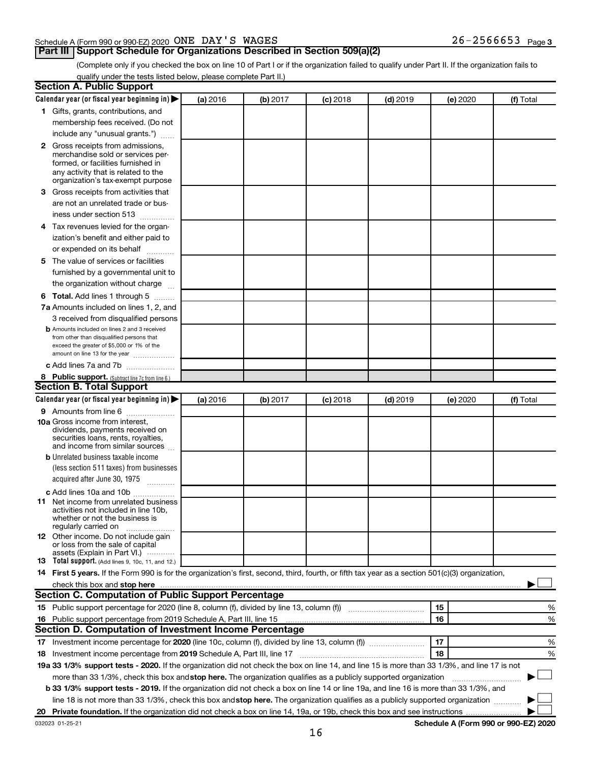#### Schedule A (Form 990 or 990-EZ) 2020 Page ONE DAY'S WAGES 26-2566653

### **Part III Support Schedule for Organizations Described in Section 509(a)(2)**

26-2566653 Page 3

(Complete only if you checked the box on line 10 of Part I or if the organization failed to qualify under Part II. If the organization fails to qualify under the tests listed below, please complete Part II.)

| <b>Section A. Public Support</b>                                                                                                                                                                                                         |          |          |          |            |          |           |
|------------------------------------------------------------------------------------------------------------------------------------------------------------------------------------------------------------------------------------------|----------|----------|----------|------------|----------|-----------|
| Calendar year (or fiscal year beginning in)                                                                                                                                                                                              | (a) 2016 | (b) 2017 | (c) 2018 | $(d)$ 2019 | (e) 2020 | (f) Total |
| 1 Gifts, grants, contributions, and                                                                                                                                                                                                      |          |          |          |            |          |           |
| membership fees received. (Do not                                                                                                                                                                                                        |          |          |          |            |          |           |
| include any "unusual grants.")                                                                                                                                                                                                           |          |          |          |            |          |           |
| <b>2</b> Gross receipts from admissions,                                                                                                                                                                                                 |          |          |          |            |          |           |
| merchandise sold or services per-                                                                                                                                                                                                        |          |          |          |            |          |           |
| formed, or facilities furnished in                                                                                                                                                                                                       |          |          |          |            |          |           |
| any activity that is related to the<br>organization's tax-exempt purpose                                                                                                                                                                 |          |          |          |            |          |           |
| 3 Gross receipts from activities that                                                                                                                                                                                                    |          |          |          |            |          |           |
|                                                                                                                                                                                                                                          |          |          |          |            |          |           |
| are not an unrelated trade or bus-                                                                                                                                                                                                       |          |          |          |            |          |           |
| iness under section 513                                                                                                                                                                                                                  |          |          |          |            |          |           |
| 4 Tax revenues levied for the organ-                                                                                                                                                                                                     |          |          |          |            |          |           |
| ization's benefit and either paid to                                                                                                                                                                                                     |          |          |          |            |          |           |
| or expended on its behalf<br>.                                                                                                                                                                                                           |          |          |          |            |          |           |
| 5 The value of services or facilities                                                                                                                                                                                                    |          |          |          |            |          |           |
| furnished by a governmental unit to                                                                                                                                                                                                      |          |          |          |            |          |           |
| the organization without charge                                                                                                                                                                                                          |          |          |          |            |          |           |
| <b>6 Total.</b> Add lines 1 through 5                                                                                                                                                                                                    |          |          |          |            |          |           |
| 7a Amounts included on lines 1, 2, and                                                                                                                                                                                                   |          |          |          |            |          |           |
| 3 received from disqualified persons                                                                                                                                                                                                     |          |          |          |            |          |           |
| <b>b</b> Amounts included on lines 2 and 3 received                                                                                                                                                                                      |          |          |          |            |          |           |
| from other than disqualified persons that<br>exceed the greater of \$5,000 or 1% of the                                                                                                                                                  |          |          |          |            |          |           |
| amount on line 13 for the year                                                                                                                                                                                                           |          |          |          |            |          |           |
| c Add lines 7a and 7b                                                                                                                                                                                                                    |          |          |          |            |          |           |
| 8 Public support. (Subtract line 7c from line 6.)                                                                                                                                                                                        |          |          |          |            |          |           |
| <b>Section B. Total Support</b>                                                                                                                                                                                                          |          |          |          |            |          |           |
| Calendar year (or fiscal year beginning in)                                                                                                                                                                                              | (a) 2016 | (b) 2017 | (c) 2018 | $(d)$ 2019 | (e) 2020 | (f) Total |
| <b>9</b> Amounts from line 6                                                                                                                                                                                                             |          |          |          |            |          |           |
| <b>10a</b> Gross income from interest,                                                                                                                                                                                                   |          |          |          |            |          |           |
| dividends, payments received on                                                                                                                                                                                                          |          |          |          |            |          |           |
| securities loans, rents, royalties,<br>and income from similar sources                                                                                                                                                                   |          |          |          |            |          |           |
| <b>b</b> Unrelated business taxable income                                                                                                                                                                                               |          |          |          |            |          |           |
| (less section 511 taxes) from businesses                                                                                                                                                                                                 |          |          |          |            |          |           |
| acquired after June 30, 1975                                                                                                                                                                                                             |          |          |          |            |          |           |
|                                                                                                                                                                                                                                          |          |          |          |            |          |           |
| c Add lines 10a and 10b<br><b>11</b> Net income from unrelated business                                                                                                                                                                  |          |          |          |            |          |           |
| activities not included in line 10b.                                                                                                                                                                                                     |          |          |          |            |          |           |
| whether or not the business is                                                                                                                                                                                                           |          |          |          |            |          |           |
| regularly carried on                                                                                                                                                                                                                     |          |          |          |            |          |           |
| 12 Other income. Do not include gain<br>or loss from the sale of capital                                                                                                                                                                 |          |          |          |            |          |           |
| assets (Explain in Part VI.)                                                                                                                                                                                                             |          |          |          |            |          |           |
| <b>13</b> Total support. (Add lines 9, 10c, 11, and 12.)                                                                                                                                                                                 |          |          |          |            |          |           |
| 14 First 5 years. If the Form 990 is for the organization's first, second, third, fourth, or fifth tax year as a section 501(c)(3) organization,                                                                                         |          |          |          |            |          |           |
| check this box and stop here <b>construction and construction</b> and check this box and stop here <b>construction</b> and construction and construction and construction and construction and construction and construction and constru |          |          |          |            |          |           |
| Section C. Computation of Public Support Percentage                                                                                                                                                                                      |          |          |          |            |          |           |
| 15 Public support percentage for 2020 (line 8, column (f), divided by line 13, column (f) <i>manumeronominium</i>                                                                                                                        |          |          |          |            | 15       | %         |
| 16 Public support percentage from 2019 Schedule A, Part III, line 15                                                                                                                                                                     |          |          |          |            | 16       | %         |
| Section D. Computation of Investment Income Percentage                                                                                                                                                                                   |          |          |          |            |          |           |
| 17 Investment income percentage for 2020 (line 10c, column (f), divided by line 13, column (f))                                                                                                                                          |          |          |          |            | 17       | %         |
| 18 Investment income percentage from 2019 Schedule A, Part III, line 17                                                                                                                                                                  |          |          |          |            | 18       | %         |
| 19a 33 1/3% support tests - 2020. If the organization did not check the box on line 14, and line 15 is more than 33 1/3%, and line 17 is not                                                                                             |          |          |          |            |          |           |
| more than 33 1/3%, check this box and stop here. The organization qualifies as a publicly supported organization                                                                                                                         |          |          |          |            |          |           |
| b 33 1/3% support tests - 2019. If the organization did not check a box on line 14 or line 19a, and line 16 is more than 33 1/3%, and                                                                                                    |          |          |          |            |          |           |
| line 18 is not more than 33 1/3%, check this box and stop here. The organization qualifies as a publicly supported organization                                                                                                          |          |          |          |            |          |           |
|                                                                                                                                                                                                                                          |          |          |          |            |          |           |
|                                                                                                                                                                                                                                          |          |          |          |            |          |           |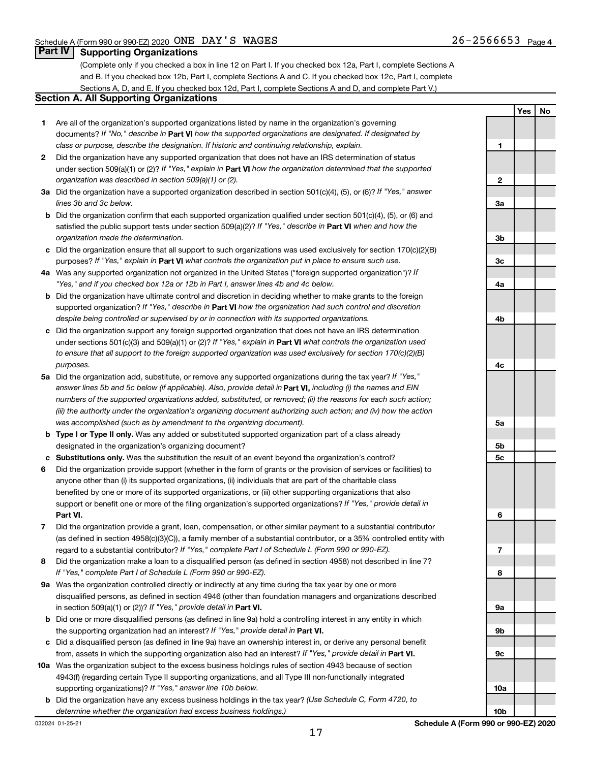**Yes No**

#### **Part IV Supporting Organizations**

(Complete only if you checked a box in line 12 on Part I. If you checked box 12a, Part I, complete Sections A and B. If you checked box 12b, Part I, complete Sections A and C. If you checked box 12c, Part I, complete Sections A, D, and E. If you checked box 12d, Part I, complete Sections A and D, and complete Part V.)

#### **Section A. All Supporting Organizations**

- **1** Are all of the organization's supported organizations listed by name in the organization's governing documents? If "No," describe in Part VI how the supported organizations are designated. If designated by *class or purpose, describe the designation. If historic and continuing relationship, explain.*
- **2** Did the organization have any supported organization that does not have an IRS determination of status under section 509(a)(1) or (2)? If "Yes," explain in Part **VI** how the organization determined that the supported *organization was described in section 509(a)(1) or (2).*
- **3a** Did the organization have a supported organization described in section 501(c)(4), (5), or (6)? If "Yes," answer *lines 3b and 3c below.*
- **b** Did the organization confirm that each supported organization qualified under section 501(c)(4), (5), or (6) and satisfied the public support tests under section 509(a)(2)? If "Yes," describe in Part VI when and how the *organization made the determination.*
- **c** Did the organization ensure that all support to such organizations was used exclusively for section 170(c)(2)(B) purposes? If "Yes," explain in Part VI what controls the organization put in place to ensure such use.
- **4 a** *If* Was any supported organization not organized in the United States ("foreign supported organization")? *"Yes," and if you checked box 12a or 12b in Part I, answer lines 4b and 4c below.*
- **b** Did the organization have ultimate control and discretion in deciding whether to make grants to the foreign supported organization? If "Yes," describe in Part VI how the organization had such control and discretion *despite being controlled or supervised by or in connection with its supported organizations.*
- **c** Did the organization support any foreign supported organization that does not have an IRS determination under sections 501(c)(3) and 509(a)(1) or (2)? If "Yes," explain in Part VI what controls the organization used *to ensure that all support to the foreign supported organization was used exclusively for section 170(c)(2)(B) purposes.*
- **5a** Did the organization add, substitute, or remove any supported organizations during the tax year? If "Yes," answer lines 5b and 5c below (if applicable). Also, provide detail in **Part VI,** including (i) the names and EIN *numbers of the supported organizations added, substituted, or removed; (ii) the reasons for each such action; (iii) the authority under the organization's organizing document authorizing such action; and (iv) how the action was accomplished (such as by amendment to the organizing document).*
- **b Type I or Type II only.** Was any added or substituted supported organization part of a class already designated in the organization's organizing document?
- **c Substitutions only.**  Was the substitution the result of an event beyond the organization's control?
- **6** Did the organization provide support (whether in the form of grants or the provision of services or facilities) to **Part VI.** support or benefit one or more of the filing organization's supported organizations? If "Yes," provide detail in anyone other than (i) its supported organizations, (ii) individuals that are part of the charitable class benefited by one or more of its supported organizations, or (iii) other supporting organizations that also
- **7** Did the organization provide a grant, loan, compensation, or other similar payment to a substantial contributor regard to a substantial contributor? If "Yes," complete Part I of Schedule L (Form 990 or 990-EZ). (as defined in section 4958(c)(3)(C)), a family member of a substantial contributor, or a 35% controlled entity with
- **8** Did the organization make a loan to a disqualified person (as defined in section 4958) not described in line 7? *If "Yes," complete Part I of Schedule L (Form 990 or 990-EZ).*
- **9 a** Was the organization controlled directly or indirectly at any time during the tax year by one or more in section 509(a)(1) or (2))? If "Yes," provide detail in **Part VI.** disqualified persons, as defined in section 4946 (other than foundation managers and organizations described
- **b** Did one or more disqualified persons (as defined in line 9a) hold a controlling interest in any entity in which the supporting organization had an interest? If "Yes," provide detail in Part VI.
- **c** Did a disqualified person (as defined in line 9a) have an ownership interest in, or derive any personal benefit from, assets in which the supporting organization also had an interest? If "Yes," provide detail in Part VI.
- **10 a** Was the organization subject to the excess business holdings rules of section 4943 because of section supporting organizations)? If "Yes," answer line 10b below. 4943(f) (regarding certain Type II supporting organizations, and all Type III non-functionally integrated
- **b** Did the organization have any excess business holdings in the tax year? (Use Schedule C, Form 4720, to *determine whether the organization had excess business holdings.)*

**1 2 3a 3b 3c 4a 4b 4c 5a 5b 5c 6 7 8 9a 9b 9c 10a**

**10b**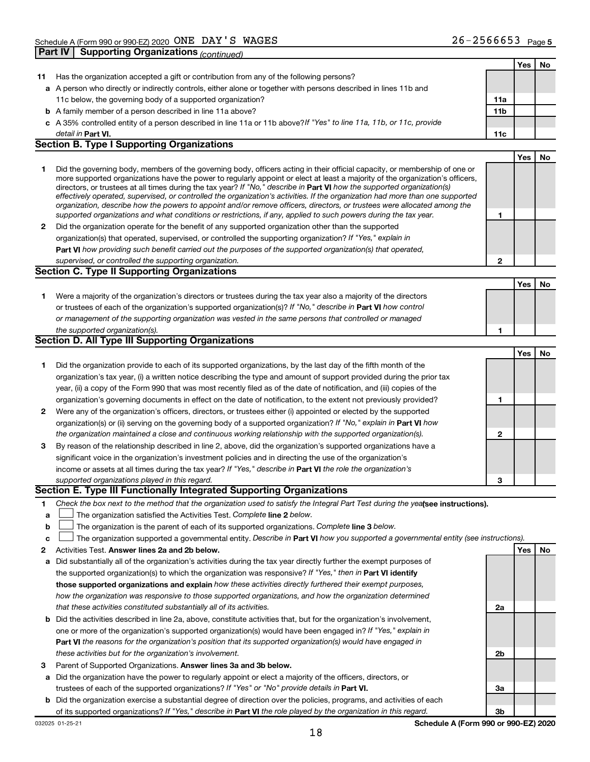|    |                                                                                                                                                                                                                                                            |              | Yes | No |
|----|------------------------------------------------------------------------------------------------------------------------------------------------------------------------------------------------------------------------------------------------------------|--------------|-----|----|
| 11 | Has the organization accepted a gift or contribution from any of the following persons?                                                                                                                                                                    |              |     |    |
|    | a A person who directly or indirectly controls, either alone or together with persons described in lines 11b and                                                                                                                                           |              |     |    |
|    | 11c below, the governing body of a supported organization?                                                                                                                                                                                                 | 11a          |     |    |
|    | <b>b</b> A family member of a person described in line 11a above?                                                                                                                                                                                          | 11b          |     |    |
|    | c A 35% controlled entity of a person described in line 11a or 11b above? If "Yes" to line 11a, 11b, or 11c, provide                                                                                                                                       |              |     |    |
|    | detail in Part VI.                                                                                                                                                                                                                                         | 11c          |     |    |
|    | <b>Section B. Type I Supporting Organizations</b>                                                                                                                                                                                                          |              |     |    |
|    |                                                                                                                                                                                                                                                            |              | Yes | No |
| 1  | Did the governing body, members of the governing body, officers acting in their official capacity, or membership of one or                                                                                                                                 |              |     |    |
|    | more supported organizations have the power to regularly appoint or elect at least a majority of the organization's officers,                                                                                                                              |              |     |    |
|    | directors, or trustees at all times during the tax year? If "No," describe in Part VI how the supported organization(s)                                                                                                                                    |              |     |    |
|    | effectively operated, supervised, or controlled the organization's activities. If the organization had more than one supported<br>organization, describe how the powers to appoint and/or remove officers, directors, or trustees were allocated among the |              |     |    |
|    | supported organizations and what conditions or restrictions, if any, applied to such powers during the tax year.                                                                                                                                           | 1            |     |    |
| 2  | Did the organization operate for the benefit of any supported organization other than the supported                                                                                                                                                        |              |     |    |
|    | organization(s) that operated, supervised, or controlled the supporting organization? If "Yes," explain in                                                                                                                                                 |              |     |    |
|    | Part VI how providing such benefit carried out the purposes of the supported organization(s) that operated,                                                                                                                                                |              |     |    |
|    | supervised, or controlled the supporting organization.                                                                                                                                                                                                     | $\mathbf{2}$ |     |    |
|    | <b>Section C. Type II Supporting Organizations</b>                                                                                                                                                                                                         |              |     |    |
|    |                                                                                                                                                                                                                                                            |              | Yes | No |
| 1  | Were a majority of the organization's directors or trustees during the tax year also a majority of the directors                                                                                                                                           |              |     |    |
|    | or trustees of each of the organization's supported organization(s)? If "No," describe in Part VI how control                                                                                                                                              |              |     |    |
|    | or management of the supporting organization was vested in the same persons that controlled or managed                                                                                                                                                     |              |     |    |
|    | the supported organization(s).                                                                                                                                                                                                                             | 1            |     |    |
|    | Section D. All Type III Supporting Organizations                                                                                                                                                                                                           |              |     |    |
|    |                                                                                                                                                                                                                                                            |              | Yes | No |
| 1  | Did the organization provide to each of its supported organizations, by the last day of the fifth month of the                                                                                                                                             |              |     |    |
|    | organization's tax year, (i) a written notice describing the type and amount of support provided during the prior tax                                                                                                                                      |              |     |    |
|    | year, (ii) a copy of the Form 990 that was most recently filed as of the date of notification, and (iii) copies of the                                                                                                                                     |              |     |    |
|    | organization's governing documents in effect on the date of notification, to the extent not previously provided?                                                                                                                                           | 1            |     |    |
| 2  | Were any of the organization's officers, directors, or trustees either (i) appointed or elected by the supported                                                                                                                                           |              |     |    |
|    | organization(s) or (ii) serving on the governing body of a supported organization? If "No," explain in Part VI how                                                                                                                                         |              |     |    |
|    | the organization maintained a close and continuous working relationship with the supported organization(s).                                                                                                                                                | $\mathbf{2}$ |     |    |
| 3  | By reason of the relationship described in line 2, above, did the organization's supported organizations have a                                                                                                                                            |              |     |    |
|    | significant voice in the organization's investment policies and in directing the use of the organization's                                                                                                                                                 |              |     |    |
|    | income or assets at all times during the tax year? If "Yes," describe in Part VI the role the organization's                                                                                                                                               |              |     |    |
|    | supported organizations played in this regard.                                                                                                                                                                                                             | 3            |     |    |
|    | Section E. Type III Functionally Integrated Supporting Organizations                                                                                                                                                                                       |              |     |    |
| 1  | Check the box next to the method that the organization used to satisfy the Integral Part Test during the yealsee instructions).                                                                                                                            |              |     |    |
| a  | The organization satisfied the Activities Test. Complete line 2 below.                                                                                                                                                                                     |              |     |    |
| b  | The organization is the parent of each of its supported organizations. Complete line 3 below.                                                                                                                                                              |              |     |    |
| с  | The organization supported a governmental entity. Describe in Part VI how you supported a governmental entity (see instructions).                                                                                                                          |              |     |    |
| 2  | Activities Test. Answer lines 2a and 2b below.                                                                                                                                                                                                             |              | Yes | No |
| а  | Did substantially all of the organization's activities during the tax year directly further the exempt purposes of                                                                                                                                         |              |     |    |
|    | the supported organization(s) to which the organization was responsive? If "Yes," then in Part VI identify                                                                                                                                                 |              |     |    |
|    | those supported organizations and explain how these activities directly furthered their exempt purposes,                                                                                                                                                   |              |     |    |
|    | how the organization was responsive to those supported organizations, and how the organization determined                                                                                                                                                  |              |     |    |
|    | that these activities constituted substantially all of its activities.                                                                                                                                                                                     | 2a           |     |    |
| b  | Did the activities described in line 2a, above, constitute activities that, but for the organization's involvement,                                                                                                                                        |              |     |    |
|    | one or more of the organization's supported organization(s) would have been engaged in? If "Yes," explain in                                                                                                                                               |              |     |    |
|    | Part VI the reasons for the organization's position that its supported organization(s) would have engaged in                                                                                                                                               |              |     |    |
|    | these activities but for the organization's involvement.                                                                                                                                                                                                   | 2b           |     |    |
| з  | Parent of Supported Organizations. Answer lines 3a and 3b below.                                                                                                                                                                                           |              |     |    |
| а  | Did the organization have the power to regularly appoint or elect a majority of the officers, directors, or                                                                                                                                                |              |     |    |
|    | trustees of each of the supported organizations? If "Yes" or "No" provide details in Part VI.                                                                                                                                                              | За           |     |    |
| b  | Did the organization exercise a substantial degree of direction over the policies, programs, and activities of each                                                                                                                                        |              |     |    |
|    | of its supported organizations? If "Yes," describe in Part VI the role played by the organization in this regard.                                                                                                                                          | 3b           |     |    |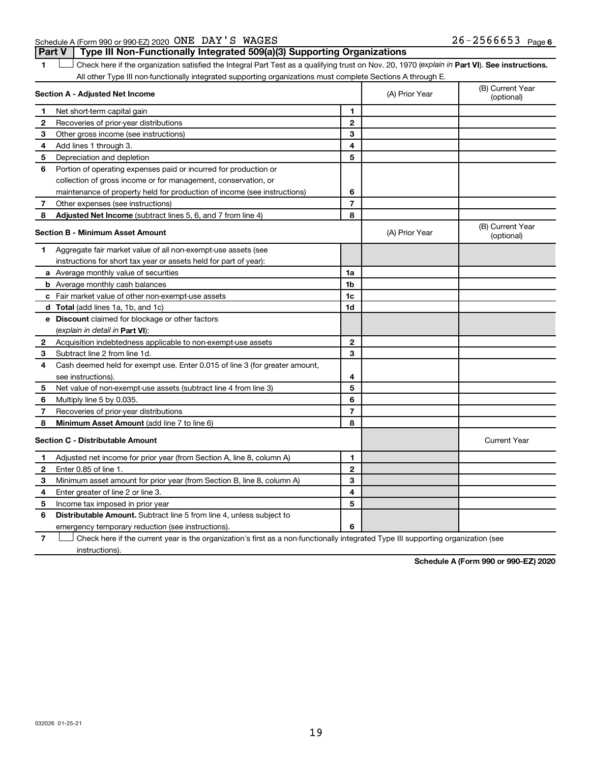#### Schedule A (Form 990 or 990-EZ) 2020 Page ONE DAY'S WAGES 26-2566653

1 **Letter See instructions.** Check here if the organization satisfied the Integral Part Test as a qualifying trust on Nov. 20, 1970 (*explain in* Part **VI**). See instructions. **Part V Type III Non-Functionally Integrated 509(a)(3) Supporting Organizations** 

All other Type III non-functionally integrated supporting organizations must complete Sections A through E.

| Section A - Adjusted Net Income |                                                                                                                                   |                | (A) Prior Year | (B) Current Year<br>(optional) |
|---------------------------------|-----------------------------------------------------------------------------------------------------------------------------------|----------------|----------------|--------------------------------|
| 1                               | Net short-term capital gain                                                                                                       | 1              |                |                                |
| $\mathbf{2}$                    | Recoveries of prior-year distributions                                                                                            | $\mathbf{2}$   |                |                                |
| 3                               | Other gross income (see instructions)                                                                                             | 3              |                |                                |
| 4                               | Add lines 1 through 3.                                                                                                            | 4              |                |                                |
| 5                               | Depreciation and depletion                                                                                                        | 5              |                |                                |
| 6                               | Portion of operating expenses paid or incurred for production or                                                                  |                |                |                                |
|                                 | collection of gross income or for management, conservation, or                                                                    |                |                |                                |
|                                 | maintenance of property held for production of income (see instructions)                                                          | 6              |                |                                |
| 7                               | Other expenses (see instructions)                                                                                                 | $\overline{7}$ |                |                                |
| 8                               | Adjusted Net Income (subtract lines 5, 6, and 7 from line 4)                                                                      | 8              |                |                                |
|                                 | <b>Section B - Minimum Asset Amount</b>                                                                                           |                | (A) Prior Year | (B) Current Year<br>(optional) |
| 1                               | Aggregate fair market value of all non-exempt-use assets (see                                                                     |                |                |                                |
|                                 | instructions for short tax year or assets held for part of year):                                                                 |                |                |                                |
|                                 | a Average monthly value of securities                                                                                             | 1a             |                |                                |
|                                 | <b>b</b> Average monthly cash balances                                                                                            | 1 <sub>b</sub> |                |                                |
|                                 | c Fair market value of other non-exempt-use assets                                                                                | 1c             |                |                                |
|                                 | <b>d</b> Total (add lines 1a, 1b, and 1c)                                                                                         | 1d             |                |                                |
|                                 | e Discount claimed for blockage or other factors                                                                                  |                |                |                                |
|                                 | (explain in detail in <b>Part VI</b> ):                                                                                           |                |                |                                |
| $\mathbf{2}$                    | Acquisition indebtedness applicable to non-exempt-use assets                                                                      | $\mathbf{2}$   |                |                                |
| 3                               | Subtract line 2 from line 1d.                                                                                                     | 3              |                |                                |
| 4                               | Cash deemed held for exempt use. Enter 0.015 of line 3 (for greater amount,                                                       |                |                |                                |
|                                 | see instructions)                                                                                                                 | 4              |                |                                |
| 5                               | Net value of non-exempt-use assets (subtract line 4 from line 3)                                                                  | 5              |                |                                |
| 6                               | Multiply line 5 by 0.035.                                                                                                         | 6              |                |                                |
| 7                               | Recoveries of prior-year distributions                                                                                            | $\overline{7}$ |                |                                |
| 8                               | Minimum Asset Amount (add line 7 to line 6)                                                                                       | 8              |                |                                |
|                                 | <b>Section C - Distributable Amount</b>                                                                                           |                |                | <b>Current Year</b>            |
| 1                               | Adjusted net income for prior year (from Section A, line 8, column A)                                                             | 1              |                |                                |
| $\mathbf{2}$                    | Enter 0.85 of line 1.                                                                                                             | $\mathbf{2}$   |                |                                |
| З                               | Minimum asset amount for prior year (from Section B, line 8, column A)                                                            | 3              |                |                                |
| 4                               | Enter greater of line 2 or line 3.                                                                                                | 4              |                |                                |
| 5                               | Income tax imposed in prior year                                                                                                  | 5              |                |                                |
| 6                               | <b>Distributable Amount.</b> Subtract line 5 from line 4, unless subject to                                                       |                |                |                                |
|                                 | emergency temporary reduction (see instructions).                                                                                 | 6              |                |                                |
| $\overline{7}$                  | Check here if the current year is the organization's first as a non-functionally integrated Type III supporting organization (see |                |                |                                |

instructions).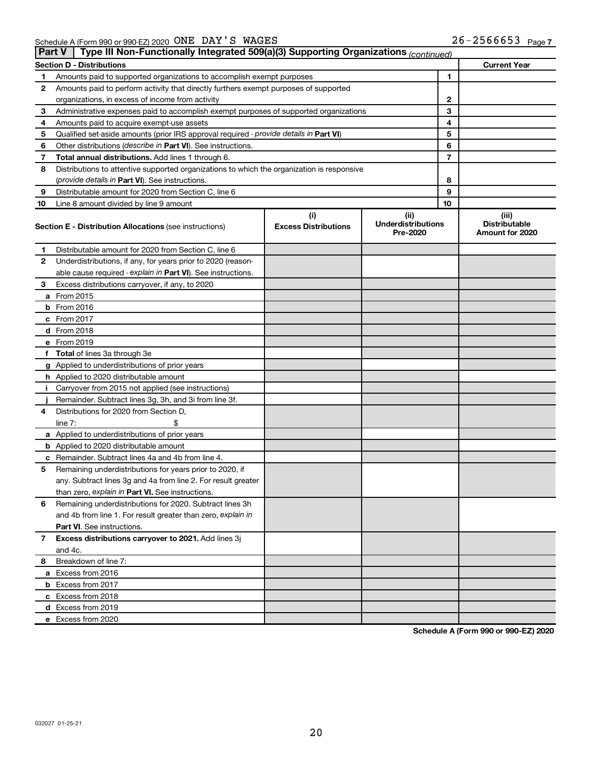|    | Type III Non-Functionally Integrated 509(a)(3) Supporting Organizations (continued)<br><b>Part V</b> |                                                                                            |                             |                                       |    |                                         |  |
|----|------------------------------------------------------------------------------------------------------|--------------------------------------------------------------------------------------------|-----------------------------|---------------------------------------|----|-----------------------------------------|--|
|    |                                                                                                      | <b>Section D - Distributions</b>                                                           |                             |                                       |    | <b>Current Year</b>                     |  |
| 1  |                                                                                                      | Amounts paid to supported organizations to accomplish exempt purposes                      |                             | 1                                     |    |                                         |  |
| 2  | Amounts paid to perform activity that directly furthers exempt purposes of supported                 |                                                                                            |                             |                                       |    |                                         |  |
|    |                                                                                                      | organizations, in excess of income from activity                                           |                             | 2                                     |    |                                         |  |
| 3  |                                                                                                      | Administrative expenses paid to accomplish exempt purposes of supported organizations      |                             | 3                                     |    |                                         |  |
| 4  |                                                                                                      | Amounts paid to acquire exempt-use assets                                                  |                             |                                       | 4  |                                         |  |
| 5  |                                                                                                      | Qualified set-aside amounts (prior IRS approval required - provide details in Part VI)     |                             |                                       | 5  |                                         |  |
| 6  |                                                                                                      | Other distributions ( <i>describe in Part VI</i> ). See instructions.                      |                             |                                       | 6  |                                         |  |
| 7  |                                                                                                      | Total annual distributions. Add lines 1 through 6.                                         |                             |                                       | 7  |                                         |  |
| 8  |                                                                                                      | Distributions to attentive supported organizations to which the organization is responsive |                             |                                       |    |                                         |  |
|    |                                                                                                      | (provide details in Part VI). See instructions.                                            |                             |                                       | 8  |                                         |  |
| 9  |                                                                                                      | Distributable amount for 2020 from Section C, line 6                                       |                             |                                       | 9  |                                         |  |
| 10 |                                                                                                      | Line 8 amount divided by line 9 amount                                                     |                             |                                       | 10 |                                         |  |
|    |                                                                                                      |                                                                                            | (i)                         | (ii)                                  |    | (iii)                                   |  |
|    |                                                                                                      | <b>Section E - Distribution Allocations (see instructions)</b>                             | <b>Excess Distributions</b> | <b>Underdistributions</b><br>Pre-2020 |    | <b>Distributable</b><br>Amount for 2020 |  |
| 1  |                                                                                                      | Distributable amount for 2020 from Section C, line 6                                       |                             |                                       |    |                                         |  |
| 2  |                                                                                                      | Underdistributions, if any, for years prior to 2020 (reason-                               |                             |                                       |    |                                         |  |
|    |                                                                                                      | able cause required - explain in Part VI). See instructions.                               |                             |                                       |    |                                         |  |
| 3  |                                                                                                      | Excess distributions carryover, if any, to 2020                                            |                             |                                       |    |                                         |  |
|    | a From 2015                                                                                          |                                                                                            |                             |                                       |    |                                         |  |
|    | $b$ From 2016                                                                                        |                                                                                            |                             |                                       |    |                                         |  |
|    | c From 2017                                                                                          |                                                                                            |                             |                                       |    |                                         |  |
|    | d From 2018                                                                                          |                                                                                            |                             |                                       |    |                                         |  |
|    | e From 2019                                                                                          |                                                                                            |                             |                                       |    |                                         |  |
|    |                                                                                                      | f Total of lines 3a through 3e                                                             |                             |                                       |    |                                         |  |
|    |                                                                                                      | g Applied to underdistributions of prior years                                             |                             |                                       |    |                                         |  |
|    |                                                                                                      | h Applied to 2020 distributable amount                                                     |                             |                                       |    |                                         |  |
| Ť. |                                                                                                      | Carryover from 2015 not applied (see instructions)                                         |                             |                                       |    |                                         |  |
|    |                                                                                                      | Remainder. Subtract lines 3g, 3h, and 3i from line 3f.                                     |                             |                                       |    |                                         |  |
| 4  |                                                                                                      | Distributions for 2020 from Section D,                                                     |                             |                                       |    |                                         |  |
|    | line $7:$                                                                                            |                                                                                            |                             |                                       |    |                                         |  |
|    |                                                                                                      | a Applied to underdistributions of prior years                                             |                             |                                       |    |                                         |  |
|    |                                                                                                      | <b>b</b> Applied to 2020 distributable amount                                              |                             |                                       |    |                                         |  |
| с  |                                                                                                      | Remainder. Subtract lines 4a and 4b from line 4.                                           |                             |                                       |    |                                         |  |
| 5  |                                                                                                      | Remaining underdistributions for years prior to 2020, if                                   |                             |                                       |    |                                         |  |
|    |                                                                                                      | any. Subtract lines 3g and 4a from line 2. For result greater                              |                             |                                       |    |                                         |  |
|    |                                                                                                      | than zero, explain in Part VI. See instructions.                                           |                             |                                       |    |                                         |  |
| 6  |                                                                                                      | Remaining underdistributions for 2020. Subtract lines 3h                                   |                             |                                       |    |                                         |  |
|    |                                                                                                      | and 4b from line 1. For result greater than zero, explain in                               |                             |                                       |    |                                         |  |
|    |                                                                                                      | <b>Part VI.</b> See instructions.                                                          |                             |                                       |    |                                         |  |
| 7  |                                                                                                      | Excess distributions carryover to 2021. Add lines 3j                                       |                             |                                       |    |                                         |  |
|    | and 4c.                                                                                              |                                                                                            |                             |                                       |    |                                         |  |
| 8  |                                                                                                      | Breakdown of line 7:                                                                       |                             |                                       |    |                                         |  |
|    |                                                                                                      | a Excess from 2016                                                                         |                             |                                       |    |                                         |  |
|    |                                                                                                      | <b>b</b> Excess from 2017                                                                  |                             |                                       |    |                                         |  |
|    |                                                                                                      | c Excess from 2018                                                                         |                             |                                       |    |                                         |  |
|    |                                                                                                      | d Excess from 2019                                                                         |                             |                                       |    |                                         |  |
|    |                                                                                                      | e Excess from 2020                                                                         |                             |                                       |    |                                         |  |
|    |                                                                                                      |                                                                                            |                             |                                       |    |                                         |  |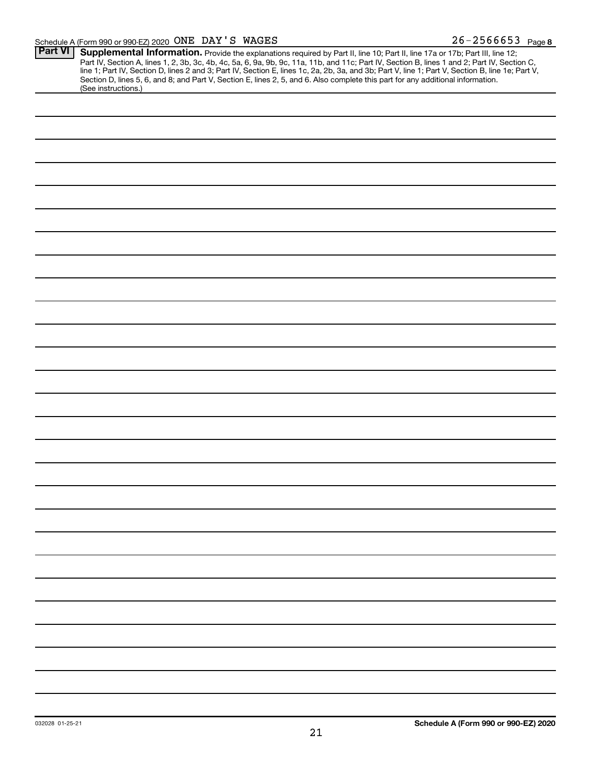| Part VI |                                                                                                                                                                                                                                        |
|---------|----------------------------------------------------------------------------------------------------------------------------------------------------------------------------------------------------------------------------------------|
|         | <b>Supplemental Information.</b> Provide the explanations required by Part II, line 10; Part II, line 17a or 17b; Part III, line 12;<br>Part IV, Section A, lines 1, 2, 3b, 3c, 4b, 4c, 5a, 6, 9a, 9b, 9c, 11a, 11b, and 11c; Part IV, |
|         |                                                                                                                                                                                                                                        |
|         | Section D, lines 5, 6, and 8; and Part V, Section E, lines 2, 5, and 6. Also complete this part for any additional information.                                                                                                        |
|         | (See instructions.)                                                                                                                                                                                                                    |
|         |                                                                                                                                                                                                                                        |
|         |                                                                                                                                                                                                                                        |
|         |                                                                                                                                                                                                                                        |
|         |                                                                                                                                                                                                                                        |
|         |                                                                                                                                                                                                                                        |
|         |                                                                                                                                                                                                                                        |
|         |                                                                                                                                                                                                                                        |
|         |                                                                                                                                                                                                                                        |
|         |                                                                                                                                                                                                                                        |
|         |                                                                                                                                                                                                                                        |
|         |                                                                                                                                                                                                                                        |
|         |                                                                                                                                                                                                                                        |
|         |                                                                                                                                                                                                                                        |
|         |                                                                                                                                                                                                                                        |
|         |                                                                                                                                                                                                                                        |
|         |                                                                                                                                                                                                                                        |
|         |                                                                                                                                                                                                                                        |
|         |                                                                                                                                                                                                                                        |
|         |                                                                                                                                                                                                                                        |
|         |                                                                                                                                                                                                                                        |
|         |                                                                                                                                                                                                                                        |
|         |                                                                                                                                                                                                                                        |
|         |                                                                                                                                                                                                                                        |
|         |                                                                                                                                                                                                                                        |
|         |                                                                                                                                                                                                                                        |
|         |                                                                                                                                                                                                                                        |
|         |                                                                                                                                                                                                                                        |
|         |                                                                                                                                                                                                                                        |
|         |                                                                                                                                                                                                                                        |
|         |                                                                                                                                                                                                                                        |
|         |                                                                                                                                                                                                                                        |
|         |                                                                                                                                                                                                                                        |
|         |                                                                                                                                                                                                                                        |
|         |                                                                                                                                                                                                                                        |
|         |                                                                                                                                                                                                                                        |
|         |                                                                                                                                                                                                                                        |
|         |                                                                                                                                                                                                                                        |
|         |                                                                                                                                                                                                                                        |
|         |                                                                                                                                                                                                                                        |
|         |                                                                                                                                                                                                                                        |
|         |                                                                                                                                                                                                                                        |
|         |                                                                                                                                                                                                                                        |
|         |                                                                                                                                                                                                                                        |
|         |                                                                                                                                                                                                                                        |
|         |                                                                                                                                                                                                                                        |
|         |                                                                                                                                                                                                                                        |
|         |                                                                                                                                                                                                                                        |
|         |                                                                                                                                                                                                                                        |
|         |                                                                                                                                                                                                                                        |
|         |                                                                                                                                                                                                                                        |
|         |                                                                                                                                                                                                                                        |
|         |                                                                                                                                                                                                                                        |
|         |                                                                                                                                                                                                                                        |
|         |                                                                                                                                                                                                                                        |
|         |                                                                                                                                                                                                                                        |
|         |                                                                                                                                                                                                                                        |
|         |                                                                                                                                                                                                                                        |
|         |                                                                                                                                                                                                                                        |
|         |                                                                                                                                                                                                                                        |
|         |                                                                                                                                                                                                                                        |
|         |                                                                                                                                                                                                                                        |
|         |                                                                                                                                                                                                                                        |
|         |                                                                                                                                                                                                                                        |
|         |                                                                                                                                                                                                                                        |
|         |                                                                                                                                                                                                                                        |
|         |                                                                                                                                                                                                                                        |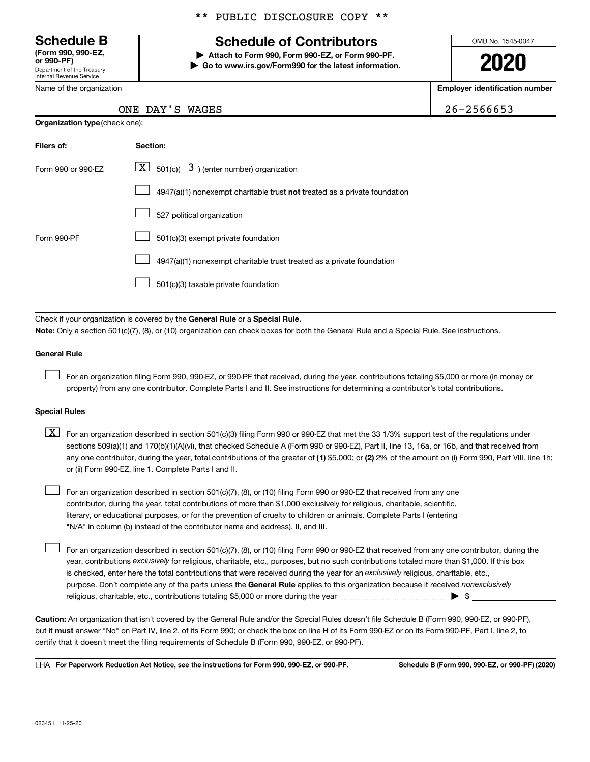Department of the Treasury Internal Revenue Service **(Form 990, 990-EZ,**

Name of the organization

#### \*\* PUBLIC DISCLOSURE COPY \*\*

## **Schedule B Schedule of Contributors**

**or 990-PF) | Attach to Form 990, Form 990-EZ, or Form 990-PF. | Go to www.irs.gov/Form990 for the latest information.** OMB No. 1545-0047

**2020**

**Employer identification number**

| ONE DAY'S WAGES | 26-2566653 |
|-----------------|------------|
|                 |            |

| <b>Organization type (check one):</b> |                                                                           |  |  |  |  |
|---------------------------------------|---------------------------------------------------------------------------|--|--|--|--|
| Filers of:                            | Section:                                                                  |  |  |  |  |
| Form 990 or 990-EZ                    | $\lfloor \underline{X} \rfloor$ 501(c)( 3) (enter number) organization    |  |  |  |  |
|                                       | 4947(a)(1) nonexempt charitable trust not treated as a private foundation |  |  |  |  |
|                                       | 527 political organization                                                |  |  |  |  |
| Form 990-PF                           | 501(c)(3) exempt private foundation                                       |  |  |  |  |
|                                       | 4947(a)(1) nonexempt charitable trust treated as a private foundation     |  |  |  |  |
|                                       | 501(c)(3) taxable private foundation                                      |  |  |  |  |

Check if your organization is covered by the General Rule or a Special Rule.

**Note:**  Only a section 501(c)(7), (8), or (10) organization can check boxes for both the General Rule and a Special Rule. See instructions.

#### **General Rule**

 $\Box$ 

 $\Box$ 

For an organization filing Form 990, 990-EZ, or 990-PF that received, during the year, contributions totaling \$5,000 or more (in money or property) from any one contributor. Complete Parts I and II. See instructions for determining a contributor's total contributions.

#### **Special Rules**

any one contributor, during the year, total contributions of the greater of (1) \$5,000; or (2) 2% of the amount on (i) Form 990, Part VIII, line 1h;  $\boxed{\text{X}}$  For an organization described in section 501(c)(3) filing Form 990 or 990-EZ that met the 33 1/3% support test of the regulations under sections 509(a)(1) and 170(b)(1)(A)(vi), that checked Schedule A (Form 990 or 990-EZ), Part II, line 13, 16a, or 16b, and that received from or (ii) Form 990-EZ, line 1. Complete Parts I and II.

For an organization described in section 501(c)(7), (8), or (10) filing Form 990 or 990-EZ that received from any one contributor, during the year, total contributions of more than \$1,000 exclusively for religious, charitable, scientific, literary, or educational purposes, or for the prevention of cruelty to children or animals. Complete Parts I (entering "N/A" in column (b) instead of the contributor name and address), II, and III.  $\Box$ 

purpose. Don't complete any of the parts unless the General Rule applies to this organization because it received nonexclusively year, contributions exclusively for religious, charitable, etc., purposes, but no such contributions totaled more than \$1,000. If this box is checked, enter here the total contributions that were received during the year for an exclusively religious, charitable, etc., For an organization described in section 501(c)(7), (8), or (10) filing Form 990 or 990-EZ that received from any one contributor, during the religious, charitable, etc., contributions totaling \$5,000 or more during the year  $~\ldots\ldots\ldots\ldots\ldots\ldots\ldots\ldots\blacktriangleright~$ \$

**Caution:**  An organization that isn't covered by the General Rule and/or the Special Rules doesn't file Schedule B (Form 990, 990-EZ, or 990-PF),  **must** but it answer "No" on Part IV, line 2, of its Form 990; or check the box on line H of its Form 990-EZ or on its Form 990-PF, Part I, line 2, to certify that it doesn't meet the filing requirements of Schedule B (Form 990, 990-EZ, or 990-PF).

**For Paperwork Reduction Act Notice, see the instructions for Form 990, 990-EZ, or 990-PF. Schedule B (Form 990, 990-EZ, or 990-PF) (2020)** LHA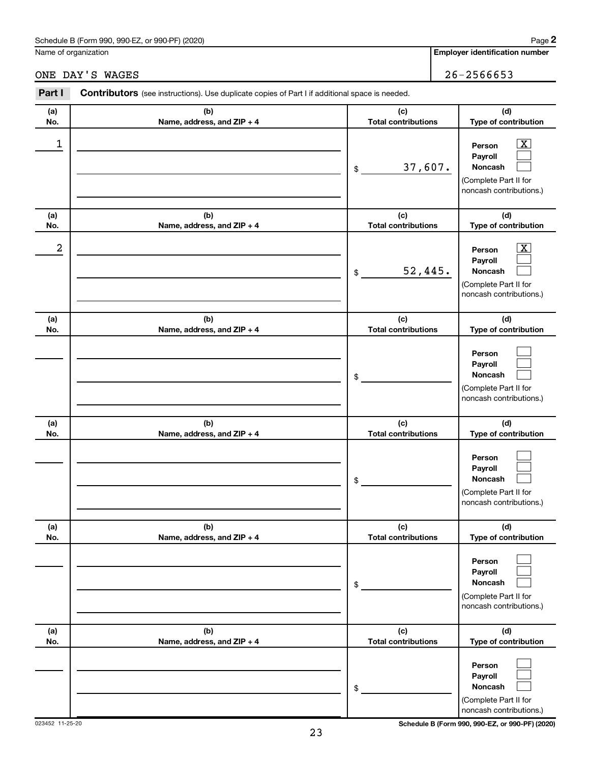#### Schedule B (Form 990, 990-EZ, or 990-PF) (2020)

Name of organization

### ONE DAY'S WAGES 26-2566653

| Part I     | <b>Contributors</b> (see instructions). Use duplicate copies of Part I if additional space is needed. |                                   |                                                                                                             |  |  |  |  |
|------------|-------------------------------------------------------------------------------------------------------|-----------------------------------|-------------------------------------------------------------------------------------------------------------|--|--|--|--|
| (a)        | (b)                                                                                                   | (c)<br><b>Total contributions</b> | (d)<br>Type of contribution                                                                                 |  |  |  |  |
| No.<br>1   | Name, address, and ZIP + 4                                                                            | 37,607.<br>\$                     | $\overline{\mathbf{X}}$<br>Person<br>Payroll<br>Noncash<br>(Complete Part II for<br>noncash contributions.) |  |  |  |  |
| (a)<br>No. | (b)<br>Name, address, and ZIP + 4                                                                     | (c)<br><b>Total contributions</b> | (d)<br>Type of contribution                                                                                 |  |  |  |  |
| 2          |                                                                                                       | 52,445.<br>\$                     | $\overline{\mathbf{X}}$<br>Person<br>Payroll<br>Noncash<br>(Complete Part II for<br>noncash contributions.) |  |  |  |  |
| (a)<br>No. | (b)<br>Name, address, and ZIP + 4                                                                     | (c)<br><b>Total contributions</b> | (d)<br>Type of contribution                                                                                 |  |  |  |  |
|            |                                                                                                       | \$                                | Person<br>Payroll<br>Noncash<br>(Complete Part II for<br>noncash contributions.)                            |  |  |  |  |
| (a)<br>No. | (b)<br>Name, address, and ZIP + 4                                                                     | (c)<br><b>Total contributions</b> | (d)<br>Type of contribution                                                                                 |  |  |  |  |
|            |                                                                                                       | \$                                | Person<br>Payroll<br>Noncash<br>(Complete Part II for<br>noncash contributions.)                            |  |  |  |  |
| (a)<br>No. | (b)<br>Name, address, and ZIP + 4                                                                     | (c)<br><b>Total contributions</b> | (d)<br>Type of contribution                                                                                 |  |  |  |  |
|            |                                                                                                       | \$                                | Person<br>Payroll<br>Noncash<br>(Complete Part II for<br>noncash contributions.)                            |  |  |  |  |
| (a)<br>No. | (b)<br>Name, address, and ZIP + 4                                                                     | (c)<br><b>Total contributions</b> | (d)<br>Type of contribution                                                                                 |  |  |  |  |
|            |                                                                                                       | \$                                | Person<br>Payroll<br>Noncash<br>(Complete Part II for<br>noncash contributions.)                            |  |  |  |  |

023452 11-25-20 **Schedule B (Form 990, 990-EZ, or 990-PF) (2020)**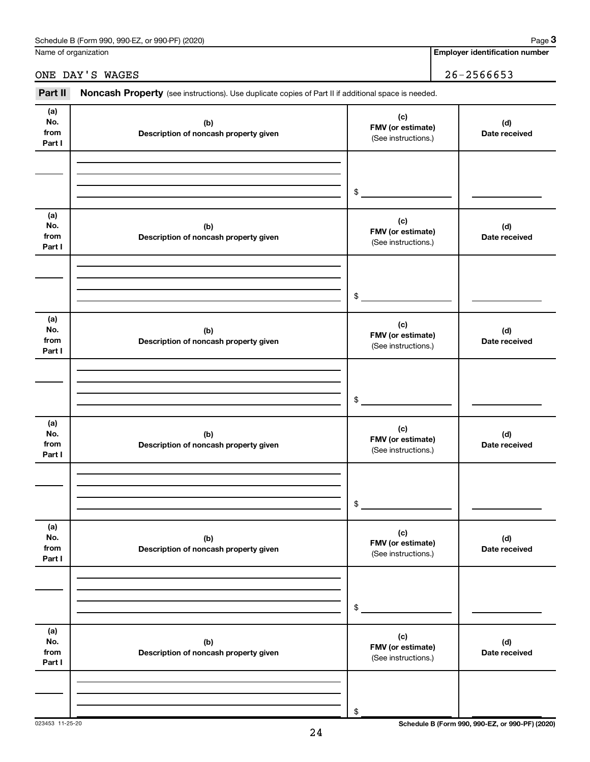Name of organization

**Employer identification number**

ONE DAY'S WAGES 26-2566653

| Part II                      | Noncash Property (see instructions). Use duplicate copies of Part II if additional space is needed. |                                                 |                                                 |  |  |  |
|------------------------------|-----------------------------------------------------------------------------------------------------|-------------------------------------------------|-------------------------------------------------|--|--|--|
| (a)<br>No.<br>from<br>Part I | (b)<br>Description of noncash property given                                                        | (c)<br>FMV (or estimate)<br>(See instructions.) | (d)<br>Date received                            |  |  |  |
|                              |                                                                                                     | \$                                              |                                                 |  |  |  |
| (a)<br>No.<br>from<br>Part I | (b)<br>Description of noncash property given                                                        | (c)<br>FMV (or estimate)<br>(See instructions.) | (d)<br>Date received                            |  |  |  |
|                              |                                                                                                     | $$\tilde{\phantom{a}}$$                         |                                                 |  |  |  |
| (a)<br>No.<br>from<br>Part I | (b)<br>Description of noncash property given                                                        | (c)<br>FMV (or estimate)<br>(See instructions.) | (d)<br>Date received                            |  |  |  |
|                              |                                                                                                     | \$                                              |                                                 |  |  |  |
| (a)<br>No.<br>from<br>Part I | (b)<br>Description of noncash property given                                                        | (c)<br>FMV (or estimate)<br>(See instructions.) | (d)<br>Date received                            |  |  |  |
|                              |                                                                                                     | \$                                              |                                                 |  |  |  |
| (a)<br>No.<br>from<br>Part I | (b)<br>Description of noncash property given                                                        | (c)<br>FMV (or estimate)<br>(See instructions.) | (d)<br>Date received                            |  |  |  |
|                              |                                                                                                     | \$                                              |                                                 |  |  |  |
| (a)<br>No.<br>from<br>Part I | (b)<br>Description of noncash property given                                                        | (c)<br>FMV (or estimate)<br>(See instructions.) | (d)<br>Date received                            |  |  |  |
|                              |                                                                                                     | \$                                              |                                                 |  |  |  |
| 023453 11-25-20              |                                                                                                     |                                                 | Schedule B (Form 990, 990-EZ, or 990-PF) (2020) |  |  |  |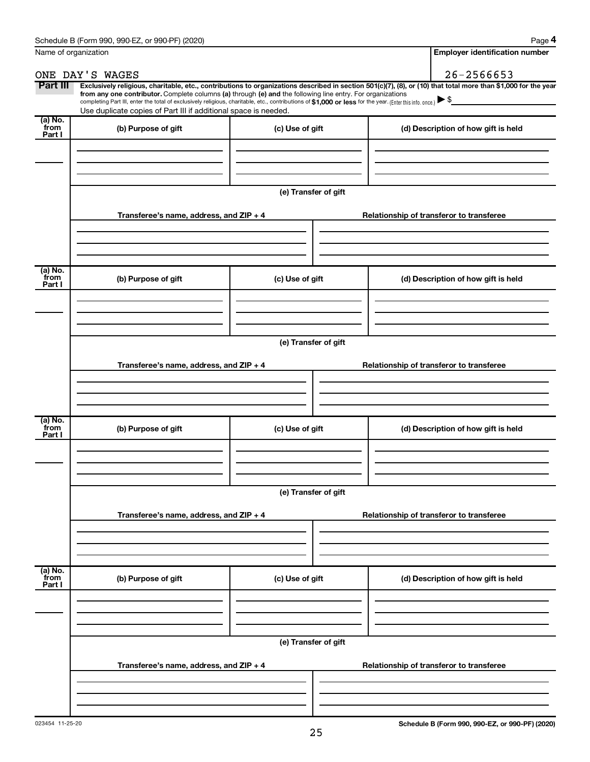| Name of organization      |                                                                                                                                                                                                                                                                                                                                           |                      | <b>Employer identification number</b>                                                                                                                          |
|---------------------------|-------------------------------------------------------------------------------------------------------------------------------------------------------------------------------------------------------------------------------------------------------------------------------------------------------------------------------------------|----------------------|----------------------------------------------------------------------------------------------------------------------------------------------------------------|
|                           | ONE DAY'S WAGES                                                                                                                                                                                                                                                                                                                           |                      | $26 - 2566653$                                                                                                                                                 |
| Part III                  | from any one contributor. Complete columns (a) through (e) and the following line entry. For organizations<br>completing Part III, enter the total of exclusively religious, charitable, etc., contributions of \$1,000 or less for the year. (Enter this info. once.)<br>Use duplicate copies of Part III if additional space is needed. |                      | Exclusively religious, charitable, etc., contributions to organizations described in section 501(c)(7), (8), or (10) that total more than \$1,000 for the year |
| (a) No.<br>from<br>Part I | (b) Purpose of gift                                                                                                                                                                                                                                                                                                                       | (c) Use of gift      | (d) Description of how gift is held                                                                                                                            |
|                           |                                                                                                                                                                                                                                                                                                                                           |                      |                                                                                                                                                                |
|                           | Transferee's name, address, and ZIP + 4                                                                                                                                                                                                                                                                                                   | (e) Transfer of gift | Relationship of transferor to transferee                                                                                                                       |
| (a) No.                   |                                                                                                                                                                                                                                                                                                                                           |                      |                                                                                                                                                                |
| from<br>Part I            | (b) Purpose of gift                                                                                                                                                                                                                                                                                                                       | (c) Use of gift      | (d) Description of how gift is held                                                                                                                            |
|                           |                                                                                                                                                                                                                                                                                                                                           | (e) Transfer of gift |                                                                                                                                                                |
|                           | Transferee's name, address, and ZIP + 4                                                                                                                                                                                                                                                                                                   |                      | Relationship of transferor to transferee                                                                                                                       |
| (a) No.<br>from<br>Part I | (b) Purpose of gift                                                                                                                                                                                                                                                                                                                       | (c) Use of gift      | (d) Description of how gift is held                                                                                                                            |
|                           |                                                                                                                                                                                                                                                                                                                                           | (e) Transfer of gift |                                                                                                                                                                |
|                           | Transferee's name, address, and ZIP + 4                                                                                                                                                                                                                                                                                                   |                      | Relationship of transferor to transferee                                                                                                                       |
| (a) No.<br>from<br>Part I | (b) Purpose of gift                                                                                                                                                                                                                                                                                                                       | (c) Use of gift      | (d) Description of how gift is held                                                                                                                            |
|                           |                                                                                                                                                                                                                                                                                                                                           |                      |                                                                                                                                                                |
|                           | Transferee's name, address, and ZIP + 4                                                                                                                                                                                                                                                                                                   | (e) Transfer of gift | Relationship of transferor to transferee                                                                                                                       |
|                           |                                                                                                                                                                                                                                                                                                                                           |                      |                                                                                                                                                                |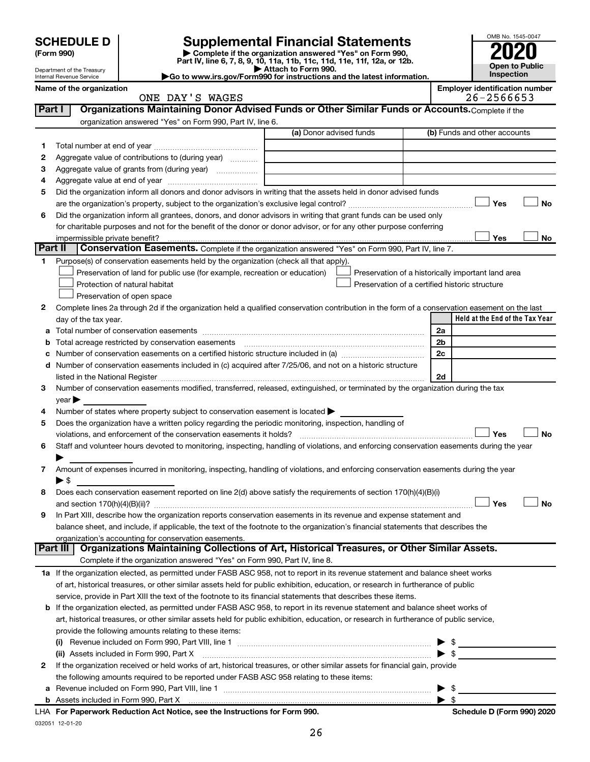| <b>SCHEDULE D</b> |  |
|-------------------|--|
|-------------------|--|

Department of the Treasury Internal Revenue Service

| (Form 990) |  |
|------------|--|
|------------|--|

# **SCHEDULE D Supplemental Financial Statements**<br> **Form 990 2020**<br> **Part IV** line 6.7.8.9.10, 11a, 11b, 11d, 11d, 11d, 11d, 11d, 12a, 0r, 12b

**(Form 990) | Complete if the organization answered "Yes" on Form 990, Part IV, line 6, 7, 8, 9, 10, 11a, 11b, 11c, 11d, 11e, 11f, 12a, or 12b.**



**| Attach to Form 990. |Go to www.irs.gov/Form990 for instructions and the latest information.**

**Name of the organization Employer identification number**

OMB No. 1545-0047

|          | ONE DAY'S WAGES                                                                                                                                |                         | 26-2566653                                         |
|----------|------------------------------------------------------------------------------------------------------------------------------------------------|-------------------------|----------------------------------------------------|
| Part I   | Organizations Maintaining Donor Advised Funds or Other Similar Funds or Accounts. Complete if the                                              |                         |                                                    |
|          | organization answered "Yes" on Form 990, Part IV, line 6.                                                                                      |                         |                                                    |
|          |                                                                                                                                                | (a) Donor advised funds | (b) Funds and other accounts                       |
| 1        |                                                                                                                                                |                         |                                                    |
| 2        | Aggregate value of contributions to (during year)                                                                                              |                         |                                                    |
| 3        | Aggregate value of grants from (during year)                                                                                                   |                         |                                                    |
| 4        |                                                                                                                                                |                         |                                                    |
| 5        | Did the organization inform all donors and donor advisors in writing that the assets held in donor advised funds                               |                         |                                                    |
|          |                                                                                                                                                |                         | Yes<br>No                                          |
|          |                                                                                                                                                |                         |                                                    |
| 6        | Did the organization inform all grantees, donors, and donor advisors in writing that grant funds can be used only                              |                         |                                                    |
|          | for charitable purposes and not for the benefit of the donor or donor advisor, or for any other purpose conferring                             |                         |                                                    |
|          |                                                                                                                                                |                         | Yes<br>No                                          |
| Part II  | Conservation Easements. Complete if the organization answered "Yes" on Form 990, Part IV, line 7.                                              |                         |                                                    |
| 1        | Purpose(s) of conservation easements held by the organization (check all that apply).                                                          |                         |                                                    |
|          | Preservation of land for public use (for example, recreation or education)                                                                     |                         | Preservation of a historically important land area |
|          | Protection of natural habitat                                                                                                                  |                         | Preservation of a certified historic structure     |
|          | Preservation of open space                                                                                                                     |                         |                                                    |
| 2        | Complete lines 2a through 2d if the organization held a qualified conservation contribution in the form of a conservation easement on the last |                         |                                                    |
|          | day of the tax year.                                                                                                                           |                         | Held at the End of the Tax Year                    |
| а        |                                                                                                                                                |                         | 2a                                                 |
|          | Total acreage restricted by conservation easements [11] [12] Total acreage restricted by conservation easements                                |                         | 2 <sub>b</sub>                                     |
|          |                                                                                                                                                |                         | 2c                                                 |
| d        | Number of conservation easements included in (c) acquired after 7/25/06, and not on a historic structure                                       |                         |                                                    |
|          | listed in the National Register [111] [12] The Marian Marian Marian Marian Marian Marian Marian Marian Marian M                                |                         | 2d                                                 |
| 3        | Number of conservation easements modified, transferred, released, extinguished, or terminated by the organization during the tax               |                         |                                                    |
|          | $year \blacktriangleright$                                                                                                                     |                         |                                                    |
| 4        | Number of states where property subject to conservation easement is located >                                                                  |                         |                                                    |
| 5        | Does the organization have a written policy regarding the periodic monitoring, inspection, handling of                                         |                         |                                                    |
|          | violations, and enforcement of the conservation easements it holds?                                                                            |                         | Yes<br><b>No</b>                                   |
| 6        | Staff and volunteer hours devoted to monitoring, inspecting, handling of violations, and enforcing conservation easements during the year      |                         |                                                    |
|          |                                                                                                                                                |                         |                                                    |
| 7        | Amount of expenses incurred in monitoring, inspecting, handling of violations, and enforcing conservation easements during the year            |                         |                                                    |
|          | ► \$                                                                                                                                           |                         |                                                    |
| 8        | Does each conservation easement reported on line 2(d) above satisfy the requirements of section 170(h)(4)(B)(i)                                |                         |                                                    |
|          |                                                                                                                                                |                         | Yes<br><b>No</b>                                   |
| 9        | In Part XIII, describe how the organization reports conservation easements in its revenue and expense statement and                            |                         |                                                    |
|          | balance sheet, and include, if applicable, the text of the footnote to the organization's financial statements that describes the              |                         |                                                    |
|          | organization's accounting for conservation easements.                                                                                          |                         |                                                    |
| Part III | Organizations Maintaining Collections of Art, Historical Treasures, or Other Similar Assets.                                                   |                         |                                                    |
|          | Complete if the organization answered "Yes" on Form 990, Part IV, line 8.                                                                      |                         |                                                    |
|          | 1a If the organization elected, as permitted under FASB ASC 958, not to report in its revenue statement and balance sheet works                |                         |                                                    |
|          | of art, historical treasures, or other similar assets held for public exhibition, education, or research in furtherance of public              |                         |                                                    |
|          | service, provide in Part XIII the text of the footnote to its financial statements that describes these items.                                 |                         |                                                    |
|          |                                                                                                                                                |                         |                                                    |
|          | b If the organization elected, as permitted under FASB ASC 958, to report in its revenue statement and balance sheet works of                  |                         |                                                    |
|          | art, historical treasures, or other similar assets held for public exhibition, education, or research in furtherance of public service,        |                         |                                                    |
|          | provide the following amounts relating to these items:                                                                                         |                         |                                                    |
|          | (i)                                                                                                                                            |                         | - \$<br>▶                                          |
|          | (ii) Assets included in Form 990, Part X                                                                                                       |                         | $\blacktriangleright$ \$                           |
| 2        | If the organization received or held works of art, historical treasures, or other similar assets for financial gain, provide                   |                         |                                                    |
|          | the following amounts required to be reported under FASB ASC 958 relating to these items:                                                      |                         |                                                    |
| a        |                                                                                                                                                |                         | $\blacktriangleright$ \$                           |
|          |                                                                                                                                                |                         |                                                    |
|          | nuouk Deduction Act Notice, can the Instructions for Form 000                                                                                  |                         | Cahadula D (Faum 000) 0000                         |

032051 12-01-20 **For Paperwork Reduction Act Notice, see the Instructions for Form 990. Schedule D (Form 990) 2020** LHA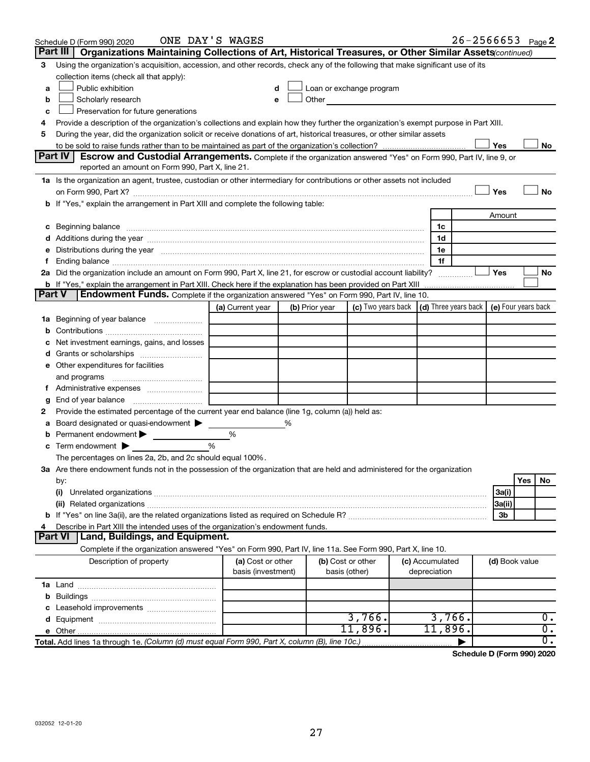|   | Schedule D (Form 990) 2020                                                                                                                                                                                                                                                                                                                                                                                                                                           | ONE DAY'S WAGES    |   |                |                                                                                                                                                                                                                               |                 |                | $26 - 2566653$ Page 2 |
|---|----------------------------------------------------------------------------------------------------------------------------------------------------------------------------------------------------------------------------------------------------------------------------------------------------------------------------------------------------------------------------------------------------------------------------------------------------------------------|--------------------|---|----------------|-------------------------------------------------------------------------------------------------------------------------------------------------------------------------------------------------------------------------------|-----------------|----------------|-----------------------|
|   | Part III  <br>Organizations Maintaining Collections of Art, Historical Treasures, or Other Similar Assets (continued)                                                                                                                                                                                                                                                                                                                                                |                    |   |                |                                                                                                                                                                                                                               |                 |                |                       |
| 3 | Using the organization's acquisition, accession, and other records, check any of the following that make significant use of its                                                                                                                                                                                                                                                                                                                                      |                    |   |                |                                                                                                                                                                                                                               |                 |                |                       |
|   | collection items (check all that apply):                                                                                                                                                                                                                                                                                                                                                                                                                             |                    |   |                |                                                                                                                                                                                                                               |                 |                |                       |
| a | Public exhibition                                                                                                                                                                                                                                                                                                                                                                                                                                                    |                    |   |                | Loan or exchange program                                                                                                                                                                                                      |                 |                |                       |
| b | Scholarly research                                                                                                                                                                                                                                                                                                                                                                                                                                                   |                    |   |                | Other and the contract of the contract of the contract of the contract of the contract of the contract of the contract of the contract of the contract of the contract of the contract of the contract of the contract of the |                 |                |                       |
| с | Preservation for future generations                                                                                                                                                                                                                                                                                                                                                                                                                                  |                    |   |                |                                                                                                                                                                                                                               |                 |                |                       |
| 4 | Provide a description of the organization's collections and explain how they further the organization's exempt purpose in Part XIII.                                                                                                                                                                                                                                                                                                                                 |                    |   |                |                                                                                                                                                                                                                               |                 |                |                       |
| 5 | During the year, did the organization solicit or receive donations of art, historical treasures, or other similar assets                                                                                                                                                                                                                                                                                                                                             |                    |   |                |                                                                                                                                                                                                                               |                 |                |                       |
|   |                                                                                                                                                                                                                                                                                                                                                                                                                                                                      |                    |   |                |                                                                                                                                                                                                                               |                 | Yes            | No                    |
|   | Part IV<br><b>Escrow and Custodial Arrangements.</b> Complete if the organization answered "Yes" on Form 990, Part IV, line 9, or                                                                                                                                                                                                                                                                                                                                    |                    |   |                |                                                                                                                                                                                                                               |                 |                |                       |
|   | reported an amount on Form 990, Part X, line 21.                                                                                                                                                                                                                                                                                                                                                                                                                     |                    |   |                |                                                                                                                                                                                                                               |                 |                |                       |
|   | 1a Is the organization an agent, trustee, custodian or other intermediary for contributions or other assets not included                                                                                                                                                                                                                                                                                                                                             |                    |   |                |                                                                                                                                                                                                                               |                 |                |                       |
|   | on Form 990, Part X? [11] matter contracts and contracts and contracts are contracted and contracts are contracted and contract and contract of the set of the set of the set of the set of the set of the set of the set of t<br>b If "Yes," explain the arrangement in Part XIII and complete the following table:                                                                                                                                                 |                    |   |                |                                                                                                                                                                                                                               |                 | Yes            | No                    |
|   |                                                                                                                                                                                                                                                                                                                                                                                                                                                                      |                    |   |                |                                                                                                                                                                                                                               |                 | Amount         |                       |
|   |                                                                                                                                                                                                                                                                                                                                                                                                                                                                      |                    |   |                |                                                                                                                                                                                                                               | 1c              |                |                       |
|   | c Beginning balance <b>communications</b> and the contract of the contract of the contract of the contract of the contract of the contract of the contract of the contract of the contract of the contract of the contract of the c<br>d Additions during the year measurement contains and a final state of the year measurement of the year measurement of the state of the state of the state of the state of the state of the state of the state of the state of |                    |   |                |                                                                                                                                                                                                                               | 1d              |                |                       |
|   | e Distributions during the year manufactured and continuum and continuum and continuum and continuum and continuum and continuum and continuum and continuum and continuum and continuum and continuum and continuum and conti                                                                                                                                                                                                                                       |                    |   |                |                                                                                                                                                                                                                               | 1e              |                |                       |
|   | f Ending balance measurements and the contract of the contract of the contract of the contract of the contract of the contract of the contract of the contract of the contract of the contract of the contract of the contract                                                                                                                                                                                                                                       |                    |   |                |                                                                                                                                                                                                                               | 1f              |                |                       |
|   | 2a Did the organization include an amount on Form 990, Part X, line 21, for escrow or custodial account liability?                                                                                                                                                                                                                                                                                                                                                   |                    |   |                |                                                                                                                                                                                                                               |                 | ∣ Yes          | No                    |
|   | b If "Yes," explain the arrangement in Part XIII. Check here if the explanation has been provided on Part XIII <i>mummumumum</i>                                                                                                                                                                                                                                                                                                                                     |                    |   |                |                                                                                                                                                                                                                               |                 |                |                       |
|   | Endowment Funds. Complete if the organization answered "Yes" on Form 990, Part IV, line 10.<br><b>Part V</b>                                                                                                                                                                                                                                                                                                                                                         |                    |   |                |                                                                                                                                                                                                                               |                 |                |                       |
|   |                                                                                                                                                                                                                                                                                                                                                                                                                                                                      | (a) Current year   |   | (b) Prior year | (c) Two years back $\vert$ (d) Three years back $\vert$ (e) Four years back                                                                                                                                                   |                 |                |                       |
|   | 1a Beginning of year balance                                                                                                                                                                                                                                                                                                                                                                                                                                         |                    |   |                |                                                                                                                                                                                                                               |                 |                |                       |
| b |                                                                                                                                                                                                                                                                                                                                                                                                                                                                      |                    |   |                |                                                                                                                                                                                                                               |                 |                |                       |
|   | Net investment earnings, gains, and losses                                                                                                                                                                                                                                                                                                                                                                                                                           |                    |   |                |                                                                                                                                                                                                                               |                 |                |                       |
|   |                                                                                                                                                                                                                                                                                                                                                                                                                                                                      |                    |   |                |                                                                                                                                                                                                                               |                 |                |                       |
|   | e Other expenditures for facilities                                                                                                                                                                                                                                                                                                                                                                                                                                  |                    |   |                |                                                                                                                                                                                                                               |                 |                |                       |
|   |                                                                                                                                                                                                                                                                                                                                                                                                                                                                      |                    |   |                |                                                                                                                                                                                                                               |                 |                |                       |
|   | f Administrative expenses                                                                                                                                                                                                                                                                                                                                                                                                                                            |                    |   |                |                                                                                                                                                                                                                               |                 |                |                       |
| g |                                                                                                                                                                                                                                                                                                                                                                                                                                                                      |                    |   |                |                                                                                                                                                                                                                               |                 |                |                       |
| 2 | Provide the estimated percentage of the current year end balance (line 1g, column (a)) held as:                                                                                                                                                                                                                                                                                                                                                                      |                    |   |                |                                                                                                                                                                                                                               |                 |                |                       |
| а | Board designated or quasi-endowment                                                                                                                                                                                                                                                                                                                                                                                                                                  |                    | % |                |                                                                                                                                                                                                                               |                 |                |                       |
|   | <b>b</b> Permanent endowment $\blacktriangleright$                                                                                                                                                                                                                                                                                                                                                                                                                   | %                  |   |                |                                                                                                                                                                                                                               |                 |                |                       |
|   | $\mathbf c$ Term endowment $\blacktriangleright$                                                                                                                                                                                                                                                                                                                                                                                                                     | $\frac{0}{0}$      |   |                |                                                                                                                                                                                                                               |                 |                |                       |
|   | The percentages on lines 2a, 2b, and 2c should equal 100%.                                                                                                                                                                                                                                                                                                                                                                                                           |                    |   |                |                                                                                                                                                                                                                               |                 |                |                       |
|   | 3a Are there endowment funds not in the possession of the organization that are held and administered for the organization                                                                                                                                                                                                                                                                                                                                           |                    |   |                |                                                                                                                                                                                                                               |                 |                |                       |
|   | by:                                                                                                                                                                                                                                                                                                                                                                                                                                                                  |                    |   |                |                                                                                                                                                                                                                               |                 |                | Yes<br>No             |
|   | (i)                                                                                                                                                                                                                                                                                                                                                                                                                                                                  |                    |   |                |                                                                                                                                                                                                                               |                 | 3a(i)          |                       |
|   |                                                                                                                                                                                                                                                                                                                                                                                                                                                                      |                    |   |                |                                                                                                                                                                                                                               |                 | 3a(ii)         |                       |
|   |                                                                                                                                                                                                                                                                                                                                                                                                                                                                      |                    |   |                |                                                                                                                                                                                                                               |                 | 3b             |                       |
| 4 | Describe in Part XIII the intended uses of the organization's endowment funds.<br>Land, Buildings, and Equipment.<br><b>Part VI</b>                                                                                                                                                                                                                                                                                                                                  |                    |   |                |                                                                                                                                                                                                                               |                 |                |                       |
|   | Complete if the organization answered "Yes" on Form 990, Part IV, line 11a. See Form 990, Part X, line 10.                                                                                                                                                                                                                                                                                                                                                           |                    |   |                |                                                                                                                                                                                                                               |                 |                |                       |
|   | Description of property                                                                                                                                                                                                                                                                                                                                                                                                                                              | (a) Cost or other  |   |                | (b) Cost or other                                                                                                                                                                                                             | (c) Accumulated | (d) Book value |                       |
|   |                                                                                                                                                                                                                                                                                                                                                                                                                                                                      | basis (investment) |   |                | basis (other)                                                                                                                                                                                                                 | depreciation    |                |                       |
|   |                                                                                                                                                                                                                                                                                                                                                                                                                                                                      |                    |   |                |                                                                                                                                                                                                                               |                 |                |                       |
| b |                                                                                                                                                                                                                                                                                                                                                                                                                                                                      |                    |   |                |                                                                                                                                                                                                                               |                 |                |                       |
|   |                                                                                                                                                                                                                                                                                                                                                                                                                                                                      |                    |   |                |                                                                                                                                                                                                                               |                 |                |                       |
|   |                                                                                                                                                                                                                                                                                                                                                                                                                                                                      |                    |   |                | 3,766.                                                                                                                                                                                                                        | 3,766.          |                | 0.                    |
|   |                                                                                                                                                                                                                                                                                                                                                                                                                                                                      |                    |   |                | 11,896.                                                                                                                                                                                                                       | 11,896.         |                | $\overline{0}$ .      |
|   | Total. Add lines 1a through 1e. (Column (d) must equal Form 990, Part X, column (B), line 10c.)                                                                                                                                                                                                                                                                                                                                                                      |                    |   |                |                                                                                                                                                                                                                               |                 |                | $\overline{0}$ .      |

**Schedule D (Form 990) 2020**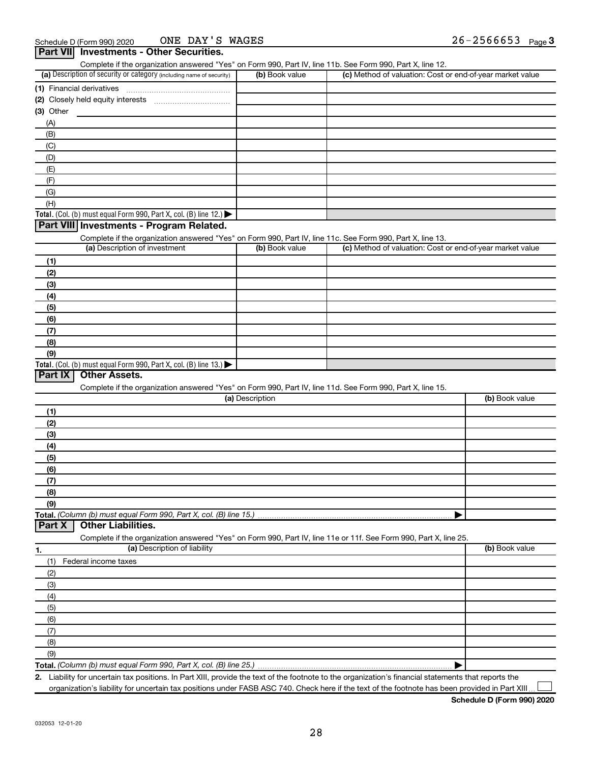| Complete if the organization answered "Yes" on Form 990, Part IV, line 11b. See Form 990, Part X, line 12.                                        |                 |                                                           |                |
|---------------------------------------------------------------------------------------------------------------------------------------------------|-----------------|-----------------------------------------------------------|----------------|
| (a) Description of security or category (including name of security)                                                                              | (b) Book value  | (c) Method of valuation: Cost or end-of-year market value |                |
|                                                                                                                                                   |                 |                                                           |                |
|                                                                                                                                                   |                 |                                                           |                |
| (3) Other                                                                                                                                         |                 |                                                           |                |
| (A)                                                                                                                                               |                 |                                                           |                |
| (B)                                                                                                                                               |                 |                                                           |                |
| (C)                                                                                                                                               |                 |                                                           |                |
|                                                                                                                                                   |                 |                                                           |                |
| (D)                                                                                                                                               |                 |                                                           |                |
| (E)                                                                                                                                               |                 |                                                           |                |
| (F)                                                                                                                                               |                 |                                                           |                |
| (G)                                                                                                                                               |                 |                                                           |                |
| (H)                                                                                                                                               |                 |                                                           |                |
| Total. (Col. (b) must equal Form 990, Part X, col. (B) line 12.)                                                                                  |                 |                                                           |                |
| Part VIII Investments - Program Related.                                                                                                          |                 |                                                           |                |
| Complete if the organization answered "Yes" on Form 990, Part IV, line 11c. See Form 990, Part X, line 13.                                        |                 |                                                           |                |
| (a) Description of investment                                                                                                                     | (b) Book value  | (c) Method of valuation: Cost or end-of-year market value |                |
| (1)                                                                                                                                               |                 |                                                           |                |
| (2)                                                                                                                                               |                 |                                                           |                |
| (3)                                                                                                                                               |                 |                                                           |                |
| (4)                                                                                                                                               |                 |                                                           |                |
| (5)                                                                                                                                               |                 |                                                           |                |
| (6)                                                                                                                                               |                 |                                                           |                |
|                                                                                                                                                   |                 |                                                           |                |
| (7)                                                                                                                                               |                 |                                                           |                |
| (8)                                                                                                                                               |                 |                                                           |                |
| (9)                                                                                                                                               |                 |                                                           |                |
| Total. (Col. (b) must equal Form 990, Part X, col. (B) line 13.)                                                                                  |                 |                                                           |                |
| <b>Other Assets.</b><br>Part IX                                                                                                                   |                 |                                                           |                |
| Complete if the organization answered "Yes" on Form 990, Part IV, line 11d. See Form 990, Part X, line 15.                                        |                 |                                                           |                |
|                                                                                                                                                   | (a) Description |                                                           | (b) Book value |
| (1)                                                                                                                                               |                 |                                                           |                |
| (2)                                                                                                                                               |                 |                                                           |                |
| (3)                                                                                                                                               |                 |                                                           |                |
| (4)                                                                                                                                               |                 |                                                           |                |
| (5)                                                                                                                                               |                 |                                                           |                |
| (6)                                                                                                                                               |                 |                                                           |                |
| (7)                                                                                                                                               |                 |                                                           |                |
| (8)                                                                                                                                               |                 |                                                           |                |
| (9)                                                                                                                                               |                 |                                                           |                |
| Total. (Column (b) must equal Form 990, Part X, col. (B) line 15.)                                                                                |                 |                                                           |                |
| Part X<br><b>Other Liabilities.</b>                                                                                                               |                 |                                                           |                |
|                                                                                                                                                   |                 |                                                           |                |
| Complete if the organization answered "Yes" on Form 990, Part IV, line 11e or 11f. See Form 990, Part X, line 25.<br>(a) Description of liability |                 |                                                           | (b) Book value |
| 1.                                                                                                                                                |                 |                                                           |                |
| (1)<br>Federal income taxes                                                                                                                       |                 |                                                           |                |
| (2)                                                                                                                                               |                 |                                                           |                |
| (3)                                                                                                                                               |                 |                                                           |                |
| (4)                                                                                                                                               |                 |                                                           |                |
| (5)                                                                                                                                               |                 |                                                           |                |
| (6)                                                                                                                                               |                 |                                                           |                |
|                                                                                                                                                   |                 |                                                           |                |
|                                                                                                                                                   |                 |                                                           |                |
| (7)                                                                                                                                               |                 |                                                           |                |
| (8)                                                                                                                                               |                 |                                                           |                |
| (9)                                                                                                                                               |                 |                                                           |                |

**2.** Liability for uncertain tax positions. In Part XIII, provide the text of the footnote to the organization's financial statements that reports the organization's liability for uncertain tax positions under FASB ASC 740. Check here if the text of the footnote has been provided in Part XIII.  $\perp$ 

**Schedule D (Form 990) 2020**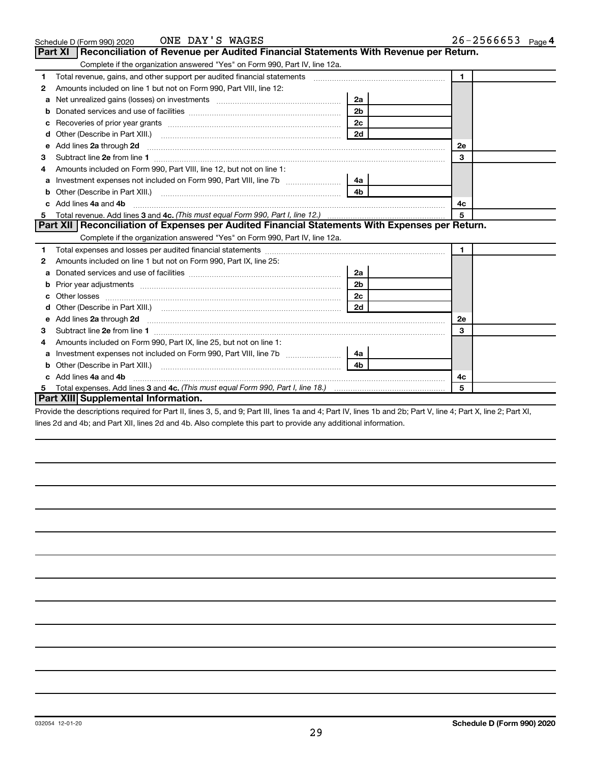|    | ONE DAY'S WAGES<br>Schedule D (Form 990) 2020                                                                                                                                                                                      |                | $26 - 2566653$ Page 4 |
|----|------------------------------------------------------------------------------------------------------------------------------------------------------------------------------------------------------------------------------------|----------------|-----------------------|
|    | <b>Part XI</b><br>Reconciliation of Revenue per Audited Financial Statements With Revenue per Return.                                                                                                                              |                |                       |
|    | Complete if the organization answered "Yes" on Form 990, Part IV, line 12a.                                                                                                                                                        |                |                       |
| 1. | Total revenue, gains, and other support per audited financial statements [[[[[[[[[[[[[[[[[[[[[[[[]]]]]]]]]]]]                                                                                                                      |                | $\mathbf{1}$          |
| 2  | Amounts included on line 1 but not on Form 990, Part VIII, line 12:                                                                                                                                                                |                |                       |
| a  |                                                                                                                                                                                                                                    | 2a             |                       |
| b  |                                                                                                                                                                                                                                    | 2 <sub>b</sub> |                       |
| c  |                                                                                                                                                                                                                                    | 2c             |                       |
| d  |                                                                                                                                                                                                                                    | 2d             |                       |
| e  | Add lines 2a through 2d                                                                                                                                                                                                            |                | 2e                    |
| з  |                                                                                                                                                                                                                                    |                | 3                     |
|    | Amounts included on Form 990, Part VIII, line 12, but not on line 1:                                                                                                                                                               |                |                       |
| a  | Investment expenses not included on Form 990, Part VIII, line 7b [11, 111, 111, 111]                                                                                                                                               | 4a             |                       |
| b  | Other (Describe in Part XIII.)                                                                                                                                                                                                     | 4 <sub>b</sub> |                       |
|    | Add lines 4a and 4b                                                                                                                                                                                                                |                | 4c                    |
| 5. |                                                                                                                                                                                                                                    |                | 5                     |
|    | Part XII Reconciliation of Expenses per Audited Financial Statements With Expenses per Return.                                                                                                                                     |                |                       |
|    | Complete if the organization answered "Yes" on Form 990, Part IV, line 12a.                                                                                                                                                        |                |                       |
| 1. |                                                                                                                                                                                                                                    |                | $\mathbf{1}$          |
| 2  | Amounts included on line 1 but not on Form 990, Part IX, line 25:                                                                                                                                                                  |                |                       |
| a  |                                                                                                                                                                                                                                    | 2a             |                       |
| b  |                                                                                                                                                                                                                                    | 2 <sub>b</sub> |                       |
| с  |                                                                                                                                                                                                                                    | 2c             |                       |
|    |                                                                                                                                                                                                                                    | 2d             |                       |
| е  | Add lines 2a through 2d <b>[10]</b> Communication and the state of the state of the state of the state of the state of the state of the state of the state of the state of the state of the state of the state of the state of the |                | 2е                    |
| 3  | Subtract line 2e from line 1                                                                                                                                                                                                       |                | 3                     |
| 4  | Amounts included on Form 990, Part IX, line 25, but not on line 1:                                                                                                                                                                 |                |                       |
| a  | Investment expenses not included on Form 990, Part VIII, line 7b [                                                                                                                                                                 | 4a             |                       |
| b  |                                                                                                                                                                                                                                    | 4h             |                       |
|    | Add lines 4a and 4b                                                                                                                                                                                                                |                | 4c                    |
| 5  |                                                                                                                                                                                                                                    |                | 5                     |
|    | Part XIII Supplemental Information.                                                                                                                                                                                                |                |                       |

Provide the descriptions required for Part II, lines 3, 5, and 9; Part III, lines 1a and 4; Part IV, lines 1b and 2b; Part V, line 4; Part X, line 2; Part XI, lines 2d and 4b; and Part XII, lines 2d and 4b. Also complete this part to provide any additional information.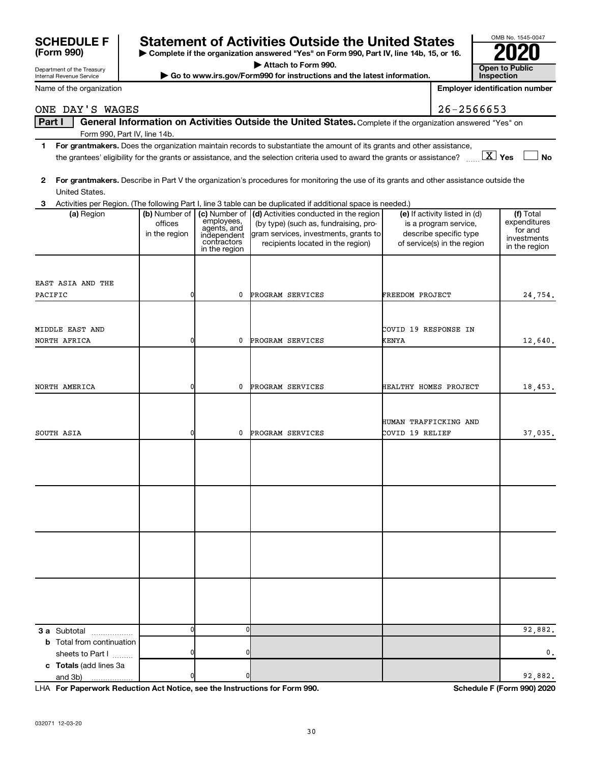| <b>SCHEDULE F</b> | <b>Statement of Activities Outside the United States</b>                                 | OMB No. 1545-004 |
|-------------------|------------------------------------------------------------------------------------------|------------------|
|                   |                                                                                          |                  |
| (Form 990)        | ► Complete if the organization answered "Yes" on Form 990, Part IV, line 14b, 15, or 16. | 2020             |
|                   |                                                                                          |                  |

**| Attach to Form 990.**

**| Go to www.irs.gov/Form990 for instructions and the latest information. Open to Public** 

|    | ame of the organization      |               |                           |                                                                                                                                                              |                        | <b>Employer identification number</b> |                              |
|----|------------------------------|---------------|---------------------------|--------------------------------------------------------------------------------------------------------------------------------------------------------------|------------------------|---------------------------------------|------------------------------|
|    | NE DAY'S WAGES               |               |                           |                                                                                                                                                              |                        | 26-2566653                            |                              |
|    | Part I                       |               |                           | General Information on Activities Outside the United States. Complete if the organization answered "Yes" on                                                  |                        |                                       |                              |
|    | Form 990, Part IV, line 14b. |               |                           |                                                                                                                                                              |                        |                                       |                              |
| 1. |                              |               |                           | For grantmakers. Does the organization maintain records to substantiate the amount of its grants and other assistance,                                       |                        |                                       |                              |
|    |                              |               |                           | the grantees' eligibility for the grants or assistance, and the selection criteria used to award the grants or assistance? $\ldots$ $\boxed{\textbf{X}}$ Yes |                        |                                       | <b>No</b>                    |
|    |                              |               |                           |                                                                                                                                                              |                        |                                       |                              |
| 2  |                              |               |                           | For grantmakers. Describe in Part V the organization's procedures for monitoring the use of its grants and other assistance outside the                      |                        |                                       |                              |
|    | United States.               |               |                           |                                                                                                                                                              |                        |                                       |                              |
| 3  | (a) Region                   | (b) Number of | (c) Number of             | Activities per Region. (The following Part I, line 3 table can be duplicated if additional space is needed.)<br>(d) Activities conducted in the region       |                        | (e) If activity listed in (d)         | (f) Total                    |
|    |                              | offices       | employees,<br>agents, and | (by type) (such as, fundraising, pro-                                                                                                                        |                        | is a program service,                 | expenditures                 |
|    |                              | in the region | independent               | gram services, investments, grants to                                                                                                                        |                        | describe specific type                | for and                      |
|    |                              |               | contractors               | recipients located in the region)                                                                                                                            |                        | of service(s) in the region           | investments<br>in the region |
|    |                              |               | in the region             |                                                                                                                                                              |                        |                                       |                              |
|    |                              |               |                           |                                                                                                                                                              |                        |                                       |                              |
|    |                              |               |                           |                                                                                                                                                              |                        |                                       |                              |
|    | AST ASIA AND THE             |               |                           |                                                                                                                                                              |                        |                                       |                              |
|    | ACIFIC                       |               | 0                         | PROGRAM SERVICES                                                                                                                                             | <b>FREEDOM PROJECT</b> |                                       | 24,754.                      |
|    |                              |               |                           |                                                                                                                                                              |                        |                                       |                              |
|    |                              |               |                           |                                                                                                                                                              |                        |                                       |                              |
|    | <b>IDDLE EAST AND</b>        |               |                           |                                                                                                                                                              | COVID 19 RESPONSE IN   |                                       |                              |
|    | <b>DRTH AFRICA</b>           |               | 0                         | PROGRAM SERVICES                                                                                                                                             | <b>KENYA</b>           |                                       | 12,640.                      |
|    |                              |               |                           |                                                                                                                                                              |                        |                                       |                              |
|    |                              |               |                           |                                                                                                                                                              |                        |                                       |                              |
|    |                              |               | 0                         |                                                                                                                                                              |                        |                                       |                              |
|    | <b>DRTH AMERICA</b>          |               |                           | PROGRAM SERVICES                                                                                                                                             | HEALTHY HOMES PROJECT  |                                       | 18,453.                      |
|    |                              |               |                           |                                                                                                                                                              |                        |                                       |                              |
|    |                              |               |                           |                                                                                                                                                              | HUMAN TRAFFICKING AND  |                                       |                              |
|    | <b>DUTH ASIA</b>             |               | 0                         | PROGRAM SERVICES                                                                                                                                             | COVID 19 RELIEF        |                                       |                              |
|    |                              |               |                           |                                                                                                                                                              |                        |                                       | 37,035.                      |
|    |                              |               |                           |                                                                                                                                                              |                        |                                       |                              |
|    |                              |               |                           |                                                                                                                                                              |                        |                                       |                              |
|    |                              |               |                           |                                                                                                                                                              |                        |                                       |                              |
|    |                              |               |                           |                                                                                                                                                              |                        |                                       |                              |
|    |                              |               |                           |                                                                                                                                                              |                        |                                       |                              |
|    |                              |               |                           |                                                                                                                                                              |                        |                                       |                              |
|    |                              |               |                           |                                                                                                                                                              |                        |                                       |                              |
|    |                              |               |                           |                                                                                                                                                              |                        |                                       |                              |

- **1 For grantmakers.**  Does the organization maintain records to substantiate the amount of its grants and other assistance, the grantees' eligibility for the grants or and the selection criteria used to a
- **2 For grantmakers.**  Describe in Part V the organization's procedures for monitoring the use of its grants and other assistance outside the United States.

|                                                                            | offices<br>in the region | employees,<br>agents, and<br>independent<br>contractors<br>in the region | (by type) (such as, fundraising, pro-<br>gram services, investments, grants to<br>recipients located in the region) | is a program service,<br>describe specific type<br>of service(s) in the region | expenditures<br>for and<br>investments<br>in the region |
|----------------------------------------------------------------------------|--------------------------|--------------------------------------------------------------------------|---------------------------------------------------------------------------------------------------------------------|--------------------------------------------------------------------------------|---------------------------------------------------------|
| EAST ASIA AND THE                                                          |                          |                                                                          |                                                                                                                     |                                                                                |                                                         |
| PACIFIC                                                                    | 0                        | 0                                                                        | PROGRAM SERVICES                                                                                                    | FREEDOM PROJECT                                                                | 24,754.                                                 |
| MIDDLE EAST AND                                                            |                          |                                                                          |                                                                                                                     | COVID 19 RESPONSE IN                                                           |                                                         |
| NORTH AFRICA                                                               | 0                        | 0                                                                        | PROGRAM SERVICES                                                                                                    | <b>KENYA</b>                                                                   | 12,640.                                                 |
|                                                                            |                          |                                                                          |                                                                                                                     |                                                                                |                                                         |
| NORTH AMERICA                                                              | $\overline{0}$           | 0                                                                        | PROGRAM SERVICES                                                                                                    | HEALTHY HOMES PROJECT                                                          | 18,453.                                                 |
|                                                                            |                          |                                                                          |                                                                                                                     | HUMAN TRAFFICKING AND                                                          |                                                         |
| SOUTH ASIA                                                                 | $\overline{0}$           | 0                                                                        | PROGRAM SERVICES                                                                                                    | COVID 19 RELIEF                                                                | 37,035.                                                 |
|                                                                            |                          |                                                                          |                                                                                                                     |                                                                                |                                                         |
|                                                                            |                          |                                                                          |                                                                                                                     |                                                                                |                                                         |
|                                                                            |                          |                                                                          |                                                                                                                     |                                                                                |                                                         |
|                                                                            |                          |                                                                          |                                                                                                                     |                                                                                |                                                         |
| 3 a Subtotal<br>.                                                          | $\overline{0}$           | $\mathbf 0$                                                              |                                                                                                                     |                                                                                | 92,882.                                                 |
| <b>b</b> Total from continuation<br>sheets to Part I                       | $\overline{0}$           | 0                                                                        |                                                                                                                     |                                                                                | 0.                                                      |
| c Totals (add lines 3a<br>and 3b)<br>.                                     | 0                        | 0                                                                        |                                                                                                                     |                                                                                | 92,882.                                                 |
| LHA For Paperwork Reduction Act Notice, see the Instructions for Form 990. |                          |                                                                          |                                                                                                                     |                                                                                | Schedule F (Form 990) 2020                              |

ONE DAY'S WAGES

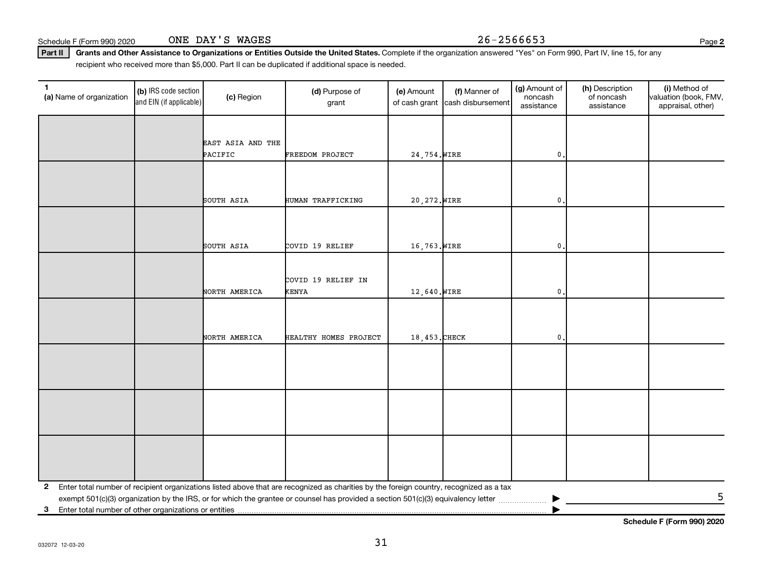032072 12-03-20

| 1<br>(a) Name of organization                              | (b) IRS code section<br>and EIN (if applicable) | (c) Region        | (d) Purpose of<br>grant                                                                                                                 | (e) Amount<br>of cash grant | (f) Manner of<br>cash disbursement | (g) Amount of<br>noncash<br>assistance | (h) Description<br>of noncash<br>assistance | (i) Method of<br>valuation (book, FMV,<br>appraisal, other) |
|------------------------------------------------------------|-------------------------------------------------|-------------------|-----------------------------------------------------------------------------------------------------------------------------------------|-----------------------------|------------------------------------|----------------------------------------|---------------------------------------------|-------------------------------------------------------------|
|                                                            |                                                 |                   |                                                                                                                                         |                             |                                    |                                        |                                             |                                                             |
|                                                            |                                                 | EAST ASIA AND THE |                                                                                                                                         |                             |                                    |                                        |                                             |                                                             |
|                                                            |                                                 | PACIFIC           | FREEDOM PROJECT                                                                                                                         | 24,754. WIRE                |                                    | 0                                      |                                             |                                                             |
|                                                            |                                                 |                   |                                                                                                                                         |                             |                                    |                                        |                                             |                                                             |
|                                                            |                                                 |                   |                                                                                                                                         |                             |                                    |                                        |                                             |                                                             |
|                                                            |                                                 | SOUTH ASIA        | HUMAN TRAFFICKING                                                                                                                       | 20, 272. WIRE               |                                    | 0                                      |                                             |                                                             |
|                                                            |                                                 |                   |                                                                                                                                         |                             |                                    |                                        |                                             |                                                             |
|                                                            |                                                 |                   |                                                                                                                                         |                             |                                    |                                        |                                             |                                                             |
|                                                            |                                                 |                   |                                                                                                                                         | 16,763. WIRE                |                                    |                                        |                                             |                                                             |
|                                                            |                                                 | SOUTH ASIA        | COVID 19 RELIEF                                                                                                                         |                             |                                    | 0                                      |                                             |                                                             |
|                                                            |                                                 |                   |                                                                                                                                         |                             |                                    |                                        |                                             |                                                             |
|                                                            |                                                 |                   | COVID 19 RELIEF IN                                                                                                                      |                             |                                    |                                        |                                             |                                                             |
|                                                            |                                                 | NORTH AMERICA     | <b>KENYA</b>                                                                                                                            | 12,640. WIRE                |                                    | $\mathbf 0$                            |                                             |                                                             |
|                                                            |                                                 |                   |                                                                                                                                         |                             |                                    |                                        |                                             |                                                             |
|                                                            |                                                 |                   |                                                                                                                                         |                             |                                    |                                        |                                             |                                                             |
|                                                            |                                                 | NORTH AMERICA     | HEALTHY HOMES PROJECT                                                                                                                   | 18,453. CHECK               |                                    | 0                                      |                                             |                                                             |
|                                                            |                                                 |                   |                                                                                                                                         |                             |                                    |                                        |                                             |                                                             |
|                                                            |                                                 |                   |                                                                                                                                         |                             |                                    |                                        |                                             |                                                             |
|                                                            |                                                 |                   |                                                                                                                                         |                             |                                    |                                        |                                             |                                                             |
|                                                            |                                                 |                   |                                                                                                                                         |                             |                                    |                                        |                                             |                                                             |
|                                                            |                                                 |                   |                                                                                                                                         |                             |                                    |                                        |                                             |                                                             |
|                                                            |                                                 |                   |                                                                                                                                         |                             |                                    |                                        |                                             |                                                             |
|                                                            |                                                 |                   |                                                                                                                                         |                             |                                    |                                        |                                             |                                                             |
|                                                            |                                                 |                   |                                                                                                                                         |                             |                                    |                                        |                                             |                                                             |
|                                                            |                                                 |                   |                                                                                                                                         |                             |                                    |                                        |                                             |                                                             |
|                                                            |                                                 |                   |                                                                                                                                         |                             |                                    |                                        |                                             |                                                             |
| $\mathbf{2}$                                               |                                                 |                   | Enter total number of recipient organizations listed above that are recognized as charities by the foreign country, recognized as a tax |                             |                                    |                                        |                                             |                                                             |
| Enter total number of other organizations or entities<br>3 |                                                 |                   | exempt 501(c)(3) organization by the IRS, or for which the grantee or counsel has provided a section 501(c)(3) equivalency letter       |                             |                                    |                                        |                                             | 5                                                           |
|                                                            |                                                 |                   |                                                                                                                                         |                             |                                    |                                        |                                             |                                                             |

Part II | Grants and Other Assistance to Organizations or Entities Outside the United States. Complete if the organization answered "Yes" on Form 990, Part IV, line 15, for any recipient who received more than \$5,000. Part II can be duplicated if additional space is needed.

**Schedule F (Form 990) 2020**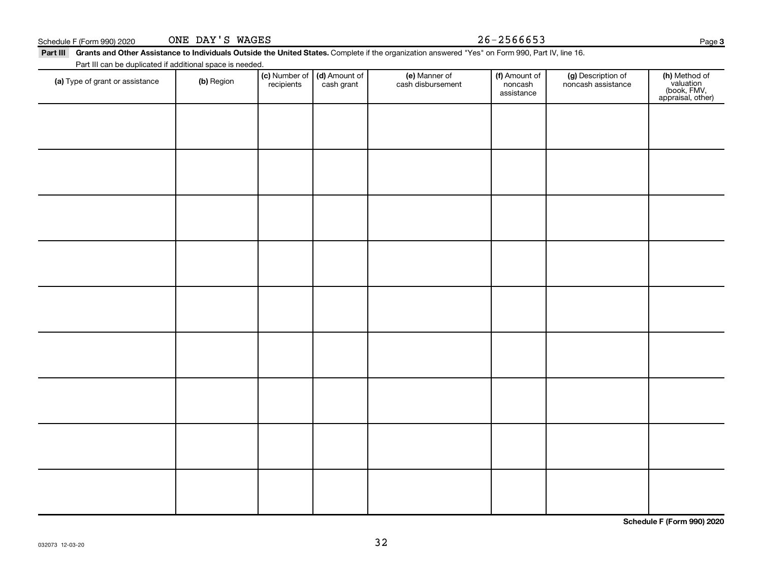| (a) Type of grant or assistance | (b) Region | $\vert$ (c) Number of $\vert$ (d) Amount of $\vert$<br>recipients | cash grant | (e) Manner of<br>cash disbursement | (f) Amount of<br>noncash<br>assistance | (g) Description of<br>noncash assistance | (h)<br>(b<br>appr |
|---------------------------------|------------|-------------------------------------------------------------------|------------|------------------------------------|----------------------------------------|------------------------------------------|-------------------|
|                                 |            |                                                                   |            |                                    |                                        |                                          |                   |

ONE DAY'S WAGES

Part III can be duplicated if additional space is needed.

Part III Grants and Other Assistance to Individuals Outside the United States. Complete if the organization answered "Yes" on Form 990, Part IV, line 16.

Schedule F (Form 990) 2020  $\qquad \qquad \text{ONE } \text{DAY } 'S \text{ WAGES}$   $26-2566653$ 

Page 3

**(h)** Method of<br>valuation<br>(book, FMV,<br>appraisal, other)

**Schedule F (Form 990) 2020**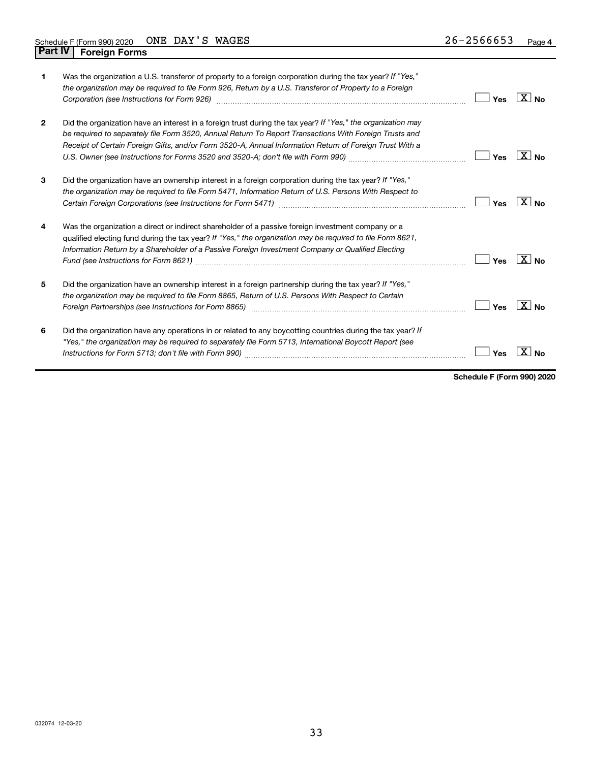| 1              | Was the organization a U.S. transferor of property to a foreign corporation during the tax year? If "Yes,"<br>the organization may be required to file Form 926, Return by a U.S. Transferor of Property to a Foreign                                                                                                             | Yes | $X_{\text{No}}$   |
|----------------|-----------------------------------------------------------------------------------------------------------------------------------------------------------------------------------------------------------------------------------------------------------------------------------------------------------------------------------|-----|-------------------|
| $\overline{2}$ | Did the organization have an interest in a foreign trust during the tax year? If "Yes," the organization may<br>be required to separately file Form 3520, Annual Return To Report Transactions With Foreign Trusts and<br>Receipt of Certain Foreign Gifts, and/or Form 3520-A, Annual Information Return of Foreign Trust With a | Yes | $\overline{X}$ No |
| 3              | Did the organization have an ownership interest in a foreign corporation during the tax year? If "Yes,"<br>the organization may be required to file Form 5471, Information Return of U.S. Persons With Respect to                                                                                                                 | Yes | $X _{N_{\Omega}}$ |
| 4              | Was the organization a direct or indirect shareholder of a passive foreign investment company or a<br>qualified electing fund during the tax year? If "Yes," the organization may be required to file Form 8621,<br>Information Return by a Shareholder of a Passive Foreign Investment Company or Qualified Electing             | Yes | $X _{\text{No}}$  |
| 5              | Did the organization have an ownership interest in a foreign partnership during the tax year? If "Yes,"<br>the organization may be required to file Form 8865, Return of U.S. Persons With Respect to Certain<br>Foreign Partnerships (see Instructions for Form 8865)                                                            | Yes | $X _{N_{\Omega}}$ |
| 6              | Did the organization have any operations in or related to any boycotting countries during the tax year? If<br>"Yes," the organization may be required to separately file Form 5713, International Boycott Report (see                                                                                                             | Yes |                   |

**Schedule F (Form 990) 2020**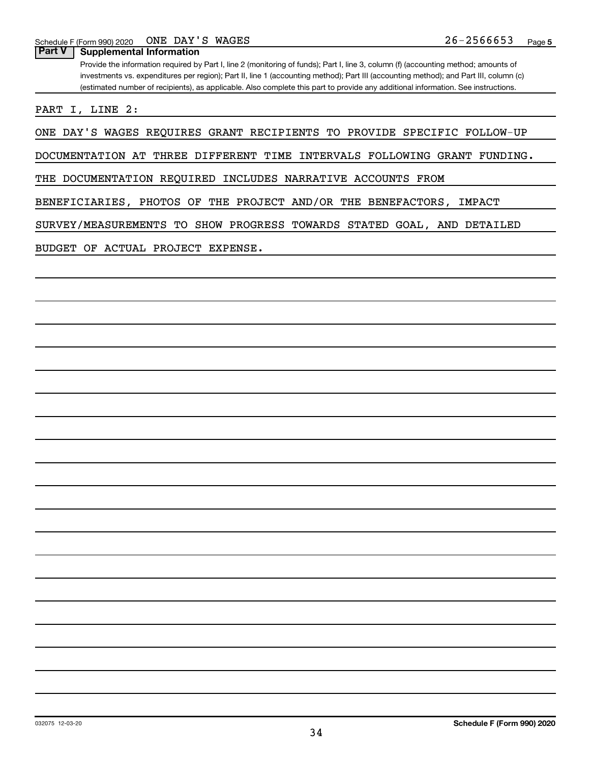**Part V Supplemental Information**

Provide the information required by Part I, line 2 (monitoring of funds); Part I, line 3, column (f) (accounting method; amounts of investments vs. expenditures per region); Part II, line 1 (accounting method); Part III (accounting method); and Part III, column (c) (estimated number of recipients), as applicable. Also complete this part to provide any additional information. See instructions.

PART I, LINE 2:

ONE DAY'S WAGES REQUIRES GRANT RECIPIENTS TO PROVIDE SPECIFIC FOLLOW-UP

DOCUMENTATION AT THREE DIFFERENT TIME INTERVALS FOLLOWING GRANT FUNDING.

THE DOCUMENTATION REQUIRED INCLUDES NARRATIVE ACCOUNTS FROM

BENEFICIARIES, PHOTOS OF THE PROJECT AND/OR THE BENEFACTORS, IMPACT

SURVEY/MEASUREMENTS TO SHOW PROGRESS TOWARDS STATED GOAL, AND DETAILED

BUDGET OF ACTUAL PROJECT EXPENSE.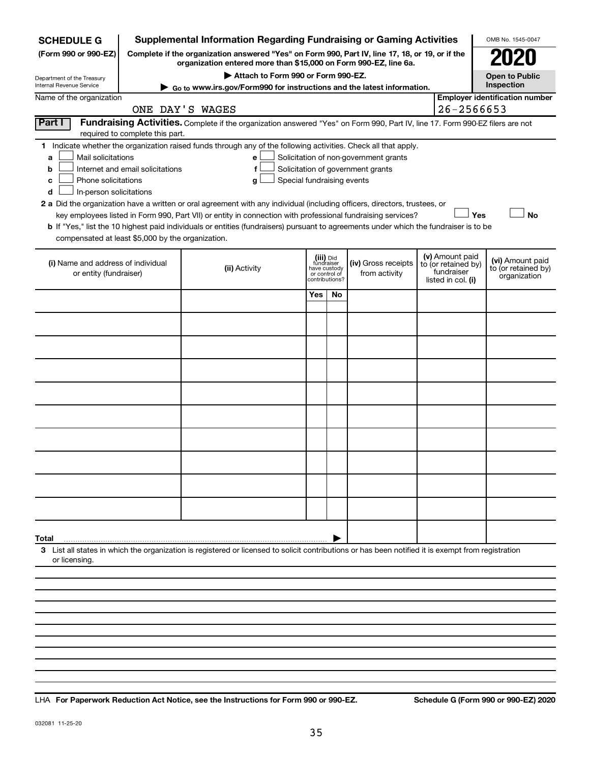| <b>SCHEDULE G</b>                                                                                                                                                                           | <b>Supplemental Information Regarding Fundraising or Gaming Activities</b>                                                    |                                                 |                                       |                                        | OMB No. 1545-0047                     |  |  |  |  |
|---------------------------------------------------------------------------------------------------------------------------------------------------------------------------------------------|-------------------------------------------------------------------------------------------------------------------------------|-------------------------------------------------|---------------------------------------|----------------------------------------|---------------------------------------|--|--|--|--|
| (Form 990 or 990-EZ)<br>Complete if the organization answered "Yes" on Form 990, Part IV, line 17, 18, or 19, or if the<br>organization entered more than \$15,000 on Form 990-EZ, line 6a. |                                                                                                                               |                                                 |                                       |                                        |                                       |  |  |  |  |
| Department of the Treasury                                                                                                                                                                  | Attach to Form 990 or Form 990-EZ.                                                                                            |                                                 |                                       |                                        | <b>Open to Public</b><br>Inspection   |  |  |  |  |
| Internal Revenue Service<br>Name of the organization                                                                                                                                        | Go to www.irs.gov/Form990 for instructions and the latest information.                                                        |                                                 |                                       |                                        | <b>Employer identification number</b> |  |  |  |  |
|                                                                                                                                                                                             | ONE DAY'S WAGES                                                                                                               |                                                 |                                       | 26-2566653                             |                                       |  |  |  |  |
| Part I                                                                                                                                                                                      | Fundraising Activities. Complete if the organization answered "Yes" on Form 990, Part IV, line 17. Form 990-EZ filers are not |                                                 |                                       |                                        |                                       |  |  |  |  |
| required to complete this part.<br>Indicate whether the organization raised funds through any of the following activities. Check all that apply.<br>1.                                      |                                                                                                                               |                                                 |                                       |                                        |                                       |  |  |  |  |
| Mail solicitations<br>а                                                                                                                                                                     | е                                                                                                                             |                                                 | Solicitation of non-government grants |                                        |                                       |  |  |  |  |
| Internet and email solicitations<br>b                                                                                                                                                       | f                                                                                                                             |                                                 | Solicitation of government grants     |                                        |                                       |  |  |  |  |
| Phone solicitations<br>с<br>In-person solicitations<br>d                                                                                                                                    | g                                                                                                                             | Special fundraising events                      |                                       |                                        |                                       |  |  |  |  |
| 2 a Did the organization have a written or oral agreement with any individual (including officers, directors, trustees, or                                                                  |                                                                                                                               |                                                 |                                       |                                        |                                       |  |  |  |  |
|                                                                                                                                                                                             | key employees listed in Form 990, Part VII) or entity in connection with professional fundraising services?                   |                                                 |                                       |                                        | <b>No</b><br>Yes                      |  |  |  |  |
| b If "Yes," list the 10 highest paid individuals or entities (fundraisers) pursuant to agreements under which the fundraiser is to be                                                       |                                                                                                                               |                                                 |                                       |                                        |                                       |  |  |  |  |
| compensated at least \$5,000 by the organization.                                                                                                                                           |                                                                                                                               |                                                 |                                       |                                        |                                       |  |  |  |  |
| (i) Name and address of individual                                                                                                                                                          |                                                                                                                               | (iii) Did<br>fundraiser                         | (iv) Gross receipts                   | (v) Amount paid<br>to (or retained by) | (vi) Amount paid                      |  |  |  |  |
| or entity (fundraiser)                                                                                                                                                                      | (ii) Activity                                                                                                                 | have custody<br>or control of<br>contributions? | from activity                         | fundraiser<br>listed in col. (i)       | to (or retained by)<br>organization   |  |  |  |  |
|                                                                                                                                                                                             |                                                                                                                               | Yes<br>No                                       |                                       |                                        |                                       |  |  |  |  |
|                                                                                                                                                                                             |                                                                                                                               |                                                 |                                       |                                        |                                       |  |  |  |  |
|                                                                                                                                                                                             |                                                                                                                               |                                                 |                                       |                                        |                                       |  |  |  |  |
|                                                                                                                                                                                             |                                                                                                                               |                                                 |                                       |                                        |                                       |  |  |  |  |
|                                                                                                                                                                                             |                                                                                                                               |                                                 |                                       |                                        |                                       |  |  |  |  |
|                                                                                                                                                                                             |                                                                                                                               |                                                 |                                       |                                        |                                       |  |  |  |  |
|                                                                                                                                                                                             |                                                                                                                               |                                                 |                                       |                                        |                                       |  |  |  |  |
|                                                                                                                                                                                             |                                                                                                                               |                                                 |                                       |                                        |                                       |  |  |  |  |
|                                                                                                                                                                                             |                                                                                                                               |                                                 |                                       |                                        |                                       |  |  |  |  |
|                                                                                                                                                                                             |                                                                                                                               |                                                 |                                       |                                        |                                       |  |  |  |  |
|                                                                                                                                                                                             |                                                                                                                               |                                                 |                                       |                                        |                                       |  |  |  |  |
|                                                                                                                                                                                             |                                                                                                                               |                                                 |                                       |                                        |                                       |  |  |  |  |
|                                                                                                                                                                                             |                                                                                                                               |                                                 |                                       |                                        |                                       |  |  |  |  |
|                                                                                                                                                                                             |                                                                                                                               |                                                 |                                       |                                        |                                       |  |  |  |  |
| Total<br>3 List all states in which the organization is registered or licensed to solicit contributions or has been notified it is exempt from registration<br>or licensing.                |                                                                                                                               |                                                 |                                       |                                        |                                       |  |  |  |  |
|                                                                                                                                                                                             |                                                                                                                               |                                                 |                                       |                                        |                                       |  |  |  |  |
|                                                                                                                                                                                             |                                                                                                                               |                                                 |                                       |                                        |                                       |  |  |  |  |
|                                                                                                                                                                                             |                                                                                                                               |                                                 |                                       |                                        |                                       |  |  |  |  |
|                                                                                                                                                                                             |                                                                                                                               |                                                 |                                       |                                        |                                       |  |  |  |  |

**For Paperwork Reduction Act Notice, see the Instructions for Form 990 or 990-EZ. Schedule G (Form 990 or 990-EZ) 2020** LHA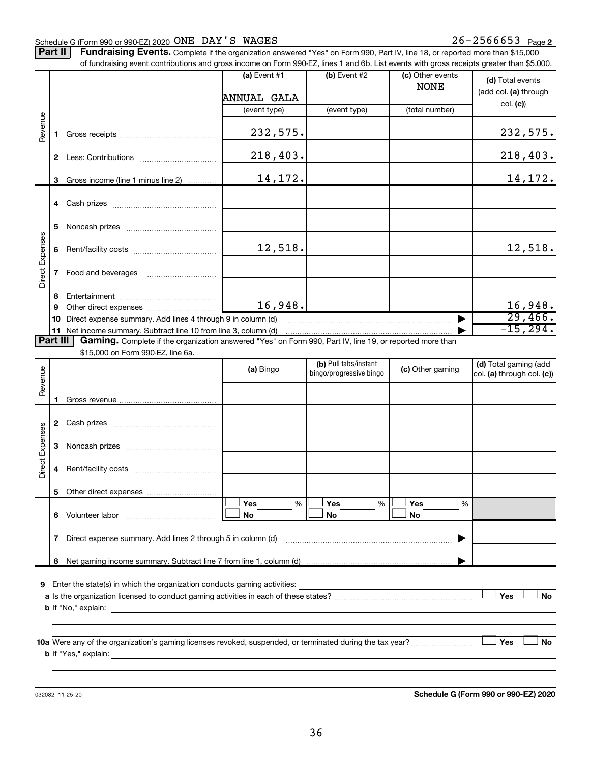#### Schedule G (Form 990 or 990-EZ) 2020 Page ONE DAY'S WAGES 26-2566653

Part II | Fundraising Events. Complete if the organization answered "Yes" on Form 990, Part IV, line 18, or reported more than \$15,000 of fundraising event contributions and gross income on Form 990-EZ, lines 1 and 6b. List events with gross receipts greater than \$5,000.

|                        |    | or fundraising event contributions and gross income on Form 990-EZ, lines T and 6D. List events with gross receipts greater than \$5,000.                                                                                                 |                |                                                  |                                 |                                                     |
|------------------------|----|-------------------------------------------------------------------------------------------------------------------------------------------------------------------------------------------------------------------------------------------|----------------|--------------------------------------------------|---------------------------------|-----------------------------------------------------|
|                        |    |                                                                                                                                                                                                                                           | (a) Event $#1$ | $(b)$ Event #2                                   | (c) Other events<br><b>NONE</b> | (d) Total events<br>(add col. (a) through           |
|                        |    |                                                                                                                                                                                                                                           | ANNUAL GALA    |                                                  |                                 | col. (c)                                            |
|                        |    |                                                                                                                                                                                                                                           | (event type)   | (event type)                                     | (total number)                  |                                                     |
| Revenue                | 1. |                                                                                                                                                                                                                                           | 232,575.       |                                                  |                                 | 232,575.                                            |
|                        |    |                                                                                                                                                                                                                                           | 218,403.       |                                                  |                                 | 218,403.                                            |
|                        | 3  | Gross income (line 1 minus line 2)                                                                                                                                                                                                        | 14,172.        |                                                  |                                 | 14,172.                                             |
|                        |    |                                                                                                                                                                                                                                           |                |                                                  |                                 |                                                     |
|                        |    |                                                                                                                                                                                                                                           |                |                                                  |                                 |                                                     |
|                        | 5  |                                                                                                                                                                                                                                           |                |                                                  |                                 |                                                     |
|                        | 6  |                                                                                                                                                                                                                                           | 12,518.        |                                                  |                                 | 12,518.                                             |
| Direct Expenses        |    |                                                                                                                                                                                                                                           |                |                                                  |                                 |                                                     |
|                        | 8  |                                                                                                                                                                                                                                           |                |                                                  |                                 |                                                     |
|                        | 9  |                                                                                                                                                                                                                                           | 16,948.        |                                                  |                                 | 16,948.                                             |
|                        | 10 | Direct expense summary. Add lines 4 through 9 in column (d)                                                                                                                                                                               |                |                                                  |                                 | 29,466.                                             |
|                        |    |                                                                                                                                                                                                                                           |                |                                                  |                                 | $-15, 294.$                                         |
| Part III               |    | Gaming. Complete if the organization answered "Yes" on Form 990, Part IV, line 19, or reported more than                                                                                                                                  |                |                                                  |                                 |                                                     |
|                        |    | \$15,000 on Form 990-EZ, line 6a.                                                                                                                                                                                                         |                |                                                  |                                 |                                                     |
| Revenue                |    |                                                                                                                                                                                                                                           | (a) Bingo      | (b) Pull tabs/instant<br>bingo/progressive bingo | (c) Other gaming                | (d) Total gaming (add<br>col. (a) through col. (c)) |
|                        |    |                                                                                                                                                                                                                                           |                |                                                  |                                 |                                                     |
|                        | 1. |                                                                                                                                                                                                                                           |                |                                                  |                                 |                                                     |
|                        |    |                                                                                                                                                                                                                                           |                |                                                  |                                 |                                                     |
| <b>Direct Expenses</b> | 3  |                                                                                                                                                                                                                                           |                |                                                  |                                 |                                                     |
|                        | 4  |                                                                                                                                                                                                                                           |                |                                                  |                                 |                                                     |
|                        |    |                                                                                                                                                                                                                                           |                |                                                  |                                 |                                                     |
|                        |    |                                                                                                                                                                                                                                           | Yes<br>%       | Yes<br>%                                         | Yes<br>%                        |                                                     |
|                        | 6  | Volunteer labor                                                                                                                                                                                                                           | No             | No                                               | No                              |                                                     |
|                        | 7  | Direct expense summary. Add lines 2 through 5 in column (d)                                                                                                                                                                               |                |                                                  |                                 |                                                     |
|                        | 8  |                                                                                                                                                                                                                                           |                |                                                  |                                 |                                                     |
|                        |    |                                                                                                                                                                                                                                           |                |                                                  |                                 |                                                     |
| 9                      |    | Enter the state(s) in which the organization conducts gaming activities:                                                                                                                                                                  |                |                                                  |                                 |                                                     |
|                        |    |                                                                                                                                                                                                                                           |                |                                                  |                                 | Yes<br>No                                           |
|                        |    | <b>b</b> If "No," explain:                                                                                                                                                                                                                |                |                                                  |                                 |                                                     |
|                        |    |                                                                                                                                                                                                                                           |                |                                                  |                                 | Yes<br>No                                           |
|                        |    | <b>b</b> If "Yes," explain: <u>All and the set of the set of the set of the set of the set of the set of the set of the set of the set of the set of the set of the set of the set of the set of the set of the set of the set of the</u> |                |                                                  |                                 |                                                     |
|                        |    |                                                                                                                                                                                                                                           |                |                                                  |                                 |                                                     |

032082 11-25-20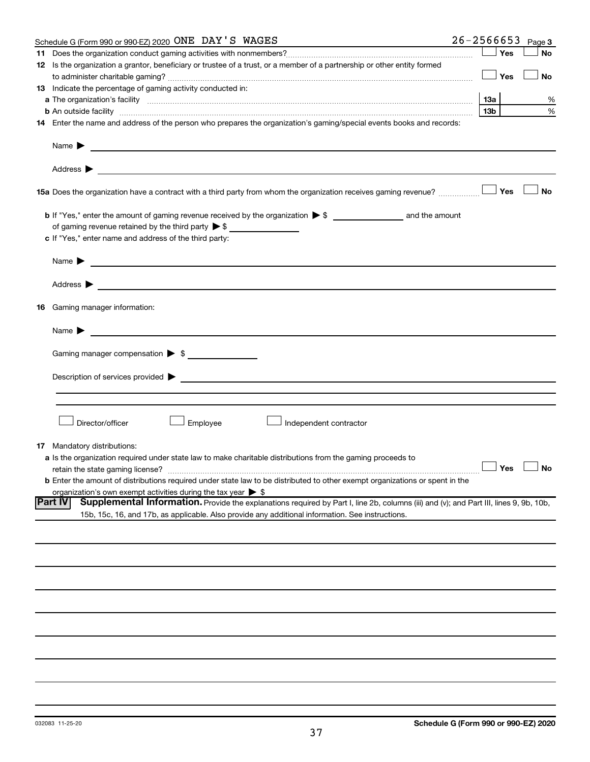|    | Schedule G (Form 990 or 990-EZ) 2020 ONE DAY'S WAGES                                                                                                          | $26 - 2566653$ |                 |     | Page 3               |
|----|---------------------------------------------------------------------------------------------------------------------------------------------------------------|----------------|-----------------|-----|----------------------|
|    |                                                                                                                                                               |                |                 | Yes | <b>No</b>            |
|    | 12 Is the organization a grantor, beneficiary or trustee of a trust, or a member of a partnership or other entity formed                                      |                |                 |     |                      |
|    |                                                                                                                                                               |                |                 | Yes | No                   |
|    | 13 Indicate the percentage of gaming activity conducted in:                                                                                                   |                |                 |     |                      |
|    |                                                                                                                                                               |                | 13а             |     | %                    |
|    | <b>b</b> An outside facility <i>www.communicality www.communicality.communicality www.communicality www.communicality.communicality www.communicality.com</i> |                | 13 <sub>b</sub> |     | %                    |
|    | 14 Enter the name and address of the person who prepares the organization's gaming/special events books and records:                                          |                |                 |     |                      |
|    | Name $\blacktriangleright$<br><u>and the control of the control of the control of the control of the control of the control of</u>                            |                |                 |     |                      |
|    |                                                                                                                                                               |                |                 |     |                      |
|    | 15a Does the organization have a contract with a third party from whom the organization receives gaming revenue?                                              |                |                 | Yes | <b>No</b>            |
|    |                                                                                                                                                               |                |                 |     |                      |
|    | of gaming revenue retained by the third party $\triangleright$ \$                                                                                             |                |                 |     |                      |
|    | c If "Yes," enter name and address of the third party:                                                                                                        |                |                 |     |                      |
|    |                                                                                                                                                               |                |                 |     |                      |
|    | <u>and the control of the control of the control of the control of the control of the control of the control of</u><br>Name $\blacktriangleright$             |                |                 |     |                      |
|    | Address $\blacktriangleright$<br><u> 1989 - Andrea Andrew Maria (h. 1989).</u>                                                                                |                |                 |     |                      |
|    | <b>16</b> Gaming manager information:                                                                                                                         |                |                 |     |                      |
|    | <u> 1989 - Johann Barbara, martin amerikan basal dan berasal dan berasal dalam basal dan berasal dalam berasal da</u><br>Name $\blacktriangleright$           |                |                 |     |                      |
|    |                                                                                                                                                               |                |                 |     |                      |
|    | Gaming manager compensation > \$                                                                                                                              |                |                 |     |                      |
|    |                                                                                                                                                               |                |                 |     |                      |
|    |                                                                                                                                                               |                |                 |     |                      |
|    |                                                                                                                                                               |                |                 |     |                      |
|    | Director/officer<br>Employee<br>Independent contractor                                                                                                        |                |                 |     |                      |
|    |                                                                                                                                                               |                |                 |     |                      |
| 17 | Mandatory distributions:                                                                                                                                      |                |                 |     |                      |
|    | a Is the organization required under state law to make charitable distributions from the gaming proceeds to<br>retain the state gaming license?               |                |                 |     | $\Box$ Yes $\Box$ No |
|    | <b>b</b> Enter the amount of distributions required under state law to be distributed to other exempt organizations or spent in the                           |                |                 |     |                      |
|    | organization's own exempt activities during the tax year $\triangleright$ \$                                                                                  |                |                 |     |                      |
|    | <b>Part IV</b><br>Supplemental Information. Provide the explanations required by Part I, line 2b, columns (iii) and (v); and Part III, lines 9, 9b, 10b,      |                |                 |     |                      |
|    | 15b, 15c, 16, and 17b, as applicable. Also provide any additional information. See instructions.                                                              |                |                 |     |                      |
|    |                                                                                                                                                               |                |                 |     |                      |
|    |                                                                                                                                                               |                |                 |     |                      |
|    |                                                                                                                                                               |                |                 |     |                      |
|    |                                                                                                                                                               |                |                 |     |                      |
|    |                                                                                                                                                               |                |                 |     |                      |
|    |                                                                                                                                                               |                |                 |     |                      |
|    |                                                                                                                                                               |                |                 |     |                      |
|    |                                                                                                                                                               |                |                 |     |                      |
|    |                                                                                                                                                               |                |                 |     |                      |
|    |                                                                                                                                                               |                |                 |     |                      |
|    |                                                                                                                                                               |                |                 |     |                      |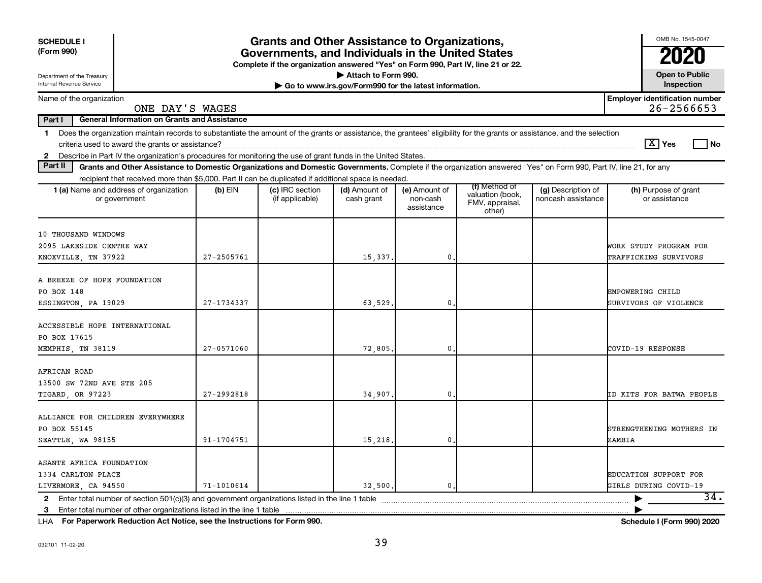| <b>SCHEDULE I</b><br>(Form 990)<br>Department of the Treasury                                                                                                                                                                                                                                                            |                | <b>Grants and Other Assistance to Organizations,</b><br>Governments, and Individuals in the United States<br>Complete if the organization answered "Yes" on Form 990, Part IV, line 21 or 22. | Attach to Form 990.                                   |                                         |                                                                |                                          | OMB No. 1545-0047<br><b>Open to Public</b>              |
|--------------------------------------------------------------------------------------------------------------------------------------------------------------------------------------------------------------------------------------------------------------------------------------------------------------------------|----------------|-----------------------------------------------------------------------------------------------------------------------------------------------------------------------------------------------|-------------------------------------------------------|-----------------------------------------|----------------------------------------------------------------|------------------------------------------|---------------------------------------------------------|
| Internal Revenue Service                                                                                                                                                                                                                                                                                                 |                |                                                                                                                                                                                               | Go to www.irs.gov/Form990 for the latest information. |                                         |                                                                |                                          | Inspection                                              |
| Name of the organization<br>ONE DAY'S WAGES                                                                                                                                                                                                                                                                              |                |                                                                                                                                                                                               |                                                       |                                         |                                                                |                                          | <b>Employer identification number</b><br>$26 - 2566653$ |
| Part I<br><b>General Information on Grants and Assistance</b>                                                                                                                                                                                                                                                            |                |                                                                                                                                                                                               |                                                       |                                         |                                                                |                                          |                                                         |
| Does the organization maintain records to substantiate the amount of the grants or assistance, the grantees' eligibility for the grants or assistance, and the selection<br>$\mathbf 1$<br>Describe in Part IV the organization's procedures for monitoring the use of grant funds in the United States.<br>$\mathbf{2}$ |                |                                                                                                                                                                                               |                                                       |                                         |                                                                |                                          | $\boxed{\text{X}}$ Yes<br>  No                          |
| Part II<br>Grants and Other Assistance to Domestic Organizations and Domestic Governments. Complete if the organization answered "Yes" on Form 990, Part IV, line 21, for any                                                                                                                                            |                |                                                                                                                                                                                               |                                                       |                                         |                                                                |                                          |                                                         |
| recipient that received more than \$5,000. Part II can be duplicated if additional space is needed.                                                                                                                                                                                                                      |                |                                                                                                                                                                                               |                                                       |                                         |                                                                |                                          |                                                         |
| <b>1 (a)</b> Name and address of organization<br>or government                                                                                                                                                                                                                                                           | $(b)$ EIN      | (c) IRC section<br>(if applicable)                                                                                                                                                            | (d) Amount of<br>cash grant                           | (e) Amount of<br>non-cash<br>assistance | (f) Method of<br>valuation (book,<br>FMV, appraisal,<br>other) | (g) Description of<br>noncash assistance | (h) Purpose of grant<br>or assistance                   |
| 10 THOUSAND WINDOWS<br>2095 LAKESIDE CENTRE WAY<br>KNOXVILLE, TN 37922                                                                                                                                                                                                                                                   | 27-2505761     |                                                                                                                                                                                               | 15,337.                                               | 0.                                      |                                                                |                                          | WORK STUDY PROGRAM FOR<br>TRAFFICKING SURVIVORS         |
| A BREEZE OF HOPE FOUNDATION<br>PO BOX 148<br>ESSINGTON, PA 19029                                                                                                                                                                                                                                                         | 27-1734337     |                                                                                                                                                                                               | 63,529                                                | $\mathbf 0$                             |                                                                |                                          | EMPOWERING CHILD<br>SURVIVORS OF VIOLENCE               |
| ACCESSIBLE HOPE INTERNATIONAL<br>PO BOX 17615<br>MEMPHIS, TN 38119                                                                                                                                                                                                                                                       | 27-0571060     |                                                                                                                                                                                               | 72,805.                                               | 0.                                      |                                                                |                                          | COVID-19 RESPONSE                                       |
| AFRICAN ROAD<br>13500 SW 72ND AVE STE 205<br>TIGARD, OR 97223                                                                                                                                                                                                                                                            | 27-2992818     |                                                                                                                                                                                               | 34,907.                                               | 0                                       |                                                                |                                          | ID KITS FOR BATWA PEOPLE                                |
| ALLIANCE FOR CHILDREN EVERYWHERE<br>PO BOX 55145<br>SEATTLE, WA 98155                                                                                                                                                                                                                                                    | 91-1704751     |                                                                                                                                                                                               | 15,218.                                               | 0.                                      |                                                                |                                          | STRENGTHENING MOTHERS IN<br>ZAMBIA                      |
| ASANTE AFRICA FOUNDATION<br>1334 CARLTON PLACE<br>LIVERMORE, CA 94550                                                                                                                                                                                                                                                    | $71 - 1010614$ |                                                                                                                                                                                               | 32,500.                                               | $\mathbf{0}$ .                          |                                                                |                                          | EDUCATION SUPPORT FOR<br>GIRLS DURING COVID-19          |
| $\mathbf{2}$<br>3                                                                                                                                                                                                                                                                                                        |                |                                                                                                                                                                                               |                                                       |                                         |                                                                |                                          | 34.                                                     |
|                                                                                                                                                                                                                                                                                                                          |                |                                                                                                                                                                                               |                                                       |                                         |                                                                |                                          |                                                         |

**For Paperwork Reduction Act Notice, see the Instructions for Form 990. Schedule I (Form 990) 2020** LHA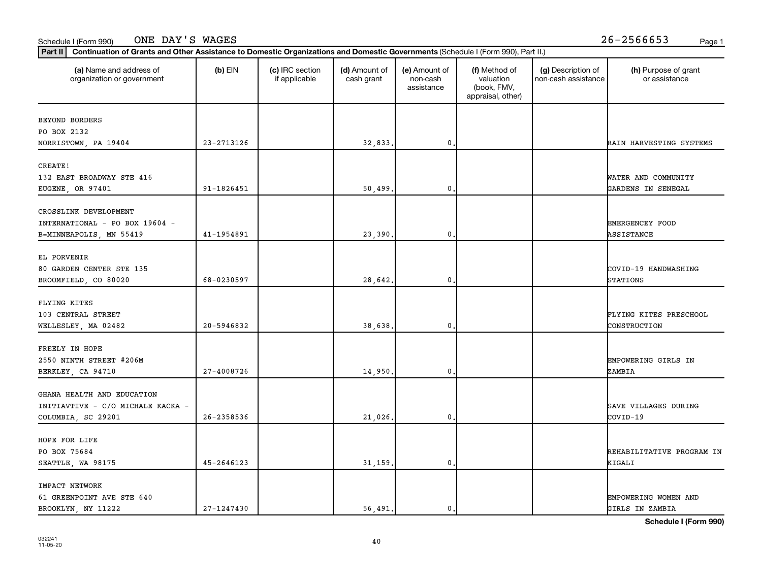#### Schedule I (Form 990) Page 1 ONE DAY'S WAGES 26-2566653

| (a) Name and address of<br>organization or government | $(b)$ EIN  | (c) IRC section<br>if applicable | (d) Amount of<br>cash grant | (e) Amount of<br>non-cash<br>assistance | (f) Method of<br>valuation<br>(book, FMV,<br>appraisal, other) | (g) Description of<br>non-cash assistance | (h) Purpose of grant<br>or assistance |
|-------------------------------------------------------|------------|----------------------------------|-----------------------------|-----------------------------------------|----------------------------------------------------------------|-------------------------------------------|---------------------------------------|
| BEYOND BORDERS                                        |            |                                  |                             |                                         |                                                                |                                           |                                       |
| PO BOX 2132                                           |            |                                  |                             |                                         |                                                                |                                           |                                       |
| NORRISTOWN, PA 19404                                  | 23-2713126 |                                  | 32,833.                     | 0                                       |                                                                |                                           | RAIN HARVESTING SYSTEMS               |
| CREATE!                                               |            |                                  |                             |                                         |                                                                |                                           |                                       |
| 132 EAST BROADWAY STE 416                             |            |                                  |                             |                                         |                                                                |                                           | WATER AND COMMUNITY                   |
| EUGENE, OR 97401                                      | 91-1826451 |                                  | 50,499                      | 0.                                      |                                                                |                                           | GARDENS IN SENEGAL                    |
| CROSSLINK DEVELOPMENT                                 |            |                                  |                             |                                         |                                                                |                                           |                                       |
| INTERNATIONAL - PO BOX 19604 -                        |            |                                  |                             |                                         |                                                                |                                           | <b>EMERGENCEY FOOD</b>                |
| B=MINNEAPOLIS, MN 55419                               | 41-1954891 |                                  | 23,390.                     | 0.                                      |                                                                |                                           | ASSISTANCE                            |
|                                                       |            |                                  |                             |                                         |                                                                |                                           |                                       |
| EL PORVENIR                                           |            |                                  |                             |                                         |                                                                |                                           |                                       |
| 80 GARDEN CENTER STE 135                              |            |                                  |                             |                                         |                                                                |                                           | COVID-19 HANDWASHING                  |
| BROOMFIELD, CO 80020                                  | 68-0230597 |                                  | 28,642.                     | $\mathbf 0$ .                           |                                                                |                                           | <b>STATIONS</b>                       |
|                                                       |            |                                  |                             |                                         |                                                                |                                           |                                       |
| FLYING KITES                                          |            |                                  |                             |                                         |                                                                |                                           |                                       |
| 103 CENTRAL STREET                                    |            |                                  |                             |                                         |                                                                |                                           | FLYING KITES PRESCHOOL                |
| WELLESLEY, MA 02482                                   | 20-5946832 |                                  | 38,638                      | 0                                       |                                                                |                                           | CONSTRUCTION                          |
| FREELY IN HOPE                                        |            |                                  |                             |                                         |                                                                |                                           |                                       |
| 2550 NINTH STREET #206M                               |            |                                  |                             |                                         |                                                                |                                           | EMPOWERING GIRLS IN                   |
| BERKLEY, CA 94710                                     | 27-4008726 |                                  | 14,950.                     | 0.                                      |                                                                |                                           | ZAMBIA                                |
|                                                       |            |                                  |                             |                                         |                                                                |                                           |                                       |
| GHANA HEALTH AND EDUCATION                            |            |                                  |                             |                                         |                                                                |                                           |                                       |
| INITIAVTIVE - C/O MICHALE KACKA -                     |            |                                  |                             |                                         |                                                                |                                           | SAVE VILLAGES DURING                  |
| COLUMBIA, SC 29201                                    | 26-2358536 |                                  | 21,026.                     | 0.                                      |                                                                |                                           | COVID-19                              |
|                                                       |            |                                  |                             |                                         |                                                                |                                           |                                       |
| HOPE FOR LIFE                                         |            |                                  |                             |                                         |                                                                |                                           |                                       |
| PO BOX 75684                                          |            |                                  |                             |                                         |                                                                |                                           | REHABILITATIVE PROGRAM IN             |
| SEATTLE, WA 98175                                     | 45-2646123 |                                  | 31,159                      | 0                                       |                                                                |                                           | KIGALI                                |
| IMPACT NETWORK                                        |            |                                  |                             |                                         |                                                                |                                           |                                       |
| 61 GREENPOINT AVE STE 640                             |            |                                  |                             |                                         |                                                                |                                           | EMPOWERING WOMEN AND                  |
| BROOKLYN, NY 11222                                    | 27-1247430 |                                  | 56,491.                     | $\mathbf{0}$ .                          |                                                                |                                           | GIRLS IN ZAMBIA                       |

**Schedule I (Form 990)**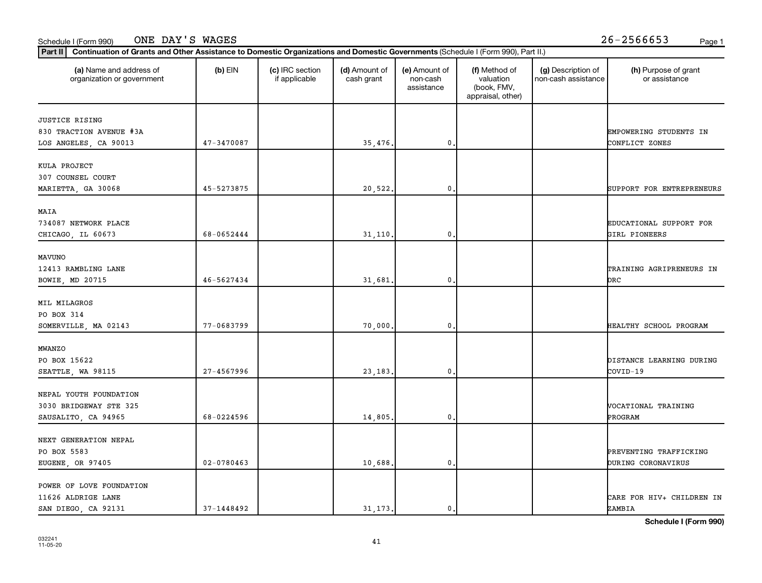## 032241 11-05-20

| 1-1448492 |  |
|-----------|--|
|           |  |

| Schedule I (Form 990) |  |
|-----------------------|--|
|                       |  |

| (a) Name and address of<br>organization or government                   | $(b)$ EIN      | (c) IRC section<br>if applicable | (d) Amount of<br>cash grant | (e) Amount of<br>non-cash<br>assistance | (f) Method of<br>valuation<br>(book, FMV,<br>appraisal, other) | (g) Description of<br>non-cash assistance | (h) Purpose of grant<br>or assistance        |
|-------------------------------------------------------------------------|----------------|----------------------------------|-----------------------------|-----------------------------------------|----------------------------------------------------------------|-------------------------------------------|----------------------------------------------|
| <b>JUSTICE RISING</b>                                                   |                |                                  |                             |                                         |                                                                |                                           |                                              |
| 830 TRACTION AVENUE #3A<br>LOS ANGELES, CA 90013                        | 47-3470087     |                                  | 35,476.                     | $\mathbf{0}$                            |                                                                |                                           | EMPOWERING STUDENTS IN<br>CONFLICT ZONES     |
| KULA PROJECT<br>307 COUNSEL COURT                                       |                |                                  |                             |                                         |                                                                |                                           |                                              |
| MARIETTA, GA 30068                                                      | 45-5273875     |                                  | 20,522.                     | $\mathbf{0}$                            |                                                                |                                           | SUPPORT FOR ENTREPRENEURS                    |
| MAIA<br>734087 NETWORK PLACE<br>CHICAGO, IL 60673                       | 68-0652444     |                                  | 31, 110.                    | $\mathbf{0}$                            |                                                                |                                           | EDUCATIONAL SUPPORT FOR<br>GIRL PIONEERS     |
| <b>MAVUNO</b><br>12413 RAMBLING LANE<br>BOWIE, MD 20715                 | 46-5627434     |                                  | 31,681                      | $\mathbf 0$                             |                                                                |                                           | TRAINING AGRIPRENEURS IN<br>DRC              |
| MIL MILAGROS<br>PO BOX 314<br>SOMERVILLE, MA 02143                      | 77-0683799     |                                  | 70,000,                     | $\mathbf 0$                             |                                                                |                                           | HEALTHY SCHOOL PROGRAM                       |
|                                                                         |                |                                  |                             |                                         |                                                                |                                           |                                              |
| <b>MWANZO</b><br>PO BOX 15622<br>SEATTLE, WA 98115                      | 27-4567996     |                                  | 23, 183,                    | $\mathbf{0}$                            |                                                                |                                           | DISTANCE LEARNING DURING<br>COVID-19         |
| NEPAL YOUTH FOUNDATION<br>3030 BRIDGEWAY STE 325<br>SAUSALITO, CA 94965 | 68-0224596     |                                  | 14,805                      | $\mathbf{0}$                            |                                                                |                                           | <b>VOCATIONAL TRAINING</b><br>PROGRAM        |
| NEXT GENERATION NEPAL<br>PO BOX 5583<br>EUGENE, OR 97405                | $02 - 0780463$ |                                  | 10,688                      | $\mathbf{0}$                            |                                                                |                                           | PREVENTING TRAFFICKING<br>DURING CORONAVIRUS |
| POWER OF LOVE FOUNDATION<br>11626 ALDRIGE LANE<br>SAN DIEGO, CA 92131   | 37-1448492     |                                  | 31, 173.                    | $\mathbf{0}$ .                          |                                                                |                                           | CARE FOR HIV+ CHILDREN IN<br>ZAMBIA          |

**Part II Continuation of Grants and Other Assistance to Domestic Organizations and Domestic Governments**  (Schedule I (Form 990), Part II.)

#### Schedule I (Form 990) ONE DAY'S WAGES 26-2566653 <sub>Page 1</sub>

41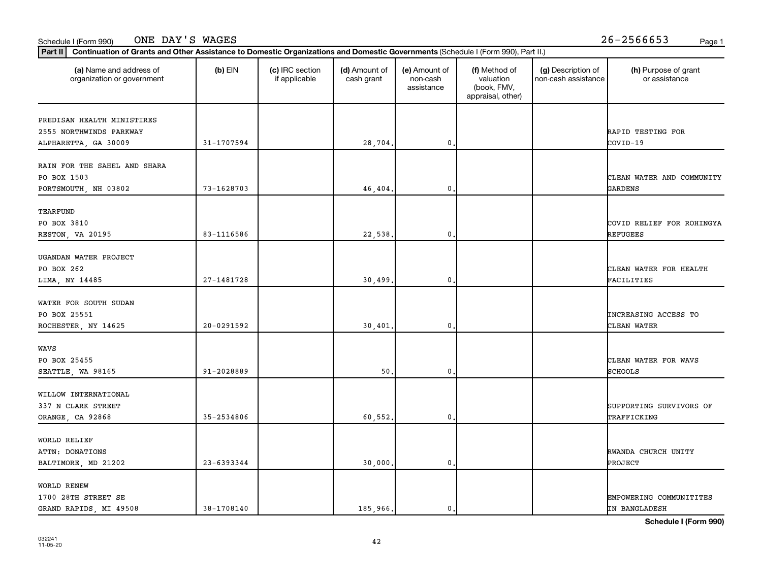#### **Part III Continuation of Grants and Other Assistance to Domestic Organizations and Domestic Governments (Schedule I (Eq. 1)** Schedule I (Form 990) ONE DAY'S WAGES 26-2566653 <sub>Page 1</sub>

| Continuation of Grants and Other Assistance to Domestic Organizations and Domestic Governments (Schedule I (Form 990), Part II.)<br>Part II |            |                                  |                             |                                         |                                                                |                                           |                                            |
|---------------------------------------------------------------------------------------------------------------------------------------------|------------|----------------------------------|-----------------------------|-----------------------------------------|----------------------------------------------------------------|-------------------------------------------|--------------------------------------------|
| (a) Name and address of<br>organization or government                                                                                       | $(b)$ EIN  | (c) IRC section<br>if applicable | (d) Amount of<br>cash grant | (e) Amount of<br>non-cash<br>assistance | (f) Method of<br>valuation<br>(book, FMV,<br>appraisal, other) | (g) Description of<br>non-cash assistance | (h) Purpose of grant<br>or assistance      |
| PREDISAN HEALTH MINISTIRES<br>2555 NORTHWINDS PARKWAY<br>ALPHARETTA, GA 30009                                                               | 31-1707594 |                                  | 28,704.                     | 0,                                      |                                                                |                                           | RAPID TESTING FOR<br>COVID-19              |
| RAIN FOR THE SAHEL AND SHARA<br>PO BOX 1503<br>PORTSMOUTH, NH 03802                                                                         | 73-1628703 |                                  | 46,404.                     | $\mathbf{0}$                            |                                                                |                                           | CLEAN WATER AND COMMUNITY<br>GARDENS       |
| TEARFUND<br>PO BOX 3810<br>RESTON, VA 20195                                                                                                 | 83-1116586 |                                  | 22,538.                     | $\mathbf 0$                             |                                                                |                                           | COVID RELIEF FOR ROHINGYA<br>REFUGEES      |
| UGANDAN WATER PROJECT<br>PO BOX 262<br>LIMA, NY 14485                                                                                       | 27-1481728 |                                  | 30,499.                     | 0.                                      |                                                                |                                           | CLEAN WATER FOR HEALTH<br>FACILITIES       |
| WATER FOR SOUTH SUDAN<br>PO BOX 25551<br>ROCHESTER, NY 14625                                                                                | 20-0291592 |                                  | 30,401                      | 0.                                      |                                                                |                                           | <b>INCREASING ACCESS TO</b><br>CLEAN WATER |
| WAVS<br>PO BOX 25455<br>SEATTLE, WA 98165                                                                                                   | 91-2028889 |                                  | 50                          | $\mathbf{0}$                            |                                                                |                                           | CLEAN WATER FOR WAVS<br><b>SCHOOLS</b>     |
| WILLOW INTERNATIONAL<br>337 N CLARK STREET<br>ORANGE, CA 92868                                                                              | 35-2534806 |                                  | 60,552.                     | 0.                                      |                                                                |                                           | SUPPORTING SURVIVORS OF<br>TRAFFICKING     |
| WORLD RELIEF<br>ATTN: DONATIONS<br>BALTIMORE, MD 21202                                                                                      | 23-6393344 |                                  | 30,000.                     | 0.                                      |                                                                |                                           | RWANDA CHURCH UNITY<br>PROJECT             |
| WORLD RENEW<br>1700 28TH STREET SE<br>GRAND RAPIDS, MI 49508                                                                                | 38-1708140 |                                  | 185,966.                    | 0.                                      |                                                                |                                           | EMPOWERING COMMUNITITES<br>IN BANGLADESH   |

**Schedule I (Form 990)**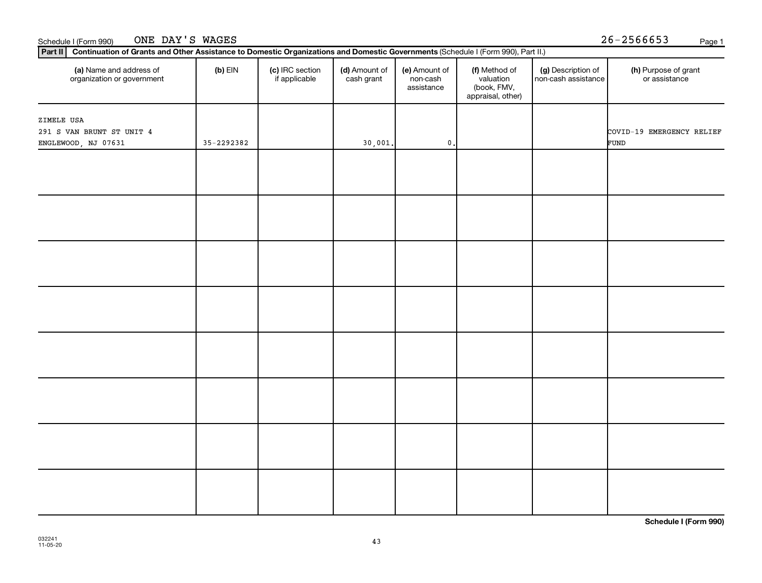| (a) Name and address of<br>organization or government          | $(b)$ EIN  | (c) IRC section<br>if applicable | (d) Amount of<br>cash grant | (e) Amount of<br>non-cash<br>assistance | (f) Method of<br>valuation<br>(book, FMV,<br>appraisal, other) | (g) Description of<br>non-cash assistance | (h) Purpose of grant<br>or assistance |
|----------------------------------------------------------------|------------|----------------------------------|-----------------------------|-----------------------------------------|----------------------------------------------------------------|-------------------------------------------|---------------------------------------|
| ZIMELE USA<br>291 S VAN BRUNT ST UNIT 4<br>ENGLEWOOD, NJ 07631 | 35-2292382 |                                  | 30,001.                     | $\mathbf 0$ ,                           |                                                                |                                           | COVID-19 EMERGENCY RELIEF<br>FUND     |
|                                                                |            |                                  |                             |                                         |                                                                |                                           |                                       |
|                                                                |            |                                  |                             |                                         |                                                                |                                           |                                       |
|                                                                |            |                                  |                             |                                         |                                                                |                                           |                                       |
|                                                                |            |                                  |                             |                                         |                                                                |                                           |                                       |
|                                                                |            |                                  |                             |                                         |                                                                |                                           |                                       |
|                                                                |            |                                  |                             |                                         |                                                                |                                           |                                       |
|                                                                |            |                                  |                             |                                         |                                                                |                                           |                                       |
|                                                                |            |                                  |                             |                                         |                                                                |                                           |                                       |
|                                                                |            |                                  |                             |                                         |                                                                |                                           |                                       |
|                                                                |            |                                  |                             |                                         |                                                                |                                           |                                       |
|                                                                |            |                                  |                             |                                         |                                                                |                                           |                                       |

Schedule I (Form 990) Page 1 ONE DAY'S WAGES 26-2566653

**Schedule I (Form 990)**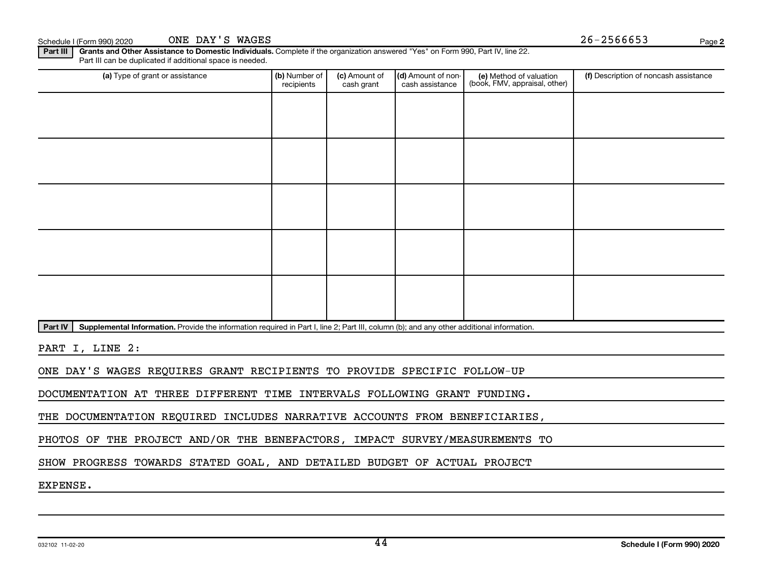Schedule I (Form 990) 2020 ONE DAY'S WAGES  $26-2566653$ ONE DAY'S WAGES

Part III | Grants and Other Assistance to Domestic Individuals. Complete if the organization answered "Yes" on Form 990, Part IV, line 22. Part III can be duplicated if additional space is needed.

| (a) Type of grant or assistance                                                                                                                   | (b) Number of<br>recipients | (c) Amount of<br>cash grant | (d) Amount of non-<br>cash assistance | (e) Method of valuation<br>(book, FMV, appraisal, other) | (f) Description of noncash assistance |  |  |  |  |
|---------------------------------------------------------------------------------------------------------------------------------------------------|-----------------------------|-----------------------------|---------------------------------------|----------------------------------------------------------|---------------------------------------|--|--|--|--|
|                                                                                                                                                   |                             |                             |                                       |                                                          |                                       |  |  |  |  |
|                                                                                                                                                   |                             |                             |                                       |                                                          |                                       |  |  |  |  |
|                                                                                                                                                   |                             |                             |                                       |                                                          |                                       |  |  |  |  |
|                                                                                                                                                   |                             |                             |                                       |                                                          |                                       |  |  |  |  |
|                                                                                                                                                   |                             |                             |                                       |                                                          |                                       |  |  |  |  |
|                                                                                                                                                   |                             |                             |                                       |                                                          |                                       |  |  |  |  |
|                                                                                                                                                   |                             |                             |                                       |                                                          |                                       |  |  |  |  |
|                                                                                                                                                   |                             |                             |                                       |                                                          |                                       |  |  |  |  |
|                                                                                                                                                   |                             |                             |                                       |                                                          |                                       |  |  |  |  |
|                                                                                                                                                   |                             |                             |                                       |                                                          |                                       |  |  |  |  |
| Part IV<br>Supplemental Information, Provide the information required in Part Lline 2: Part III, column (b); and any other additional information |                             |                             |                                       |                                                          |                                       |  |  |  |  |

Part IV | Supplemental Information. Provide the information required in Part I, line 2; Part III, column (b); and any other additional information.

PART I, LINE 2:

ONE DAY'S WAGES REQUIRES GRANT RECIPIENTS TO PROVIDE SPECIFIC FOLLOW-UP

DOCUMENTATION AT THREE DIFFERENT TIME INTERVALS FOLLOWING GRANT FUNDING.

THE DOCUMENTATION REQUIRED INCLUDES NARRATIVE ACCOUNTS FROM BENEFICIARIES,

PHOTOS OF THE PROJECT AND/OR THE BENEFACTORS, IMPACT SURVEY/MEASUREMENTS TO

SHOW PROGRESS TOWARDS STATED GOAL, AND DETAILED BUDGET OF ACTUAL PROJECT

EXPENSE.